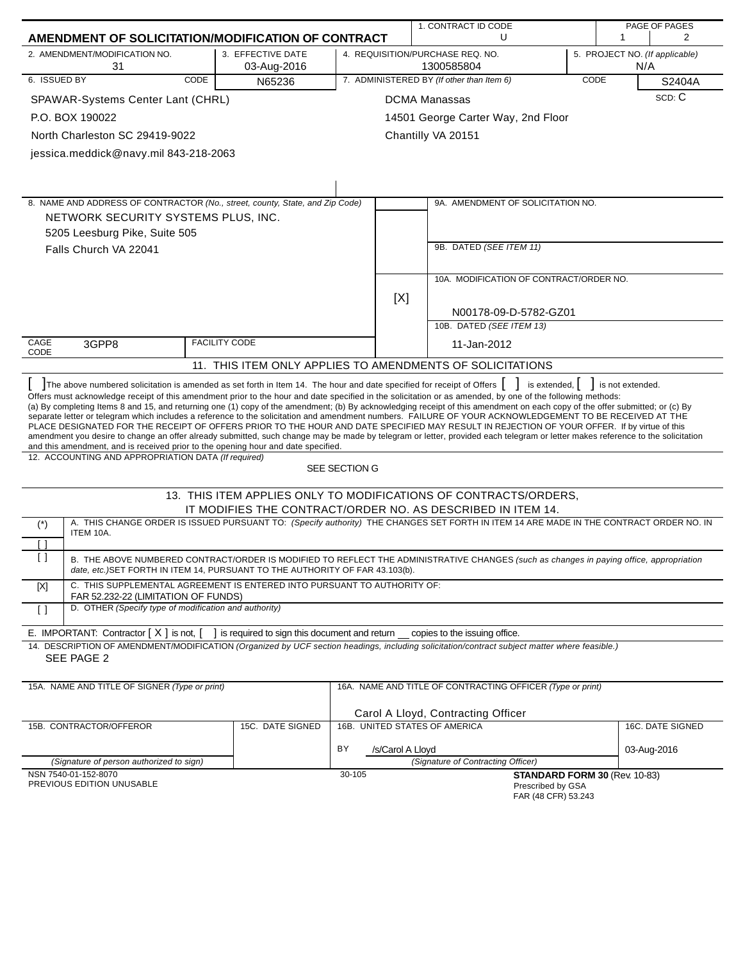|              |                                                                                                                       |                                                |                        | 1. CONTRACT ID CODE                                                                                                                                                                                                                                                                                                                                                                                                                                                                                                                                                                                                                                                                                                                                                                                                                    |             |                  | PAGE OF PAGES                  |
|--------------|-----------------------------------------------------------------------------------------------------------------------|------------------------------------------------|------------------------|----------------------------------------------------------------------------------------------------------------------------------------------------------------------------------------------------------------------------------------------------------------------------------------------------------------------------------------------------------------------------------------------------------------------------------------------------------------------------------------------------------------------------------------------------------------------------------------------------------------------------------------------------------------------------------------------------------------------------------------------------------------------------------------------------------------------------------------|-------------|------------------|--------------------------------|
|              | AMENDMENT OF SOLICITATION/MODIFICATION OF CONTRACT                                                                    |                                                |                        | U                                                                                                                                                                                                                                                                                                                                                                                                                                                                                                                                                                                                                                                                                                                                                                                                                                      |             | 1                | $\overline{2}$                 |
|              | 2. AMENDMENT/MODIFICATION NO.<br>31                                                                                   | 3. EFFECTIVE DATE<br>03-Aug-2016               |                        | 4. REQUISITION/PURCHASE REQ. NO.<br>1300585804                                                                                                                                                                                                                                                                                                                                                                                                                                                                                                                                                                                                                                                                                                                                                                                         |             | N/A              | 5. PROJECT NO. (If applicable) |
| 6. ISSUED BY | CODE                                                                                                                  | N65236                                         |                        | 7. ADMINISTERED BY (If other than Item 6)                                                                                                                                                                                                                                                                                                                                                                                                                                                                                                                                                                                                                                                                                                                                                                                              | <b>CODE</b> |                  | S2404A                         |
|              | SPAWAR-Systems Center Lant (CHRL)                                                                                     |                                                |                        | <b>DCMA Manassas</b>                                                                                                                                                                                                                                                                                                                                                                                                                                                                                                                                                                                                                                                                                                                                                                                                                   |             |                  | SCD: C                         |
|              | P.O. BOX 190022                                                                                                       |                                                |                        | 14501 George Carter Way, 2nd Floor                                                                                                                                                                                                                                                                                                                                                                                                                                                                                                                                                                                                                                                                                                                                                                                                     |             |                  |                                |
|              | North Charleston SC 29419-9022                                                                                        |                                                |                        | Chantilly VA 20151                                                                                                                                                                                                                                                                                                                                                                                                                                                                                                                                                                                                                                                                                                                                                                                                                     |             |                  |                                |
|              | jessica.meddick@navy.mil 843-218-2063                                                                                 |                                                |                        |                                                                                                                                                                                                                                                                                                                                                                                                                                                                                                                                                                                                                                                                                                                                                                                                                                        |             |                  |                                |
|              |                                                                                                                       |                                                |                        |                                                                                                                                                                                                                                                                                                                                                                                                                                                                                                                                                                                                                                                                                                                                                                                                                                        |             |                  |                                |
|              |                                                                                                                       |                                                |                        |                                                                                                                                                                                                                                                                                                                                                                                                                                                                                                                                                                                                                                                                                                                                                                                                                                        |             |                  |                                |
|              | 8. NAME AND ADDRESS OF CONTRACTOR (No., street, county, State, and Zip Code)                                          |                                                |                        | 9A. AMENDMENT OF SOLICITATION NO.                                                                                                                                                                                                                                                                                                                                                                                                                                                                                                                                                                                                                                                                                                                                                                                                      |             |                  |                                |
|              | NETWORK SECURITY SYSTEMS PLUS, INC.                                                                                   |                                                |                        |                                                                                                                                                                                                                                                                                                                                                                                                                                                                                                                                                                                                                                                                                                                                                                                                                                        |             |                  |                                |
|              | 5205 Leesburg Pike, Suite 505                                                                                         |                                                |                        |                                                                                                                                                                                                                                                                                                                                                                                                                                                                                                                                                                                                                                                                                                                                                                                                                                        |             |                  |                                |
|              | Falls Church VA 22041                                                                                                 |                                                |                        | 9B. DATED (SEE ITEM 11)                                                                                                                                                                                                                                                                                                                                                                                                                                                                                                                                                                                                                                                                                                                                                                                                                |             |                  |                                |
|              |                                                                                                                       |                                                |                        |                                                                                                                                                                                                                                                                                                                                                                                                                                                                                                                                                                                                                                                                                                                                                                                                                                        |             |                  |                                |
|              |                                                                                                                       |                                                |                        | 10A. MODIFICATION OF CONTRACT/ORDER NO.                                                                                                                                                                                                                                                                                                                                                                                                                                                                                                                                                                                                                                                                                                                                                                                                |             |                  |                                |
|              |                                                                                                                       |                                                | [X]                    |                                                                                                                                                                                                                                                                                                                                                                                                                                                                                                                                                                                                                                                                                                                                                                                                                                        |             |                  |                                |
|              |                                                                                                                       |                                                |                        | N00178-09-D-5782-GZ01                                                                                                                                                                                                                                                                                                                                                                                                                                                                                                                                                                                                                                                                                                                                                                                                                  |             |                  |                                |
|              |                                                                                                                       |                                                |                        | 10B. DATED (SEE ITEM 13)                                                                                                                                                                                                                                                                                                                                                                                                                                                                                                                                                                                                                                                                                                                                                                                                               |             |                  |                                |
| CAGE         | 3GPP8                                                                                                                 | <b>FACILITY CODE</b>                           |                        | 11-Jan-2012                                                                                                                                                                                                                                                                                                                                                                                                                                                                                                                                                                                                                                                                                                                                                                                                                            |             |                  |                                |
| CODE         |                                                                                                                       |                                                |                        | 11. THIS ITEM ONLY APPLIES TO AMENDMENTS OF SOLICITATIONS                                                                                                                                                                                                                                                                                                                                                                                                                                                                                                                                                                                                                                                                                                                                                                              |             |                  |                                |
|              | The above numbered solicitation is amended as set forth in Item 14. The hour and date specified for receipt of Offers |                                                |                        | is extended, $\vert$                                                                                                                                                                                                                                                                                                                                                                                                                                                                                                                                                                                                                                                                                                                                                                                                                   |             | is not extended. |                                |
|              | and this amendment, and is received prior to the opening hour and date specified.                                     |                                                |                        | Offers must acknowledge receipt of this amendment prior to the hour and date specified in the solicitation or as amended, by one of the following methods:<br>(a) By completing Items 8 and 15, and returning one (1) copy of the amendment; (b) By acknowledging receipt of this amendment on each copy of the offer submitted; or (c) By<br>separate letter or telegram which includes a reference to the solicitation and amendment numbers. FAILURE OF YOUR ACKNOWLEDGEMENT TO BE RECEIVED AT THE<br>PLACE DESIGNATED FOR THE RECEIPT OF OFFERS PRIOR TO THE HOUR AND DATE SPECIFIED MAY RESULT IN REJECTION OF YOUR OFFER. If by virtue of this<br>amendment you desire to change an offer already submitted, such change may be made by telegram or letter, provided each telegram or letter makes reference to the solicitation |             |                  |                                |
|              | 12. ACCOUNTING AND APPROPRIATION DATA (If required)                                                                   |                                                | SEE SECTION G          |                                                                                                                                                                                                                                                                                                                                                                                                                                                                                                                                                                                                                                                                                                                                                                                                                                        |             |                  |                                |
|              |                                                                                                                       |                                                |                        | 13. THIS ITEM APPLIES ONLY TO MODIFICATIONS OF CONTRACTS/ORDERS,                                                                                                                                                                                                                                                                                                                                                                                                                                                                                                                                                                                                                                                                                                                                                                       |             |                  |                                |
|              |                                                                                                                       |                                                |                        | IT MODIFIES THE CONTRACT/ORDER NO. AS DESCRIBED IN ITEM 14.                                                                                                                                                                                                                                                                                                                                                                                                                                                                                                                                                                                                                                                                                                                                                                            |             |                  |                                |
| $(*)$        | ITEM 10A.                                                                                                             |                                                |                        | A. THIS CHANGE ORDER IS ISSUED PURSUANT TO: (Specify authority) THE CHANGES SET FORTH IN ITEM 14 ARE MADE IN THE CONTRACT ORDER NO. IN                                                                                                                                                                                                                                                                                                                                                                                                                                                                                                                                                                                                                                                                                                 |             |                  |                                |
| [ ]          |                                                                                                                       |                                                |                        |                                                                                                                                                                                                                                                                                                                                                                                                                                                                                                                                                                                                                                                                                                                                                                                                                                        |             |                  |                                |
| $\Box$       | date, etc.) SET FORTH IN ITEM 14, PURSUANT TO THE AUTHORITY OF FAR 43.103(b).                                         |                                                |                        | B. THE ABOVE NUMBERED CONTRACT/ORDER IS MODIFIED TO REFLECT THE ADMINISTRATIVE CHANGES (such as changes in paying office, appropriation                                                                                                                                                                                                                                                                                                                                                                                                                                                                                                                                                                                                                                                                                                |             |                  |                                |
| $[{\sf X}]$  | C. THIS SUPPLEMENTAL AGREEMENT IS ENTERED INTO PURSUANT TO AUTHORITY OF:<br>FAR 52.232-22 (LIMITATION OF FUNDS)       |                                                |                        |                                                                                                                                                                                                                                                                                                                                                                                                                                                                                                                                                                                                                                                                                                                                                                                                                                        |             |                  |                                |
| $\Box$       | D. OTHER (Specify type of modification and authority)                                                                 |                                                |                        |                                                                                                                                                                                                                                                                                                                                                                                                                                                                                                                                                                                                                                                                                                                                                                                                                                        |             |                  |                                |
|              | E. IMPORTANT: Contractor [X] is not, [                                                                                | ] is required to sign this document and return |                        | copies to the issuing office.                                                                                                                                                                                                                                                                                                                                                                                                                                                                                                                                                                                                                                                                                                                                                                                                          |             |                  |                                |
|              |                                                                                                                       |                                                |                        | 14. DESCRIPTION OF AMENDMENT/MODIFICATION (Organized by UCF section headings, including solicitation/contract subject matter where feasible.)                                                                                                                                                                                                                                                                                                                                                                                                                                                                                                                                                                                                                                                                                          |             |                  |                                |
|              | SEE PAGE 2                                                                                                            |                                                |                        |                                                                                                                                                                                                                                                                                                                                                                                                                                                                                                                                                                                                                                                                                                                                                                                                                                        |             |                  |                                |
|              | 15A. NAME AND TITLE OF SIGNER (Type or print)                                                                         |                                                |                        | 16A. NAME AND TITLE OF CONTRACTING OFFICER (Type or print)                                                                                                                                                                                                                                                                                                                                                                                                                                                                                                                                                                                                                                                                                                                                                                             |             |                  |                                |
|              |                                                                                                                       |                                                |                        |                                                                                                                                                                                                                                                                                                                                                                                                                                                                                                                                                                                                                                                                                                                                                                                                                                        |             |                  |                                |
|              | 15B. CONTRACTOR/OFFEROR                                                                                               | 15C. DATE SIGNED                               |                        | Carol A Lloyd, Contracting Officer<br>16B. UNITED STATES OF AMERICA                                                                                                                                                                                                                                                                                                                                                                                                                                                                                                                                                                                                                                                                                                                                                                    |             |                  | 16C. DATE SIGNED               |
|              |                                                                                                                       |                                                |                        |                                                                                                                                                                                                                                                                                                                                                                                                                                                                                                                                                                                                                                                                                                                                                                                                                                        |             |                  |                                |
|              |                                                                                                                       |                                                | BY<br>/s/Carol A Lloyd |                                                                                                                                                                                                                                                                                                                                                                                                                                                                                                                                                                                                                                                                                                                                                                                                                                        |             |                  | 03-Aug-2016                    |
|              | (Signature of person authorized to sign)<br>NSN 7540-01-152-8070                                                      |                                                | 30-105                 | (Signature of Contracting Officer)                                                                                                                                                                                                                                                                                                                                                                                                                                                                                                                                                                                                                                                                                                                                                                                                     |             |                  |                                |
|              | PREVIOUS EDITION UNUSABLE                                                                                             |                                                |                        | STANDARD FORM 30 (Rev. 10-83)<br>Prescribed by GSA<br>FAR (48 CFR) 53.243                                                                                                                                                                                                                                                                                                                                                                                                                                                                                                                                                                                                                                                                                                                                                              |             |                  |                                |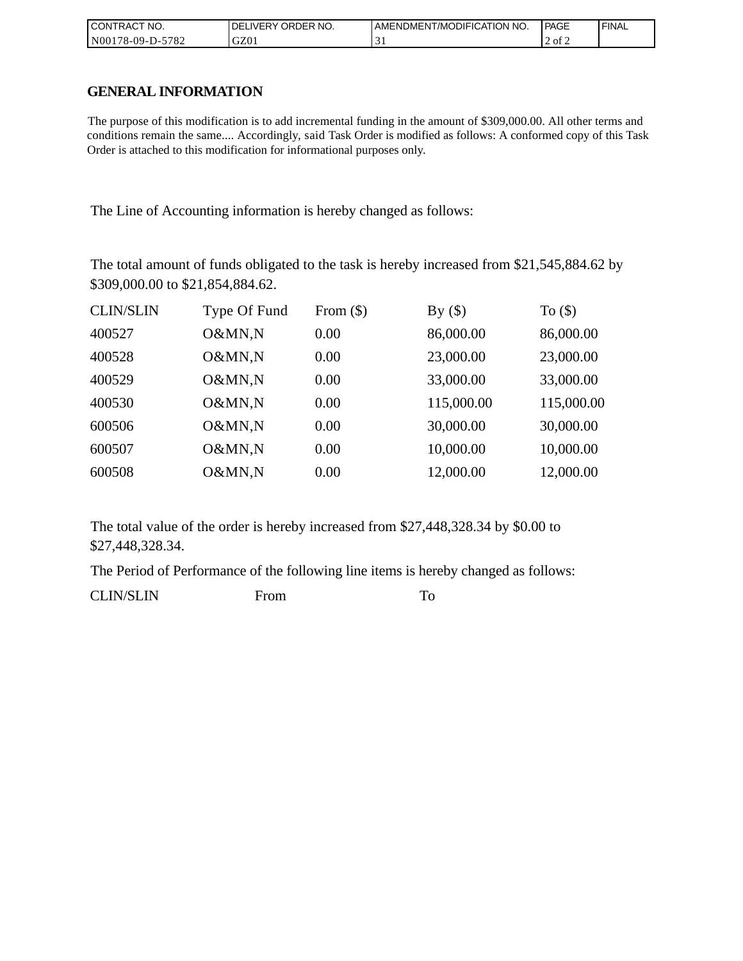| CONTRACT<br>CT NO.       | NO.<br>' ORDER<br><b>DELIVERY</b> | AMENDMENT/MODIFICATION NO. | <b>PAGE</b> | ' FINAL |
|--------------------------|-----------------------------------|----------------------------|-------------|---------|
| N00178-09-D-5<br>$-5782$ | GZ01                              | . .                        | 2 of 2      |         |

### **GENERAL INFORMATION**

The purpose of this modification is to add incremental funding in the amount of \$309,000.00. All other terms and conditions remain the same.... Accordingly, said Task Order is modified as follows: A conformed copy of this Task Order is attached to this modification for informational purposes only.

The Line of Accounting information is hereby changed as follows:

The total amount of funds obligated to the task is hereby increased from \$21,545,884.62 by \$309,000.00 to \$21,854,884.62.

| <b>CLIN/SLIN</b> | Type Of Fund | From $(\$)$ | By $($ )   | To $($ math) |
|------------------|--------------|-------------|------------|--------------|
| 400527           | O&MN,N       | 0.00        | 86,000.00  | 86,000.00    |
| 400528           | O&MN,N       | 0.00        | 23,000.00  | 23,000.00    |
| 400529           | O&MN,N       | 0.00        | 33,000.00  | 33,000.00    |
| 400530           | O&MN,N       | 0.00        | 115,000.00 | 115,000.00   |
| 600506           | O&MN,N       | 0.00        | 30,000.00  | 30,000.00    |
| 600507           | O&MN,N       | 0.00        | 10,000.00  | 10,000.00    |
| 600508           | O&MN,N       | 0.00        | 12,000.00  | 12,000.00    |

The total value of the order is hereby increased from \$27,448,328.34 by \$0.00 to \$27,448,328.34.

The Period of Performance of the following line items is hereby changed as follows:

CLIN/SLIN From To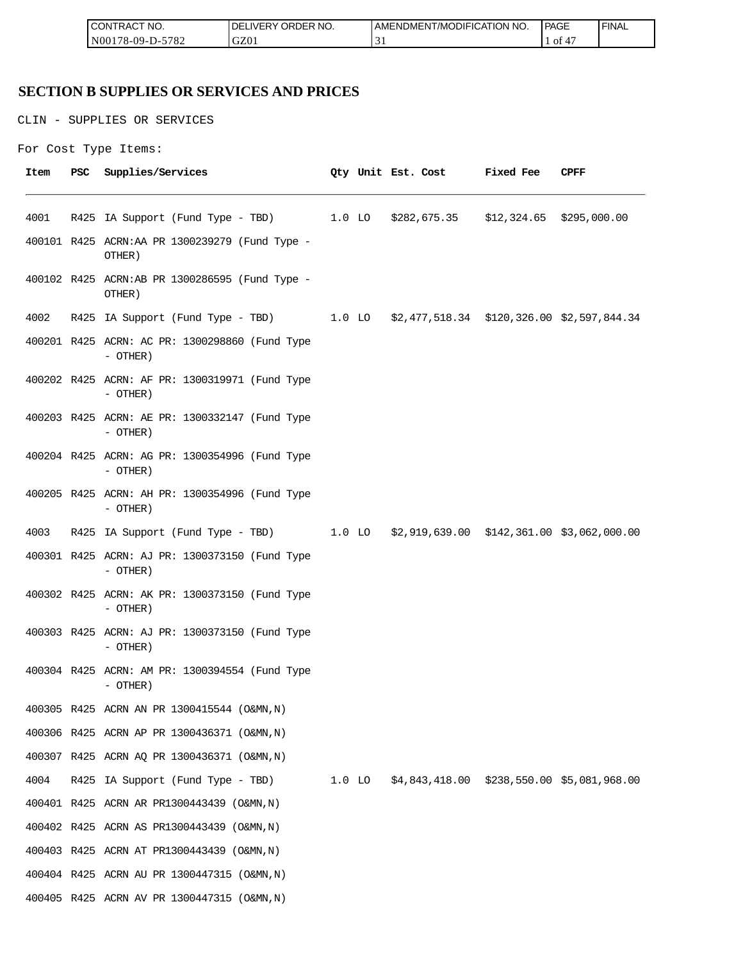| <b>ICON</b><br>°CT NO.<br>∵I RAC            | R NO.<br>JR'<br>≀DE!<br>⊣د، | ICATION NO.<br>T/MODIFIL<br>AME<br>∵NDMEN. | PAGE<br>____ | <b>FINAL</b> |
|---------------------------------------------|-----------------------------|--------------------------------------------|--------------|--------------|
| 5700<br>N <sub>00</sub><br>/8-09-D-<br>ے ہ≀ | GZ0                         | ∽<br>້                                     | - O1         |              |

## **SECTION B SUPPLIES OR SERVICES AND PRICES**

CLIN - SUPPLIES OR SERVICES

```
For Cost Type Items:
```

| Item | <b>PSC</b> | Supplies/Services                                                                   |  | Qty Unit Est. Cost | <b>Fixed Fee</b> | CPFF |
|------|------------|-------------------------------------------------------------------------------------|--|--------------------|------------------|------|
| 4001 |            | R425 IA Support (Fund Type - TBD) 1.0 LO \$282,675.35 \$12,324.65 \$295,000.00      |  |                    |                  |      |
|      |            | 400101 R425 ACRN:AA PR 1300239279 (Fund Type -<br>OTHER)                            |  |                    |                  |      |
|      |            | 400102 R425 ACRN:AB PR 1300286595 (Fund Type -<br>OTHER)                            |  |                    |                  |      |
| 4002 |            | R425 IA Support (Fund Type - TBD) 1.0 LO \$2,477,518.34 \$120,326.00 \$2,597,844.34 |  |                    |                  |      |
|      |            | 400201 R425 ACRN: AC PR: 1300298860 (Fund Type<br>- OTHER)                          |  |                    |                  |      |
|      |            | 400202 R425 ACRN: AF PR: 1300319971 (Fund Type<br>- OTHER)                          |  |                    |                  |      |
|      |            | 400203 R425 ACRN: AE PR: 1300332147 (Fund Type<br>- OTHER)                          |  |                    |                  |      |
|      |            | 400204 R425 ACRN: AG PR: 1300354996 (Fund Type<br>$-$ OTHER)                        |  |                    |                  |      |
|      |            | 400205 R425 ACRN: AH PR: 1300354996 (Fund Type<br>- OTHER)                          |  |                    |                  |      |
| 4003 |            | R425 IA Support (Fund Type - TBD) 1.0 LO \$2,919,639.00 \$142,361.00 \$3,062,000.00 |  |                    |                  |      |
|      |            | 400301 R425 ACRN: AJ PR: 1300373150 (Fund Type<br>- OTHER)                          |  |                    |                  |      |
|      |            | 400302 R425 ACRN: AK PR: 1300373150 (Fund Type<br>- OTHER)                          |  |                    |                  |      |
|      |            | 400303 R425 ACRN: AJ PR: 1300373150 (Fund Type<br>$-$ OTHER)                        |  |                    |                  |      |
|      |            | 400304 R425 ACRN: AM PR: 1300394554 (Fund Type<br>- OTHER)                          |  |                    |                  |      |
|      |            | 400305 R425 ACRN AN PR 1300415544 (O&MN, N)                                         |  |                    |                  |      |
|      |            | 400306 R425 ACRN AP PR 1300436371 (O&MN, N)                                         |  |                    |                  |      |
|      |            | 400307 R425 ACRN AQ PR 1300436371 (O&MN, N)                                         |  |                    |                  |      |
| 4004 |            | R425 IA Support (Fund Type - TBD) 1.0 LO \$4,843,418.00 \$238,550.00 \$5,081,968.00 |  |                    |                  |      |
|      |            | 400401 R425 ACRN AR PR1300443439 (O&MN, N)                                          |  |                    |                  |      |
|      |            | 400402 R425 ACRN AS PR1300443439 (O&MN, N)                                          |  |                    |                  |      |
|      |            | 400403 R425 ACRN AT PR1300443439 (O&MN, N)                                          |  |                    |                  |      |
|      |            | 400404 R425 ACRN AU PR 1300447315 (O&MN, N)                                         |  |                    |                  |      |
|      |            | 400405 R425 ACRN AV PR 1300447315 (O&MN, N)                                         |  |                    |                  |      |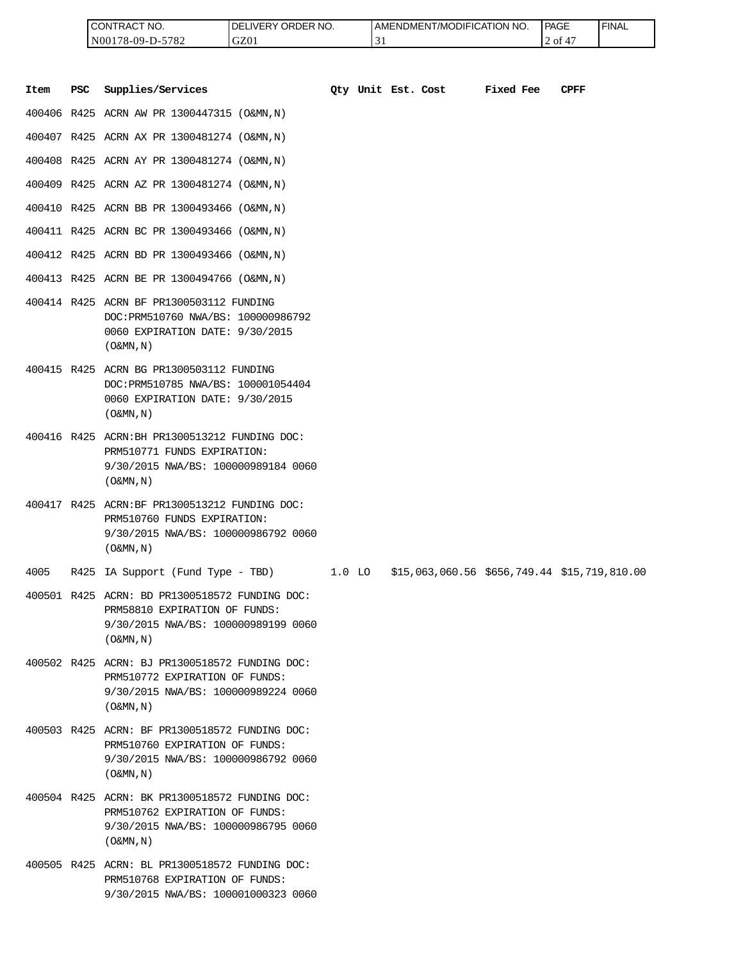| <b>I CONTRACT NO.</b> | LIVERY ORDER NO.<br>DEI | LAMENDMENT/MODIFICATION NO. | <b>PAGE</b> | ' FINAL |
|-----------------------|-------------------------|-----------------------------|-------------|---------|
| N00178-09-D-5782      | GZ01                    | $\overline{\phantom{a}}$    | 2 of        |         |

|      |            | CONTRACT NO.<br>N00178-09-D-5782                                                                                                                      | DELIVERY ORDER NO.<br>GZ01 |          | 31                 | AMENDMENT/MODIFICATION NO.                   |           | PAGE<br>2 of 47 | <b>FINAL</b> |
|------|------------|-------------------------------------------------------------------------------------------------------------------------------------------------------|----------------------------|----------|--------------------|----------------------------------------------|-----------|-----------------|--------------|
| Item | <b>PSC</b> | Supplies/Services                                                                                                                                     |                            |          | Oty Unit Est. Cost |                                              | Fixed Fee | <b>CPFF</b>     |              |
|      |            | 400406 R425 ACRN AW PR 1300447315 (O&MN, N)                                                                                                           |                            |          |                    |                                              |           |                 |              |
|      |            | 400407 R425 ACRN AX PR 1300481274 (O&MN, N)                                                                                                           |                            |          |                    |                                              |           |                 |              |
|      |            | 400408 R425 ACRN AY PR 1300481274 (O&MN, N)                                                                                                           |                            |          |                    |                                              |           |                 |              |
|      |            | 400409 R425 ACRN AZ PR 1300481274 (O&MN, N)                                                                                                           |                            |          |                    |                                              |           |                 |              |
|      |            | 400410 R425 ACRN BB PR 1300493466 (O&MN, N)                                                                                                           |                            |          |                    |                                              |           |                 |              |
|      |            | 400411 R425 ACRN BC PR 1300493466 (O&MN, N)                                                                                                           |                            |          |                    |                                              |           |                 |              |
|      |            | 400412 R425 ACRN BD PR 1300493466 (O&MN, N)                                                                                                           |                            |          |                    |                                              |           |                 |              |
|      |            | 400413 R425 ACRN BE PR 1300494766 (O&MN, N)                                                                                                           |                            |          |                    |                                              |           |                 |              |
|      |            | 400414 R425 ACRN BF PR1300503112 FUNDING<br>DOC: PRM510760 NWA/BS: 100000986792<br>0060 EXPIRATION DATE: 9/30/2015<br>$($ O&MN, $N$ $)$               |                            |          |                    |                                              |           |                 |              |
|      |            | 400415 R425 ACRN BG PR1300503112 FUNDING<br>DOC: PRM510785 NWA/BS: 100001054404<br>0060 EXPIRATION DATE: 9/30/2015<br>$($ O&MN, $N$ $)$               |                            |          |                    |                                              |           |                 |              |
|      |            | 400416 R425 ACRN: BH PR1300513212 FUNDING DOC:<br>PRM510771 FUNDS EXPIRATION:<br>9/30/2015 NWA/BS: 100000989184 0060<br>$($ O&MN, $N$ $)$             |                            |          |                    |                                              |           |                 |              |
|      |            | 400417 R425 ACRN:BF PR1300513212 FUNDING DOC:<br>PRM510760 FUNDS EXPIRATION:<br>9/30/2015 NWA/BS: 100000986792 0060<br>$($ O&MN, N)                   |                            |          |                    |                                              |           |                 |              |
| 4005 |            | R425 IA Support (Fund Type - TBD)                                                                                                                     |                            | $1.0$ LO |                    | \$15,063,060.56 \$656,749.44 \$15,719,810.00 |           |                 |              |
|      |            | 400501 R425 ACRN: BD PR1300518572 FUNDING DOC:<br>PRM58810 EXPIRATION OF FUNDS:<br>9/30/2015 NWA/BS: 100000989199 0060<br>$(0\&MN,N)$                 |                            |          |                    |                                              |           |                 |              |
|      |            | 400502 R425 ACRN: BJ PR1300518572 FUNDING DOC:<br>PRM510772 EXPIRATION OF FUNDS:<br>9/30/2015 NWA/BS: 100000989224 0060<br>$($ O&MN, $\overline{N}$ ) |                            |          |                    |                                              |           |                 |              |
|      |            | 400503 R425 ACRN: BF PR1300518572 FUNDING DOC:<br>PRM510760 EXPIRATION OF FUNDS:<br>9/30/2015 NWA/BS: 100000986792 0060<br>$($ O&MN, N)               |                            |          |                    |                                              |           |                 |              |
|      |            | 400504 R425 ACRN: BK PR1300518572 FUNDING DOC:<br>PRM510762 EXPIRATION OF FUNDS:<br>9/30/2015 NWA/BS: 100000986795 0060<br>$($ O&MN, $\overline{N}$ ) |                            |          |                    |                                              |           |                 |              |
|      |            | 400505 R425 ACRN: BL PR1300518572 FUNDING DOC:<br>PRM510768 EXPIRATION OF FUNDS:<br>9/30/2015 NWA/BS: 100001000323 0060                               |                            |          |                    |                                              |           |                 |              |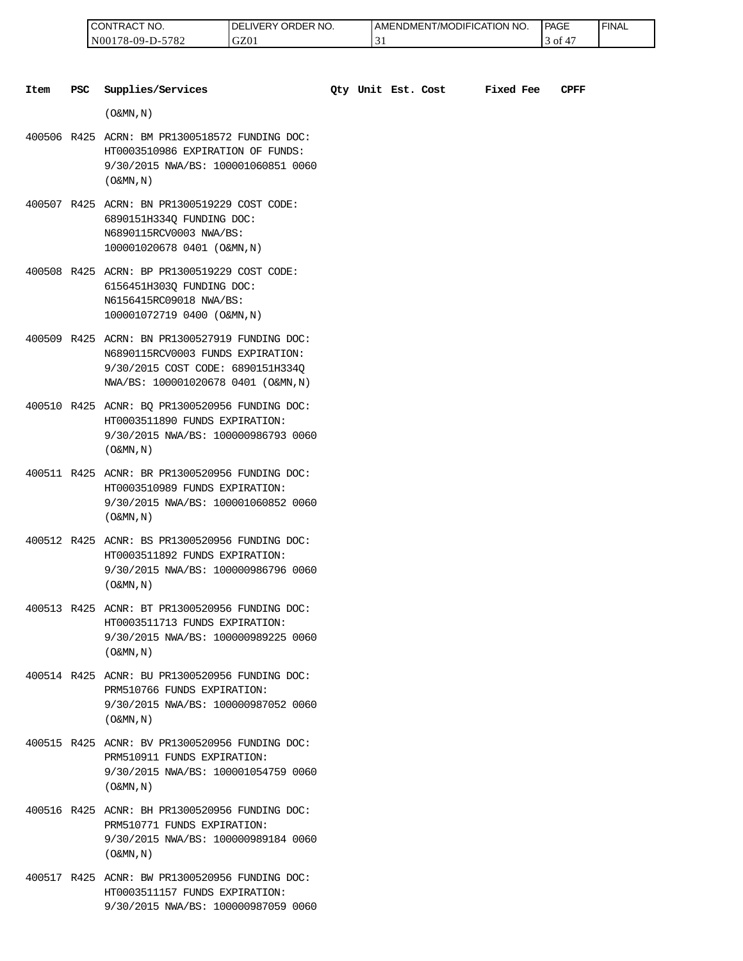| CONTRAC<br>'NO.             | ORDER NO.<br>LIVERY<br>DE | <b>I AMENDMENT/MODIFICATION I</b><br>NO. | PAGE | ' FINAL |
|-----------------------------|---------------------------|------------------------------------------|------|---------|
| 5782<br>78-09-D-5′<br>N0017 | GZ01                      | $\overline{\phantom{a}}$<br>◡            | - OI |         |

| Item | PSC | Supplies/Services                                                                                                                                               |  | Qty Unit Est. Cost | <b>Fixed Fee</b> | <b>CPFF</b> |
|------|-----|-----------------------------------------------------------------------------------------------------------------------------------------------------------------|--|--------------------|------------------|-------------|
|      |     | $($ O&MN, N)                                                                                                                                                    |  |                    |                  |             |
|      |     | 400506 R425 ACRN: BM PR1300518572 FUNDING DOC:<br>HT0003510986 EXPIRATION OF FUNDS:<br>9/30/2015 NWA/BS: 100001060851 0060<br>$($ O&MN, $\overline{N}$ )        |  |                    |                  |             |
|      |     | 400507 R425 ACRN: BN PR1300519229 COST CODE:<br>6890151H334Q FUNDING DOC:<br>N6890115RCV0003 NWA/BS:<br>100001020678 0401 (O&MN, N)                             |  |                    |                  |             |
|      |     | 400508 R425 ACRN: BP PR1300519229 COST CODE:<br>6156451H303Q FUNDING DOC:<br>N6156415RC09018 NWA/BS:<br>100001072719 0400 (O&MN, N)                             |  |                    |                  |             |
|      |     | 400509 R425 ACRN: BN PR1300527919 FUNDING DOC:<br>N6890115RCV0003 FUNDS EXPIRATION:<br>9/30/2015 COST CODE: 6890151H334Q<br>NWA/BS: 100001020678 0401 (O&MN, N) |  |                    |                  |             |
|      |     | 400510 R425 ACNR: BQ PR1300520956 FUNDING DOC:<br>HT0003511890 FUNDS EXPIRATION:<br>9/30/2015 NWA/BS: 100000986793 0060<br>$($ O&MN, $N$ $)$                    |  |                    |                  |             |
|      |     | 400511 R425 ACNR: BR PR1300520956 FUNDING DOC:<br>HT0003510989 FUNDS EXPIRATION:<br>9/30/2015 NWA/BS: 100001060852 0060<br>$($ O&MN, N)                         |  |                    |                  |             |
|      |     | 400512 R425 ACNR: BS PR1300520956 FUNDING DOC:<br>HT0003511892 FUNDS EXPIRATION:<br>9/30/2015 NWA/BS: 100000986796 0060<br>$($ O&MN, N)                         |  |                    |                  |             |
|      |     | 400513 R425 ACNR: BT PR1300520956 FUNDING DOC:<br>HT0003511713 FUNDS EXPIRATION:<br>9/30/2015 NWA/BS: 100000989225 0060<br>$($ O&MN, N)                         |  |                    |                  |             |
|      |     | 400514 R425 ACNR: BU PR1300520956 FUNDING DOC:<br>PRM510766 FUNDS EXPIRATION:<br>9/30/2015 NWA/BS: 100000987052 0060<br>$($ O&MN, $\overline{N}$ )              |  |                    |                  |             |
|      |     | 400515 R425 ACNR: BV PR1300520956 FUNDING DOC:<br>PRM510911 FUNDS EXPIRATION:<br>9/30/2015 NWA/BS: 100001054759 0060<br>$($ O&MN, N)                            |  |                    |                  |             |
|      |     | 400516 R425 ACNR: BH PR1300520956 FUNDING DOC:<br>PRM510771 FUNDS EXPIRATION:<br>9/30/2015 NWA/BS: 100000989184 0060<br>$($ O&MN, N)                            |  |                    |                  |             |

400517 R425 ACNR: BW PR1300520956 FUNDING DOC: HT0003511157 FUNDS EXPIRATION: 9/30/2015 NWA/BS: 100000987059 0060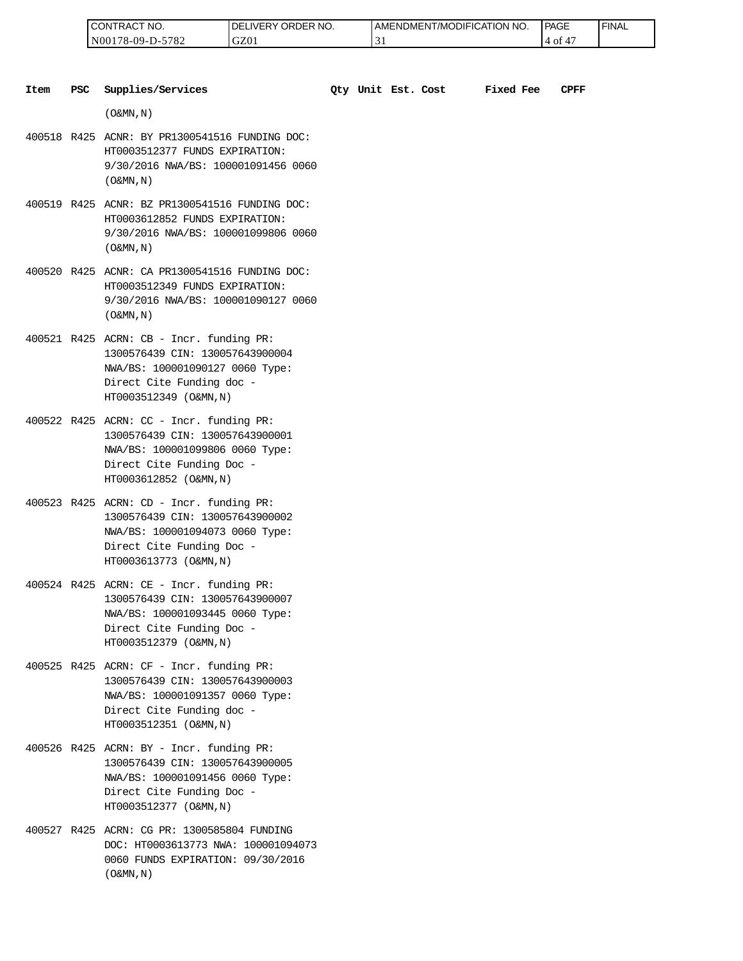| 'NO.<br>UON!<br>'I RAL               | RDER NO.<br>ר.<br>⊣ vE⊑<br>ж | <b>IT/MODIFICATION NO.</b><br>AMENDMENT | <b>PAGE</b><br>_____ | <b>FINAL</b> |
|--------------------------------------|------------------------------|-----------------------------------------|----------------------|--------------|
| 5700<br>N00.<br>′8-09-I<br>∟ه '<br>. | GZ0                          | ້                                       | O1<br>4              |              |

| Item | <b>PSC</b> | Supplies/Services                                                                                                                                                     | Oty Unit Est. Cost |  | Fixed Fee | CPFF |
|------|------------|-----------------------------------------------------------------------------------------------------------------------------------------------------------------------|--------------------|--|-----------|------|
|      |            | $(0\&MN,N)$                                                                                                                                                           |                    |  |           |      |
|      |            | 400518 R425 ACNR: BY PR1300541516 FUNDING DOC:<br>HT0003512377 FUNDS EXPIRATION:<br>9/30/2016 NWA/BS: 100001091456 0060<br>$($ O&MN, $\overline{N}$ )                 |                    |  |           |      |
|      |            | 400519 R425 ACNR: BZ PR1300541516 FUNDING DOC:<br>HT0003612852 FUNDS EXPIRATION:<br>9/30/2016 NWA/BS: 100001099806 0060<br>$($ O&MN, N)                               |                    |  |           |      |
|      |            | 400520 R425 ACNR: CA PR1300541516 FUNDING DOC:<br>HT0003512349 FUNDS EXPIRATION:<br>9/30/2016 NWA/BS: 100001090127 0060<br>$($ O&MN, $N$ $)$                          |                    |  |           |      |
|      |            | 400521 R425 ACRN: CB - Incr. funding PR:<br>1300576439 CIN: 130057643900004<br>NWA/BS: 100001090127 0060 Type:<br>Direct Cite Funding doc -<br>HT0003512349 (O&MN, N) |                    |  |           |      |
|      |            | 400522 R425 ACRN: CC - Incr. funding PR:<br>1300576439 CIN: 130057643900001<br>NWA/BS: 100001099806 0060 Type:<br>Direct Cite Funding Doc -<br>HT0003612852 (O&MN, N) |                    |  |           |      |
|      |            | 400523 R425 ACRN: CD - Incr. funding PR:<br>1300576439 CIN: 130057643900002<br>NWA/BS: 100001094073 0060 Type:<br>Direct Cite Funding Doc -<br>HT0003613773 (O&MN, N) |                    |  |           |      |
|      |            | 400524 R425 ACRN: CE - Incr. funding PR:<br>1300576439 CIN: 130057643900007<br>NWA/BS: 100001093445 0060 Type:<br>Direct Cite Funding Doc -<br>HT0003512379 (O&MN, N) |                    |  |           |      |
|      |            | 400525 R425 ACRN: CF - Incr. funding PR:<br>1300576439 CIN: 130057643900003<br>NWA/BS: 100001091357 0060 Type:<br>Direct Cite Funding doc -<br>HT0003512351 (O&MN, N) |                    |  |           |      |
|      |            | 400526 R425 ACRN: BY - Incr. funding PR:<br>1300576439 CIN: 130057643900005<br>NWA/BS: 100001091456 0060 Type:<br>Direct Cite Funding Doc -<br>HT0003512377 (O&MN, N) |                    |  |           |      |
|      |            | 400527 R425 ACRN: CG PR: 1300585804 FUNDING<br>DOC: HT0003613773 NWA: 100001094073<br>0060 FUNDS EXPIRATION: 09/30/2016                                               |                    |  |           |      |

 $($  O&MN , N  $)$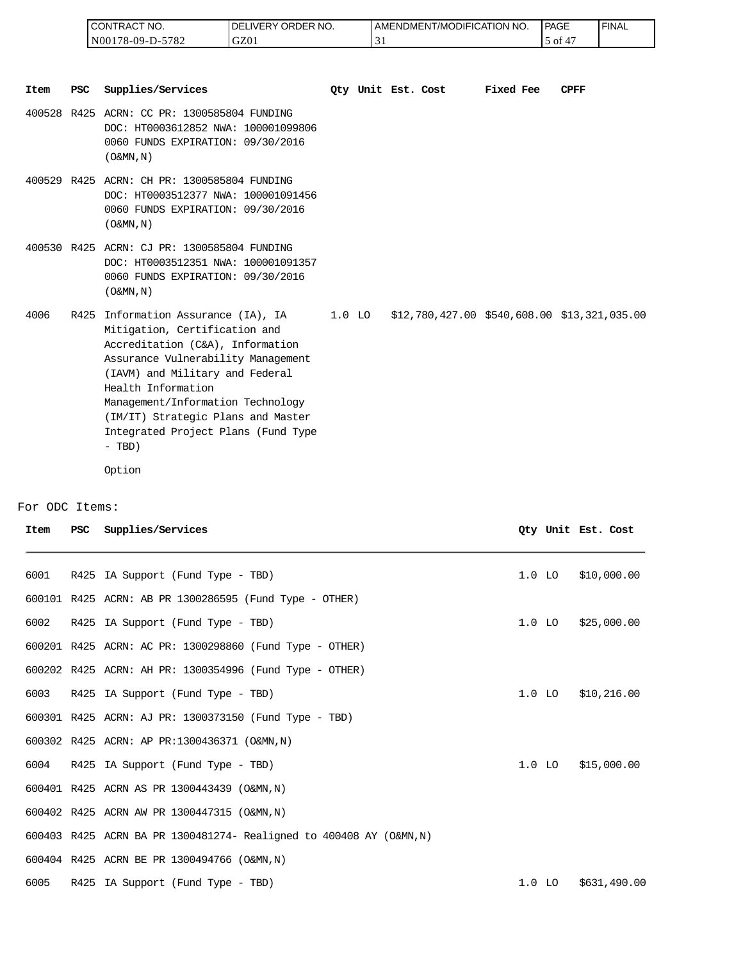| I CONTRACT NO.   | NO.<br>TRY ORDER L<br><b>DELIVERY</b> | AMENDMENT/MODIFICATION NO. | <sup>1</sup> PAGE | ' FINAL |
|------------------|---------------------------------------|----------------------------|-------------------|---------|
| N00178-09-D-5782 | GZ01                                  |                            | ОI                |         |

|                        |     | CONTRACT NO.<br>N00178-09-D-5782                                                                                                                                                                                                                                                                                                      | DELIVERY ORDER NO.<br>GZ01 | 31       |                    | AMENDMENT/MODIFICATION NO.                   |           | PAGE     | 5 of 47            | <b>FINAL</b> |
|------------------------|-----|---------------------------------------------------------------------------------------------------------------------------------------------------------------------------------------------------------------------------------------------------------------------------------------------------------------------------------------|----------------------------|----------|--------------------|----------------------------------------------|-----------|----------|--------------------|--------------|
| <b>Item</b>            | PSC | Supplies/Services                                                                                                                                                                                                                                                                                                                     |                            |          | Qty Unit Est. Cost |                                              | Fixed Fee |          | CPFF               |              |
|                        |     | 400528 R425 ACRN: CC PR: 1300585804 FUNDING<br>DOC: HT0003612852 NWA: 100001099806<br>0060 FUNDS EXPIRATION: 09/30/2016<br>$($ O&MN, N)                                                                                                                                                                                               |                            |          |                    |                                              |           |          |                    |              |
|                        |     | 400529 R425 ACRN: CH PR: 1300585804 FUNDING<br>DOC: HT0003512377 NWA: 100001091456<br>0060 FUNDS EXPIRATION: 09/30/2016<br>$($ O&MN, N)                                                                                                                                                                                               |                            |          |                    |                                              |           |          |                    |              |
|                        |     | 400530 R425 ACRN: CJ PR: 1300585804 FUNDING<br>DOC: HT0003512351 NWA: 100001091357<br>0060 FUNDS EXPIRATION: 09/30/2016<br>$($ O&MN, $N$ $)$                                                                                                                                                                                          |                            |          |                    |                                              |           |          |                    |              |
| 4006                   |     | R425 Information Assurance (IA), IA<br>Mitigation, Certification and<br>Accreditation (C&A), Information<br>Assurance Vulnerability Management<br>(IAVM) and Military and Federal<br>Health Information<br>Management/Information Technology<br>(IM/IT) Strategic Plans and Master<br>Integrated Project Plans (Fund Type<br>$-$ TBD) |                            | $1.0$ LO |                    | \$12,780,427.00 \$540,608.00 \$13,321,035.00 |           |          |                    |              |
|                        |     | Option                                                                                                                                                                                                                                                                                                                                |                            |          |                    |                                              |           |          |                    |              |
|                        |     |                                                                                                                                                                                                                                                                                                                                       |                            |          |                    |                                              |           |          |                    |              |
| 'or ODC Items:<br>Item | PSC | Supplies/Services                                                                                                                                                                                                                                                                                                                     |                            |          |                    |                                              |           |          | Oty Unit Est. Cost |              |
| 6001                   |     | R425 IA Support (Fund Type - TBD)                                                                                                                                                                                                                                                                                                     |                            |          |                    |                                              |           | $1.0$ LO |                    | \$10,000.00  |
|                        |     | 600101 R425 ACRN: AB PR 1300286595 (Fund Type - OTHER)                                                                                                                                                                                                                                                                                |                            |          |                    |                                              |           |          |                    |              |
| 6002                   |     | R425 IA Support (Fund Type - TBD)                                                                                                                                                                                                                                                                                                     |                            |          |                    |                                              |           | $1.0$ LO |                    | \$25,000.00  |
|                        |     | 600201 R425 ACRN: AC PR: 1300298860 (Fund Type - OTHER)                                                                                                                                                                                                                                                                               |                            |          |                    |                                              |           |          |                    |              |
|                        |     | 600202 R425 ACRN: AH PR: 1300354996 (Fund Type - OTHER)                                                                                                                                                                                                                                                                               |                            |          |                    |                                              |           |          |                    |              |
| 6003                   |     | R425 IA Support (Fund Type - TBD)                                                                                                                                                                                                                                                                                                     |                            |          |                    |                                              |           | $1.0$ LO |                    | \$10,216.00  |
|                        |     | 600301 R425 ACRN: AJ PR: 1300373150 (Fund Type - TBD)                                                                                                                                                                                                                                                                                 |                            |          |                    |                                              |           |          |                    |              |
|                        |     | 600302 R425 ACRN: AP PR:1300436371 (O&MN, N)                                                                                                                                                                                                                                                                                          |                            |          |                    |                                              |           |          |                    |              |
| 6004                   |     | R425 IA Support (Fund Type - TBD)                                                                                                                                                                                                                                                                                                     |                            |          |                    |                                              |           | $1.0$ LO |                    | \$15,000.00  |
|                        |     | 600401 R425 ACRN AS PR 1300443439 (O&MN, N)                                                                                                                                                                                                                                                                                           |                            |          |                    |                                              |           |          |                    |              |
|                        |     | 600402 R425 ACRN AW PR 1300447315 (O&MN, N)                                                                                                                                                                                                                                                                                           |                            |          |                    |                                              |           |          |                    |              |
|                        |     | 600403 R425 ACRN BA PR 1300481274- Realigned to 400408 AY (O&MN, N)                                                                                                                                                                                                                                                                   |                            |          |                    |                                              |           |          |                    |              |
|                        |     | 600404 R425 ACRN BE PR 1300494766 (O&MN, N)                                                                                                                                                                                                                                                                                           |                            |          |                    |                                              |           |          |                    |              |
| 6005                   |     | R425 IA Support (Fund Type - TBD)                                                                                                                                                                                                                                                                                                     |                            |          |                    |                                              |           | $1.0$ LO |                    | \$631,490.00 |

For ODC Items:

| Item | PSC | Supplies/Services                                                   |          | Oty Unit Est. Cost |
|------|-----|---------------------------------------------------------------------|----------|--------------------|
| 6001 |     | R425 IA Support (Fund Type - TBD)                                   | $1.0$ LO | \$10,000.00        |
|      |     | 600101 R425 ACRN: AB PR 1300286595 (Fund Type - OTHER)              |          |                    |
| 6002 |     | R425 IA Support (Fund Type - TBD)                                   | $1.0$ LO | \$25,000.00        |
|      |     | 600201 R425 ACRN: AC PR: 1300298860 (Fund Type - OTHER)             |          |                    |
|      |     | 600202 R425 ACRN: AH PR: 1300354996 (Fund Type - OTHER)             |          |                    |
| 6003 |     | R425 IA Support (Fund Type - TBD)                                   | $1.0$ LO | \$10,216.00        |
|      |     | 600301 R425 ACRN: AJ PR: 1300373150 (Fund Type - TBD)               |          |                    |
|      |     | 600302 R425 ACRN: AP PR:1300436371 (O&MN, N)                        |          |                    |
| 6004 |     | R425 IA Support (Fund Type - TBD)                                   | $1.0$ LO | \$15,000.00        |
|      |     | 600401 R425 ACRN AS PR 1300443439 (O&MN, N)                         |          |                    |
|      |     | 600402 R425 ACRN AW PR 1300447315 (O&MN, N)                         |          |                    |
|      |     | 600403 R425 ACRN BA PR 1300481274- Realigned to 400408 AY (O&MN, N) |          |                    |
|      |     | 600404 R425 ACRN BE PR 1300494766 (O&MN, N)                         |          |                    |
| 6005 |     | R425 IA Support (Fund Type - TBD)                                   | $1.0$ LO | \$631,490.00       |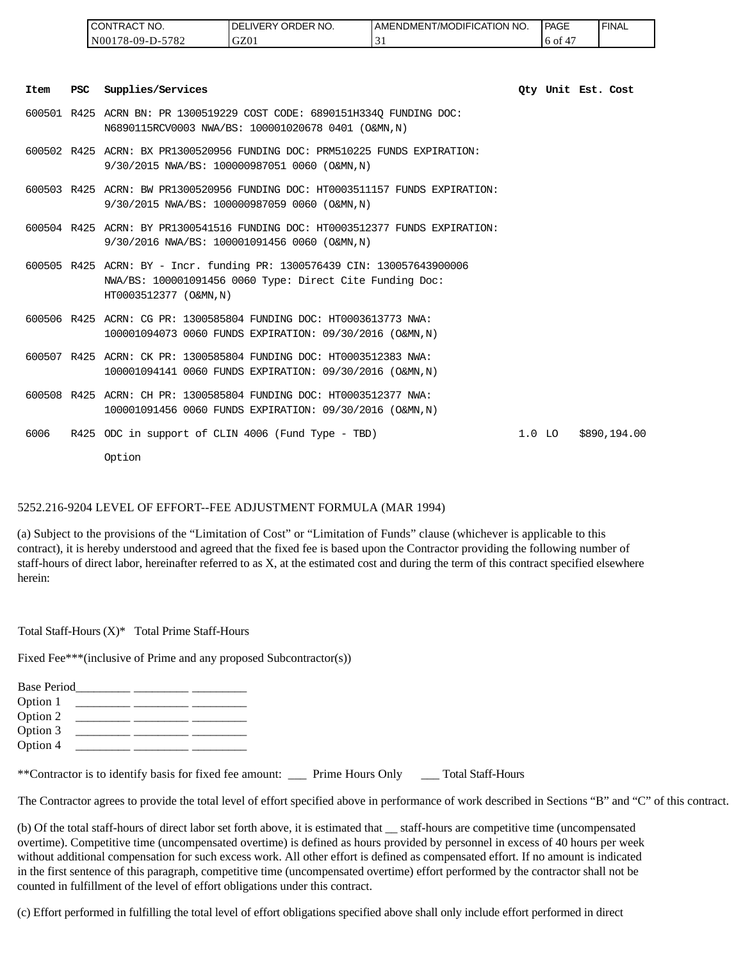| <b>CONTRACT NO.</b> | `ORDER NO.<br><b>IDEL</b><br>LIVERY ( | <b>I AMENDMENT/MODIFICATION NO.</b> | <b>PAGE</b> | ' FINAL |
|---------------------|---------------------------------------|-------------------------------------|-------------|---------|
| N00178-09-D-5782    | GZ01                                  |                                     | 6 of        |         |

| Item | PSC | Supplies/Services                                                                                                                                              |          | Oty Unit Est. Cost |              |
|------|-----|----------------------------------------------------------------------------------------------------------------------------------------------------------------|----------|--------------------|--------------|
|      |     | 600501 R425 ACRN BN: PR 1300519229 COST CODE: 6890151H334O FUNDING DOC:<br>N6890115RCV0003 NWA/BS: 100001020678 0401 (O&MN,N)                                  |          |                    |              |
|      |     | 600502 R425 ACRN: BX PR1300520956 FUNDING DOC: PRM510225 FUNDS EXPIRATION:<br>9/30/2015 NWA/BS: 100000987051 0060 (O&MN,N)                                     |          |                    |              |
|      |     | 600503 R425 ACRN: BW PR1300520956 FUNDING DOC: HT0003511157 FUNDS EXPIRATION:<br>9/30/2015 NWA/BS: 100000987059 0060 (O&MN,N)                                  |          |                    |              |
|      |     | 600504 R425 ACRN: BY PR1300541516 FUNDING DOC: HT0003512377 FUNDS EXPIRATION:<br>9/30/2016 NWA/BS: 100001091456 0060 (O&MN,N)                                  |          |                    |              |
|      |     | 600505 R425 ACRN: BY - Incr. funding PR: 1300576439 CIN: 130057643900006<br>NWA/BS: 100001091456 0060 Type: Direct Cite Funding Doc:<br>HT0003512377 (O&MN, N) |          |                    |              |
|      |     | 600506 R425 ACRN: CG PR: 1300585804 FUNDING DOC: HT0003613773 NWA:<br>100001094073 0060 FUNDS EXPIRATION: 09/30/2016 (O&MN, N)                                 |          |                    |              |
|      |     | 600507 R425 ACRN: CK PR: 1300585804 FUNDING DOC: HT0003512383 NWA:<br>100001094141 0060 FUNDS EXPIRATION: 09/30/2016 (O&MN, N)                                 |          |                    |              |
|      |     | 600508 R425 ACRN: CH PR: 1300585804 FUNDING DOC: HT0003512377 NWA:<br>100001091456 0060 FUNDS EXPIRATION: 09/30/2016 (O&MN, N)                                 |          |                    |              |
| 6006 |     | R425 ODC in support of CLIN 4006 (Fund Type - TBD)                                                                                                             | $1.0$ LO |                    | \$890,194.00 |
|      |     | Option                                                                                                                                                         |          |                    |              |

#### 5252.216-9204 LEVEL OF EFFORT--FEE ADJUSTMENT FORMULA (MAR 1994)

(a) Subject to the provisions of the "Limitation of Cost" or "Limitation of Funds" clause (whichever is applicable to this contract), it is hereby understood and agreed that the fixed fee is based upon the Contractor providing the following number of staff-hours of direct labor, hereinafter referred to as X, at the estimated cost and during the term of this contract specified elsewhere herein:

Total Staff-Hours (X)\* Total Prime Staff-Hours

Fixed Fee\*\*\*(inclusive of Prime and any proposed Subcontractor(s))

| <b>Base Period</b> |  |  |
|--------------------|--|--|
| Option 1           |  |  |
| Option 2           |  |  |
| Option 3           |  |  |
| Option 4           |  |  |

\*\*Contractor is to identify basis for fixed fee amount: \_\_\_ Prime Hours Only \_\_\_ Total Staff-Hours

The Contractor agrees to provide the total level of effort specified above in performance of work described in Sections "B" and "C" of this contract.

(b) Of the total staff-hours of direct labor set forth above, it is estimated that \_\_ staff-hours are competitive time (uncompensated overtime). Competitive time (uncompensated overtime) is defined as hours provided by personnel in excess of 40 hours per week without additional compensation for such excess work. All other effort is defined as compensated effort. If no amount is indicated in the first sentence of this paragraph, competitive time (uncompensated overtime) effort performed by the contractor shall not be counted in fulfillment of the level of effort obligations under this contract.

(c) Effort performed in fulfilling the total level of effort obligations specified above shall only include effort performed in direct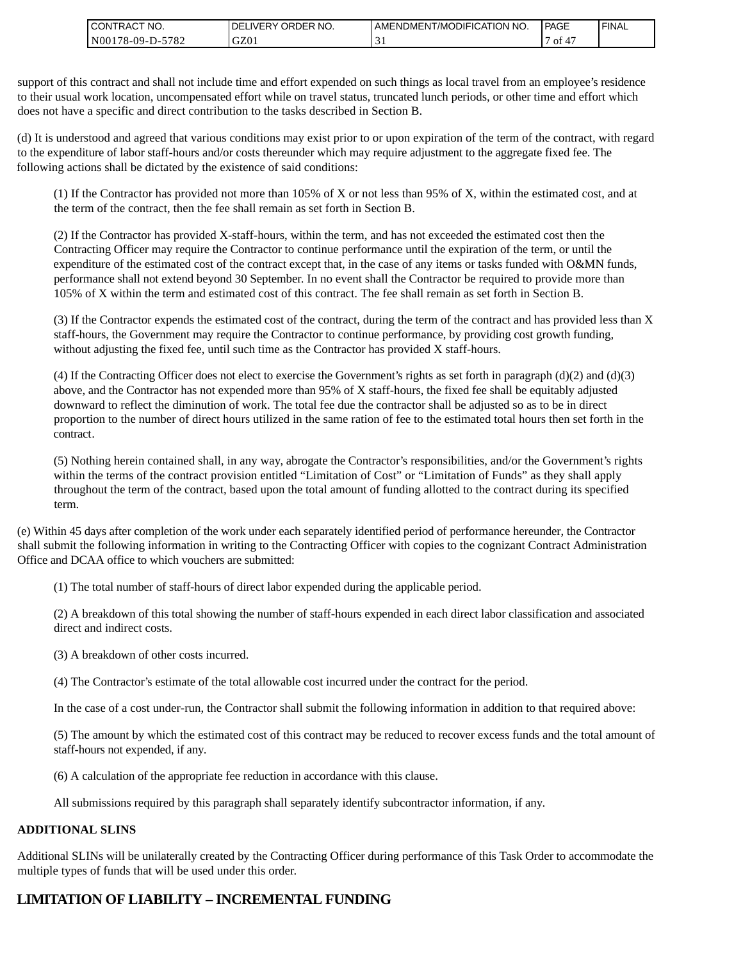| <b>CONTRACT NO.</b> | `NO.<br><b>DELIVERY ORDER</b> | I AMENDMENT/MODIFICATION NO. | <b>PAGE</b>          | ' FINAL |
|---------------------|-------------------------------|------------------------------|----------------------|---------|
| N00178-09-D-5782    | GZ01                          |                              | $\overline{A}$<br>οt |         |

support of this contract and shall not include time and effort expended on such things as local travel from an employee's residence to their usual work location, uncompensated effort while on travel status, truncated lunch periods, or other time and effort which does not have a specific and direct contribution to the tasks described in Section B.

(d) It is understood and agreed that various conditions may exist prior to or upon expiration of the term of the contract, with regard to the expenditure of labor staff-hours and/or costs thereunder which may require adjustment to the aggregate fixed fee. The following actions shall be dictated by the existence of said conditions:

(1) If the Contractor has provided not more than 105% of X or not less than 95% of X, within the estimated cost, and at the term of the contract, then the fee shall remain as set forth in Section B.

(2) If the Contractor has provided X-staff-hours, within the term, and has not exceeded the estimated cost then the Contracting Officer may require the Contractor to continue performance until the expiration of the term, or until the expenditure of the estimated cost of the contract except that, in the case of any items or tasks funded with O&MN funds, performance shall not extend beyond 30 September. In no event shall the Contractor be required to provide more than 105% of X within the term and estimated cost of this contract. The fee shall remain as set forth in Section B.

(3) If the Contractor expends the estimated cost of the contract, during the term of the contract and has provided less than X staff-hours, the Government may require the Contractor to continue performance, by providing cost growth funding, without adjusting the fixed fee, until such time as the Contractor has provided X staff-hours.

(4) If the Contracting Officer does not elect to exercise the Government's rights as set forth in paragraph (d)(2) and (d)(3) above, and the Contractor has not expended more than 95% of X staff-hours, the fixed fee shall be equitably adjusted downward to reflect the diminution of work. The total fee due the contractor shall be adjusted so as to be in direct proportion to the number of direct hours utilized in the same ration of fee to the estimated total hours then set forth in the contract.

(5) Nothing herein contained shall, in any way, abrogate the Contractor's responsibilities, and/or the Government's rights within the terms of the contract provision entitled "Limitation of Cost" or "Limitation of Funds" as they shall apply throughout the term of the contract, based upon the total amount of funding allotted to the contract during its specified term.

(e) Within 45 days after completion of the work under each separately identified period of performance hereunder, the Contractor shall submit the following information in writing to the Contracting Officer with copies to the cognizant Contract Administration Office and DCAA office to which vouchers are submitted:

(1) The total number of staff-hours of direct labor expended during the applicable period.

(2) A breakdown of this total showing the number of staff-hours expended in each direct labor classification and associated direct and indirect costs.

(3) A breakdown of other costs incurred.

(4) The Contractor's estimate of the total allowable cost incurred under the contract for the period.

In the case of a cost under-run, the Contractor shall submit the following information in addition to that required above:

(5) The amount by which the estimated cost of this contract may be reduced to recover excess funds and the total amount of staff-hours not expended, if any.

(6) A calculation of the appropriate fee reduction in accordance with this clause.

All submissions required by this paragraph shall separately identify subcontractor information, if any.

#### **ADDITIONAL SLINS**

Additional SLINs will be unilaterally created by the Contracting Officer during performance of this Task Order to accommodate the multiple types of funds that will be used under this order.

# **LIMITATION OF LIABILITY – INCREMENTAL FUNDING**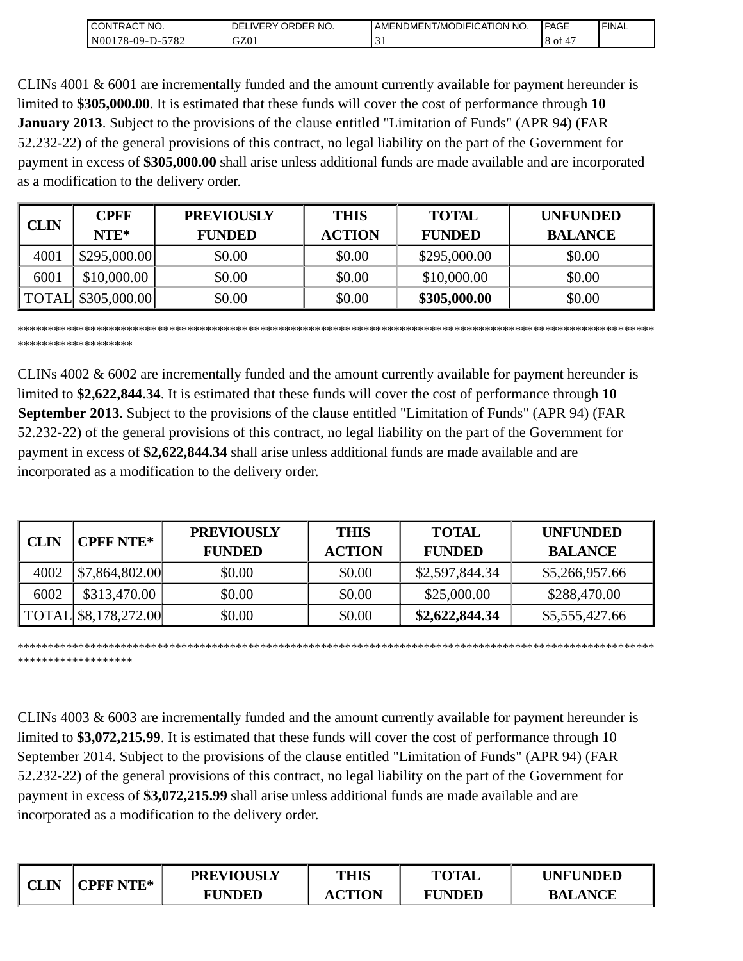| 'NO.<br>CONTRAC.           | <b>ORDER</b><br>NO.<br>DE<br>⊥⊔VER⊻ ⊺ | I AMENDMENT/MODIFICATION I<br>' NO. | PAGE | ' FINAL |
|----------------------------|---------------------------------------|-------------------------------------|------|---------|
| 5782<br>N0017<br>78-09-D-. | GZ01                                  | ◡                                   | 8 of |         |

CLINs 4001 & 6001 are incrementally funded and the amount currently available for payment hereunder is limited to **\$305,000.00**. It is estimated that these funds will cover the cost of performance through **10 January 2013**. Subject to the provisions of the clause entitled "Limitation of Funds" (APR 94) (FAR 52.232-22) of the general provisions of this contract, no legal liability on the part of the Government for payment in excess of **\$305,000.00** shall arise unless additional funds are made available and are incorporated as a modification to the delivery order.

| <b>CLIN</b> | <b>CPFF</b><br>NTE*       | <b>PREVIOUSLY</b><br><b>FUNDED</b> | <b>THIS</b><br><b>ACTION</b> | <b>TOTAL</b><br><b>FUNDED</b> | <b>UNFUNDED</b><br><b>BALANCE</b> |
|-------------|---------------------------|------------------------------------|------------------------------|-------------------------------|-----------------------------------|
| 4001        | \$295,000.00]             | \$0.00                             | \$0.00                       | \$295,000.00                  | \$0.00                            |
| 6001        | \$10,000.00               | \$0.00                             | \$0.00                       | \$10,000.00                   | \$0.00                            |
|             | <b>TOTAL</b> \$305,000.00 | \$0.00                             | \$0.00                       | \$305,000.00                  | \$0.00                            |

\*\*\*\*\*\*\*\*\*\*\*\*\*\*\*\*\*\*\*\*\*\*\*\*\*\*\*\*\*\*\*\*\*\*\*\*\*\*\*\*\*\*\*\*\*\*\*\*\*\*\*\*\*\*\*\*\*\*\*\*\*\*\*\*\*\*\*\*\*\*\*\*\*\*\*\*\*\*\*\*\*\*\*\*\*\*\*\*\*\*\*\*\*\*\*\*\*\*\*\*\*\*\*\*\*

\*\*\*\*\*\*\*\*\*\*\*\*\*\*\*\*\*\*\*

CLINs 4002 & 6002 are incrementally funded and the amount currently available for payment hereunder is limited to **\$2,622,844.34**. It is estimated that these funds will cover the cost of performance through **10 September 2013**. Subject to the provisions of the clause entitled "Limitation of Funds" (APR 94) (FAR 52.232-22) of the general provisions of this contract, no legal liability on the part of the Government for payment in excess of **\$2,622,844.34** shall arise unless additional funds are made available and are incorporated as a modification to the delivery order. **EXAMPLE TOTAL**<br> **BALANCE CONTRACT CONTRACT CONTRACT CONTRACT CONTRACT CONTRACT CONTRACT CONTRACT CONTRACT CONTRACT CONTRACT CONTRACT CONTRACT CONTRACT CONTRACT CONTRACT CONTRACT CONTRACT CONTRACT CONTRACT CONTRACT CONTRAC** 

| <b>CLIN</b> | <b>CPFF NTE*</b>     | <b>PREVIOUSLY</b><br><b>FUNDED</b> | <b>THIS</b><br><b>ACTION</b> | <b>TOTAL</b><br><b>FUNDED</b> | <b>UNFUNDED</b><br><b>BALANCE</b> |
|-------------|----------------------|------------------------------------|------------------------------|-------------------------------|-----------------------------------|
| 4002        | \$7,864,802.00       | \$0.00                             | \$0.00                       | \$2,597,844.34                | \$5,266,957.66                    |
| 6002        | \$313,470.00         | \$0.00                             | \$0.00                       | \$25,000.00                   | \$288,470.00                      |
|             | TOTAL \$8,178,272.00 | \$0.00                             | \$0.00                       | \$2,622,844.34                | \$5,555,427.66                    |

\*\*\*\*\*\*\*\*\*\*\*\*\*\*\*\*\*\*\*\*\*\*\*\*\*\*\*\*\*\*\*\*\*\*\*\*\*\*\*\*\*\*\*\*\*\*\*\*\*\*\*\*\*\*\*\*\*\*\*\*\*\*\*\*\*\*\*\*\*\*\*\*\*\*\*\*\*\*\*\*\*\*\*\*\*\*\*\*\*\*\*\*\*\*\*\*\*\*\*\*\*\*\*\*\*

\*\*\*\*\*\*\*\*\*\*\*\*\*\*\*\*\*\*\*

CLINs 4003 & 6003 are incrementally funded and the amount currently available for payment hereunder is limited to **\$3,072,215.99**. It is estimated that these funds will cover the cost of performance through 10 September 2014. Subject to the provisions of the clause entitled "Limitation of Funds" (APR 94) (FAR 52.232-22) of the general provisions of this contract, no legal liability on the part of the Government for payment in excess of **\$3,072,215.99** shall arise unless additional funds are made available and are incorporated as a modification to the delivery order.

| $\sim$ т                                       | CPFF NTF* | <b>PREVIOUSLY</b> | <b>THIS</b> | <b>TOTAL</b>  | <b>INFUNDED</b> |
|------------------------------------------------|-----------|-------------------|-------------|---------------|-----------------|
| $\mathcal{L} \mathbf{I} \mathbf{I} \mathbf{N}$ |           | <b>FUNDED</b>     | CTION       | <b>FUNDED</b> | <b>BALANCE</b>  |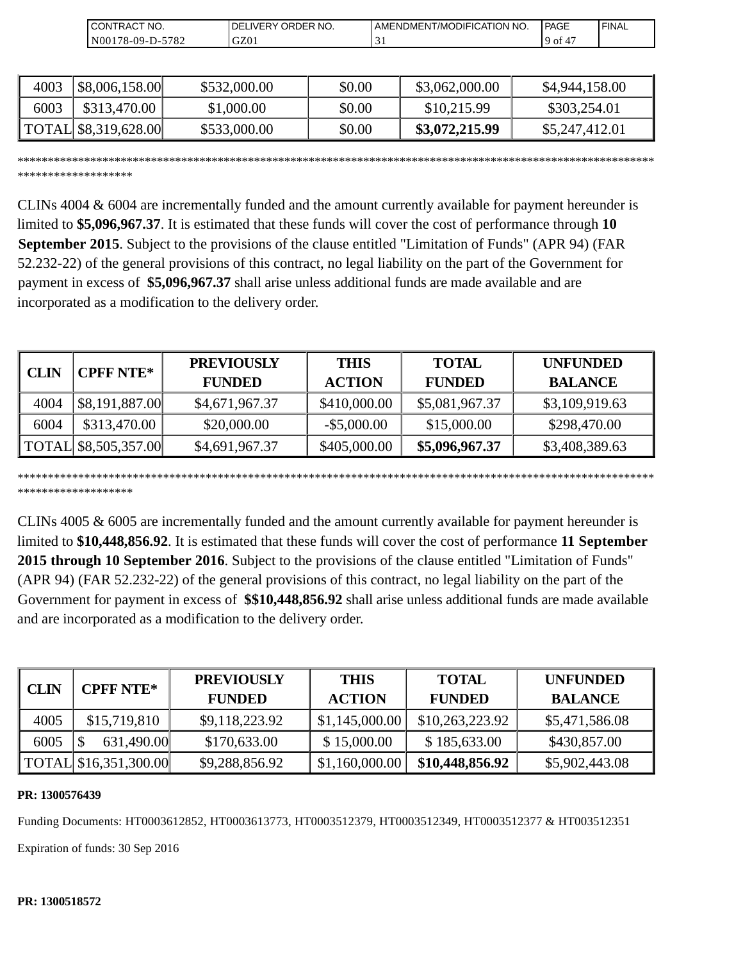| `CT NO.<br>'TRAC .<br>CON                  | ORDER NO.<br>DEI<br><b>IVER</b> | I AMENDMENT/MODIFICATION NO.  | <b>PAGE</b>                           | <b>I FINAL</b> |
|--------------------------------------------|---------------------------------|-------------------------------|---------------------------------------|----------------|
| N <sub>001</sub><br>$78-09-D$ -<br>$-5782$ | GZ01                            | $\overline{\phantom{a}}$<br>◡ | $\overline{\phantom{0}}$<br>9 of<br>4 |                |

| 4003 | \$8,006,158.00       | \$532,000.00 | \$0.00 | \$3,062,000.00 | \$4,944,158.00 |
|------|----------------------|--------------|--------|----------------|----------------|
| 6003 | \$313,470.00         | \$1,000.00   | \$0.00 | \$10,215.99    | \$303,254.01   |
|      | TOTAL \$8,319,628.00 | \$533,000.00 | \$0.00 | \$3,072,215.99 | \$5,247,412.01 |

\*\*\*\*\*\*\*\*\*\*\*\*\*\*\*\*\*\*\*\*\*\*\*\*\*\*\*\*\*\*\*\*\*\*\*\*\*\*\*\*\*\*\*\*\*\*\*\*\*\*\*\*\*\*\*\*\*\*\*\*\*\*\*\*\*\*\*\*\*\*\*\*\*\*\*\*\*\*\*\*\*\*\*\*\*\*\*\*\*\*\*\*\*\*\*\*\*\*\*\*\*\*\*\*\* \*\*\*\*\*\*\*\*\*\*\*\*\*\*\*\*\*\*\*

CLINs 4004 & 6004 are incrementally funded and the amount currently available for payment hereunder is limited to **\$5,096,967.37**. It is estimated that these funds will cover the cost of performance through **10 September 2015**. Subject to the provisions of the clause entitled "Limitation of Funds" (APR 94) (FAR 52.232-22) of the general provisions of this contract, no legal liability on the part of the Government for payment in excess of **\$5,096,967.37** shall arise unless additional funds are made available and are incorporated as a modification to the delivery order.

|             | <b>CPFF NTE*</b>     | <b>PREVIOUSLY</b> | <b>THIS</b>    | <b>TOTAL</b>   | <b>UNFUNDED</b> |
|-------------|----------------------|-------------------|----------------|----------------|-----------------|
| <b>CLIN</b> |                      | <b>FUNDED</b>     | <b>ACTION</b>  | <b>FUNDED</b>  | <b>BALANCE</b>  |
| 4004        | \$8,191,887.00       | \$4,671,967.37    | \$410,000.00   | \$5,081,967.37 | \$3,109,919.63  |
| 6004        | \$313,470.00         | \$20,000.00       | $-$ \$5,000.00 | \$15,000.00    | \$298,470.00    |
|             | TOTAL \$8,505,357.00 | \$4,691,967.37    | \$405,000.00   | \$5,096,967.37 | \$3,408,389.63  |

\*\*\*\*\*\*\*\*\*\*\*\*\*\*\*\*\*\*\*\*\*\*\*\*\*\*\*\*\*\*\*\*\*\*\*\*\*\*\*\*\*\*\*\*\*\*\*\*\*\*\*\*\*\*\*\*\*\*\*\*\*\*\*\*\*\*\*\*\*\*\*\*\*\*\*\*\*\*\*\*\*\*\*\*\*\*\*\*\*\*\*\*\*\*\*\*\*\*\*\*\*\*\*\*\* \*\*\*\*\*\*\*\*\*\*\*\*\*\*\*\*\*\*\*

CLINs 4005 & 6005 are incrementally funded and the amount currently available for payment hereunder is limited to **\$10,448,856.92**. It is estimated that these funds will cover the cost of performance **11 September 2015 through 10 September 2016**. Subject to the provisions of the clause entitled "Limitation of Funds" (APR 94) (FAR 52.232-22) of the general provisions of this contract, no legal liability on the part of the Government for payment in excess of **\$\$10,448,856.92** shall arise unless additional funds are made available and are incorporated as a modification to the delivery order.

| <b>CLIN</b> | <b>CPFF NTE*</b>      | <b>PREVIOUSLY</b><br><b>FUNDED</b> | <b>THIS</b><br><b>ACTION</b> | <b>TOTAL</b><br><b>FUNDED</b> | <b>UNFUNDED</b><br><b>BALANCE</b> |
|-------------|-----------------------|------------------------------------|------------------------------|-------------------------------|-----------------------------------|
| 4005        | \$15,719,810          | \$9,118,223.92                     | \$1,145,000.00               | \$10,263,223.92               | \$5,471,586.08                    |
| 6005        | 631,490.00            | \$170,633.00                       | \$15,000.00                  | \$185,633.00                  | \$430,857.00                      |
|             | TOTAL \$16,351,300.00 | \$9,288,856.92                     | \$1,160,000.00               | \$10,448,856.92               | \$5,902,443.08                    |

#### **PR: 1300576439**

Funding Documents: HT0003612852, HT0003613773, HT0003512379, HT0003512349, HT0003512377 & HT003512351

Expiration of funds: 30 Sep 2016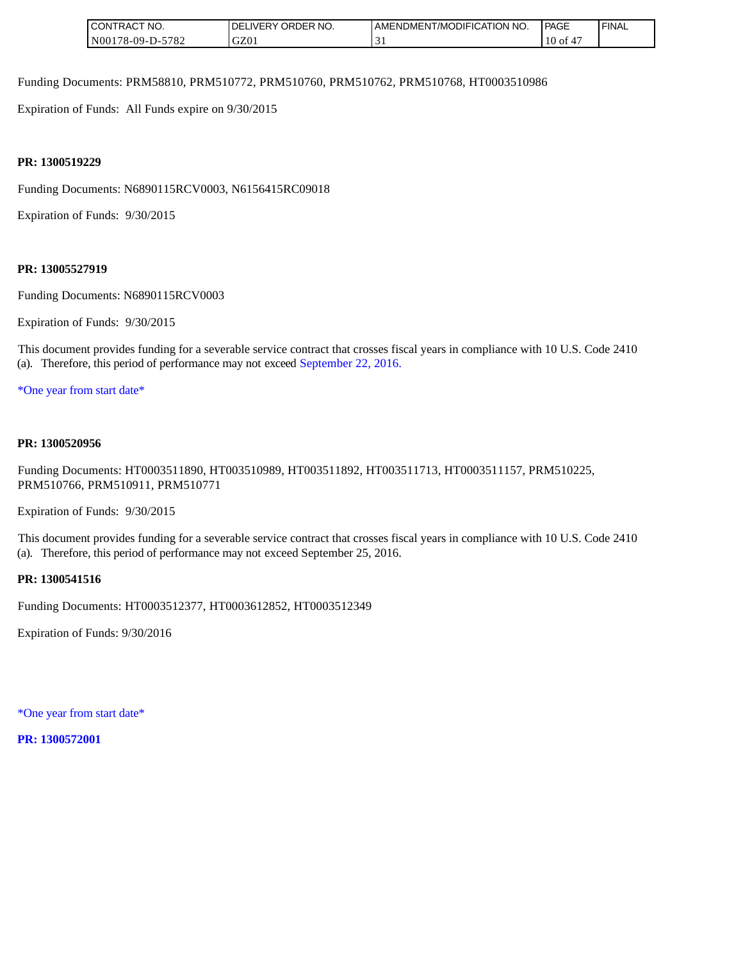| NO.<br>RAC <sup>.</sup><br><b>CONT</b>                 | ORDER NO.<br>DΕ<br>177FR | I AMENDMENT/MODIFICATION<br>'NO. | PAGE    | 'FINAL |
|--------------------------------------------------------|--------------------------|----------------------------------|---------|--------|
| 5700<br>N <sub>001</sub><br>$, 8 - 09 - D - 5$<br>2ه ا | GZ01                     | ◡                                | $10$ of |        |

Funding Documents: PRM58810, PRM510772, PRM510760, PRM510762, PRM510768, HT0003510986

Expiration of Funds: All Funds expire on 9/30/2015

#### **PR: 1300519229**

Funding Documents: N6890115RCV0003, N6156415RC09018

Expiration of Funds: 9/30/2015

#### **PR: 13005527919**

Funding Documents: N6890115RCV0003

Expiration of Funds: 9/30/2015

This document provides funding for a severable service contract that crosses fiscal years in compliance with 10 U.S. Code 2410 (a). Therefore, this period of performance may not exceed September 22, 2016.

\*One year from start date\*

#### **PR: 1300520956**

Funding Documents: HT0003511890, HT003510989, HT003511892, HT003511713, HT0003511157, PRM510225, PRM510766, PRM510911, PRM510771

Expiration of Funds: 9/30/2015

This document provides funding for a severable service contract that crosses fiscal years in compliance with 10 U.S. Code 2410 (a). Therefore, this period of performance may not exceed September 25, 2016.

#### **PR: 1300541516**

Funding Documents: HT0003512377, HT0003612852, HT0003512349

Expiration of Funds: 9/30/2016

\*One year from start date\*

**PR: 1300572001**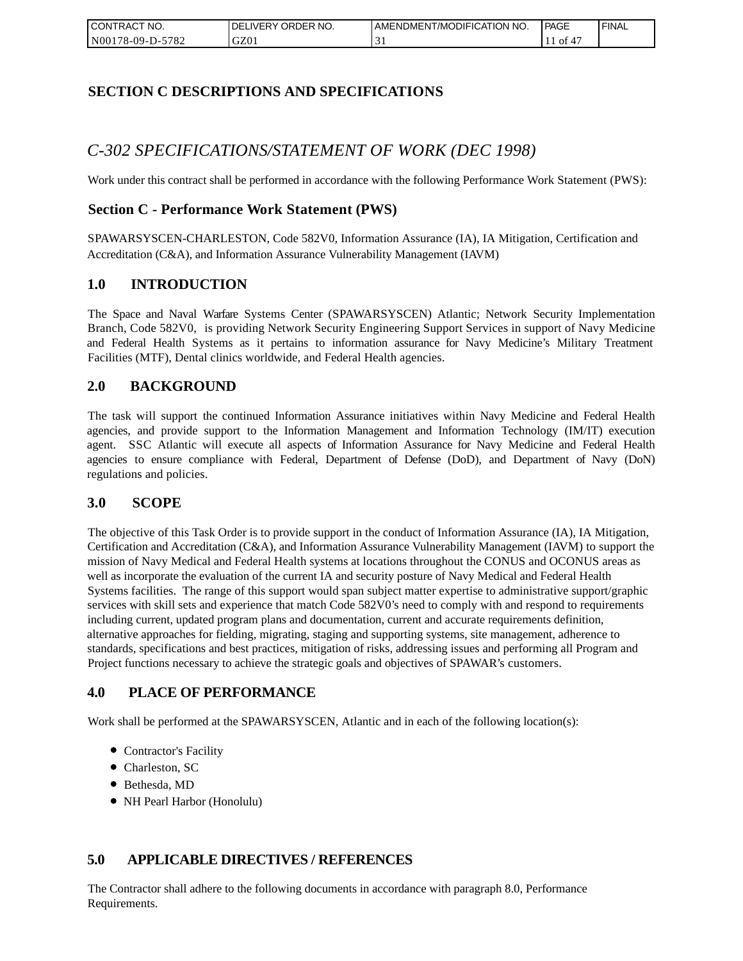| I CONTRACT NO.   | DELIVERY ORDER NO. | AMENDMENT/MODIFICATION NO. | PAGE | 'FINAL |
|------------------|--------------------|----------------------------|------|--------|
| N00178-09-D-5782 | GZ01               |                            | ОĪ   |        |

## **SECTION C DESCRIPTIONS AND SPECIFICATIONS**

# *C-302 SPECIFICATIONS/STATEMENT OF WORK (DEC 1998)*

Work under this contract shall be performed in accordance with the following Performance Work Statement (PWS):

### **Section C - Performance Work Statement (PWS)**

SPAWARSYSCEN-CHARLESTON, Code 582V0, Information Assurance (IA), IA Mitigation, Certification and Accreditation (C&A), and Information Assurance Vulnerability Management (IAVM)

#### **1.0 INTRODUCTION**

The Space and Naval Warfare Systems Center (SPAWARSYSCEN) Atlantic; Network Security Implementation Branch, Code 582V0, is providing Network Security Engineering Support Services in support of Navy Medicine and Federal Health Systems as it pertains to information assurance for Navy Medicine's Military Treatment Facilities (MTF), Dental clinics worldwide, and Federal Health agencies.

### **2.0 BACKGROUND**

The task will support the continued Information Assurance initiatives within Navy Medicine and Federal Health agencies, and provide support to the Information Management and Information Technology (IM/IT) execution agent. SSC Atlantic will execute all aspects of Information Assurance for Navy Medicine and Federal Health agencies to ensure compliance with Federal, Department of Defense (DoD), and Department of Navy (DoN) regulations and policies.

#### **3.0 SCOPE**

The objective of this Task Order is to provide support in the conduct of Information Assurance (IA), IA Mitigation, Certification and Accreditation (C&A), and Information Assurance Vulnerability Management (IAVM) to support the mission of Navy Medical and Federal Health systems at locations throughout the CONUS and OCONUS areas as well as incorporate the evaluation of the current IA and security posture of Navy Medical and Federal Health Systems facilities. The range of this support would span subject matter expertise to administrative support/graphic services with skill sets and experience that match Code 582V0's need to comply with and respond to requirements including current, updated program plans and documentation, current and accurate requirements definition, alternative approaches for fielding, migrating, staging and supporting systems, site management, adherence to standards, specifications and best practices, mitigation of risks, addressing issues and performing all Program and Project functions necessary to achieve the strategic goals and objectives of SPAWAR's customers.

### **4.0 PLACE OF PERFORMANCE**

Work shall be performed at the SPAWARSYSCEN, Atlantic and in each of the following location(s):

- Contractor's Facility
- Charleston, SC
- Bethesda, MD
- NH Pearl Harbor (Honolulu)

### **5.0 APPLICABLE DIRECTIVES / REFERENCES**

The Contractor shall adhere to the following documents in accordance with paragraph 8.0, Performance Requirements.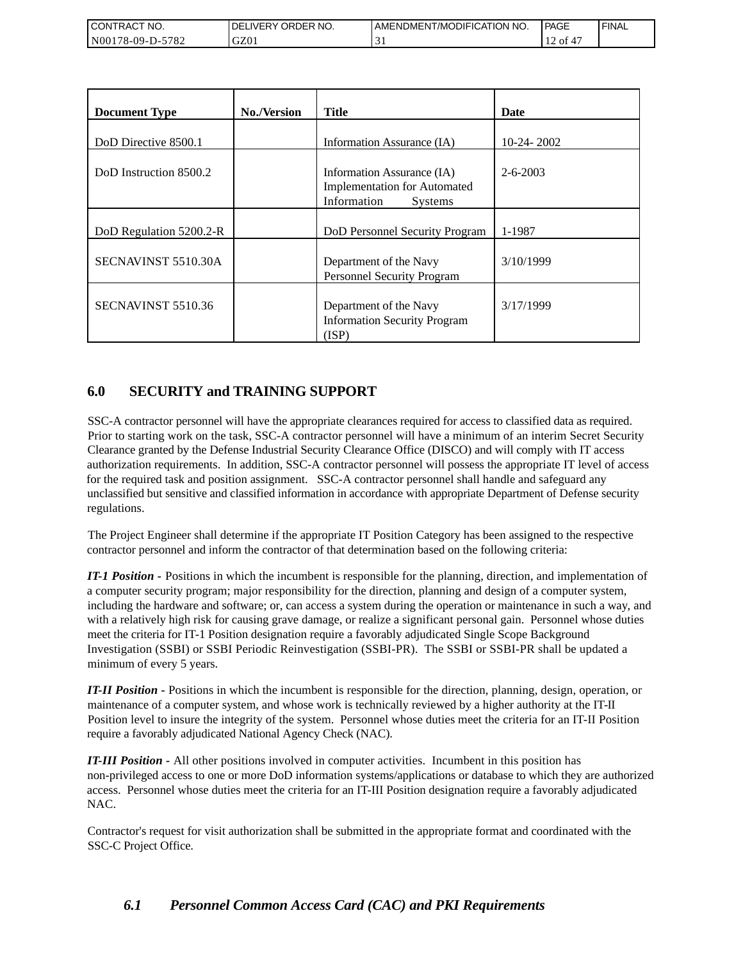| CONTRACT<br>`CT NO. | <b>IDELIVERY ORDER NO.</b> | AMENDMENT/MODIFICATION NO. | PAGE | 'FINAL |
|---------------------|----------------------------|----------------------------|------|--------|
| N00178-09-D-5782    | GZ01                       |                            | ` of |        |

| <b>Document Type</b>    | <b>No./Version</b> | <b>Title</b>                                                                                       | <b>Date</b>    |
|-------------------------|--------------------|----------------------------------------------------------------------------------------------------|----------------|
| DoD Directive 8500.1    |                    | Information Assurance (IA)                                                                         | $10-24-2002$   |
| DoD Instruction 8500.2  |                    | Information Assurance (IA)<br><b>Implementation for Automated</b><br>Information<br><b>Systems</b> | $2 - 6 - 2003$ |
| DoD Regulation 5200.2-R |                    | DoD Personnel Security Program                                                                     | 1-1987         |
| SECNAVINST 5510.30A     |                    | Department of the Navy<br>Personnel Security Program                                               | 3/10/1999      |
| SECNAVINST 5510.36      |                    | Department of the Navy<br><b>Information Security Program</b><br>(ISP)                             | 3/17/1999      |

# **6.0 SECURITY and TRAINING SUPPORT**

SSC-A contractor personnel will have the appropriate clearances required for access to classified data as required. Prior to starting work on the task, SSC-A contractor personnel will have a minimum of an interim Secret Security Clearance granted by the Defense Industrial Security Clearance Office (DISCO) and will comply with IT access authorization requirements. In addition, SSC-A contractor personnel will possess the appropriate IT level of access for the required task and position assignment. SSC-A contractor personnel shall handle and safeguard any unclassified but sensitive and classified information in accordance with appropriate Department of Defense security regulations.

The Project Engineer shall determine if the appropriate IT Position Category has been assigned to the respective contractor personnel and inform the contractor of that determination based on the following criteria:

*IT-1 Position -* Positions in which the incumbent is responsible for the planning, direction, and implementation of a computer security program; major responsibility for the direction, planning and design of a computer system, including the hardware and software; or, can access a system during the operation or maintenance in such a way, and with a relatively high risk for causing grave damage, or realize a significant personal gain. Personnel whose duties meet the criteria for IT-1 Position designation require a favorably adjudicated Single Scope Background Investigation (SSBI) or SSBI Periodic Reinvestigation (SSBI-PR). The SSBI or SSBI-PR shall be updated a minimum of every 5 years.

*IT-II Position -* Positions in which the incumbent is responsible for the direction, planning, design, operation, or maintenance of a computer system, and whose work is technically reviewed by a higher authority at the IT-II Position level to insure the integrity of the system. Personnel whose duties meet the criteria for an IT-II Position require a favorably adjudicated National Agency Check (NAC).

*IT-III Position -* All other positions involved in computer activities. Incumbent in this position has non-privileged access to one or more DoD information systems/applications or database to which they are authorized access. Personnel whose duties meet the criteria for an IT-III Position designation require a favorably adjudicated NAC.

Contractor's request for visit authorization shall be submitted in the appropriate format and coordinated with the SSC-C Project Office.

# *6.1 Personnel Common Access Card (CAC) and PKI Requirements*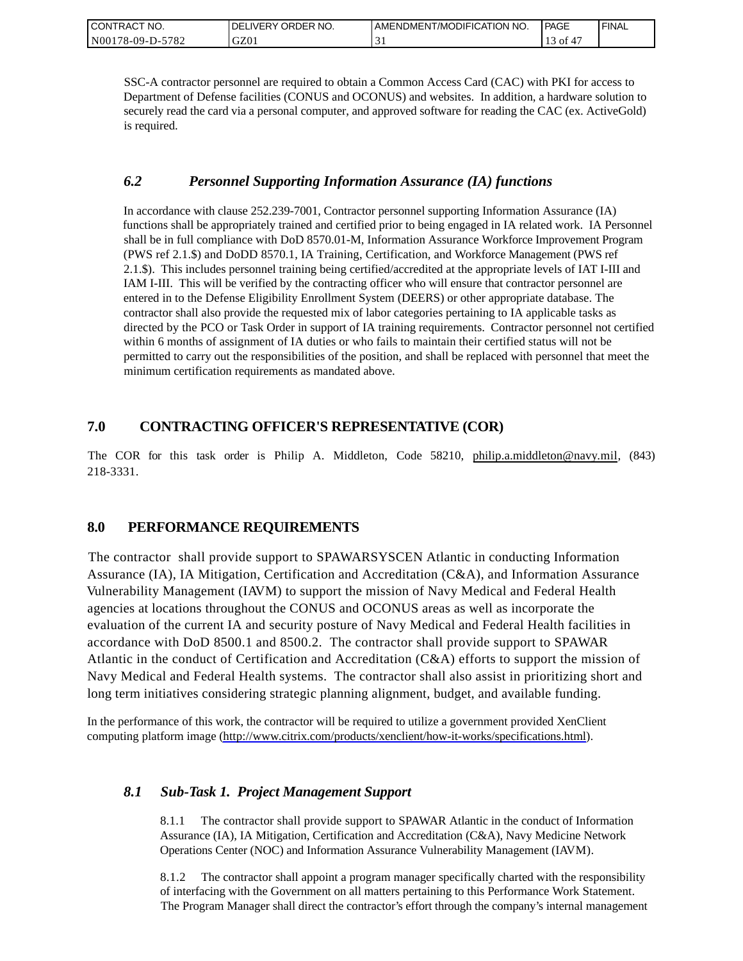| CONTRACT NO.     | ORDER NO.<br><b>DELIVERY</b> | I AMENDMENT/MODIFICATION NO. | PAGE | ' FINAL |
|------------------|------------------------------|------------------------------|------|---------|
| N00178-09-D-5782 | GZ01                         |                              | 0Ī   |         |

SSC-A contractor personnel are required to obtain a Common Access Card (CAC) with PKI for access to Department of Defense facilities (CONUS and OCONUS) and websites. In addition, a hardware solution to securely read the card via a personal computer, and approved software for reading the CAC (ex. ActiveGold) is required.

### *6.2 Personnel Supporting Information Assurance (IA) functions*

In accordance with clause 252.239-7001, Contractor personnel supporting Information Assurance (IA) functions shall be appropriately trained and certified prior to being engaged in IA related work. IA Personnel shall be in full compliance with DoD 8570.01-M, Information Assurance Workforce Improvement Program (PWS ref 2.1.\$) and DoDD 8570.1, IA Training, Certification, and Workforce Management (PWS ref 2.1.\$). This includes personnel training being certified/accredited at the appropriate levels of IAT I-III and IAM I-III. This will be verified by the contracting officer who will ensure that contractor personnel are entered in to the Defense Eligibility Enrollment System (DEERS) or other appropriate database. The contractor shall also provide the requested mix of labor categories pertaining to IA applicable tasks as directed by the PCO or Task Order in support of IA training requirements. Contractor personnel not certified within 6 months of assignment of IA duties or who fails to maintain their certified status will not be permitted to carry out the responsibilities of the position, and shall be replaced with personnel that meet the minimum certification requirements as mandated above.

## **7.0 CONTRACTING OFFICER'S REPRESENTATIVE (COR)**

The COR for this task order is Philip A. Middleton, Code 58210, [philip.a.middleton@navy.mil,](mailto:cphilip.a.middleton@navy.mil) (843) 218-3331.

### **8.0 PERFORMANCE REQUIREMENTS**

The contractor shall provide support to SPAWARSYSCEN Atlantic in conducting Information Assurance (IA), IA Mitigation, Certification and Accreditation (C&A), and Information Assurance Vulnerability Management (IAVM) to support the mission of Navy Medical and Federal Health agencies at locations throughout the CONUS and OCONUS areas as well as incorporate the evaluation of the current IA and security posture of Navy Medical and Federal Health facilities in accordance with DoD 8500.1 and 8500.2. The contractor shall provide support to SPAWAR Atlantic in the conduct of Certification and Accreditation (C&A) efforts to support the mission of Navy Medical and Federal Health systems. The contractor shall also assist in prioritizing short and long term initiatives considering strategic planning alignment, budget, and available funding.

In the performance of this work, the contractor will be required to utilize a government provided XenClient computing platform image [\(http://www.citrix.com/products/xenclient/how-it-works/specifications.html\)](http://www.citrix.com/products/xenclient/how-it-works/specifications.html).

### *8.1 Sub-Task 1. Project Management Support*

8.1.1 The contractor shall provide support to SPAWAR Atlantic in the conduct of Information Assurance (IA), IA Mitigation, Certification and Accreditation (C&A), Navy Medicine Network Operations Center (NOC) and Information Assurance Vulnerability Management (IAVM).

8.1.2 The contractor shall appoint a program manager specifically charted with the responsibility of interfacing with the Government on all matters pertaining to this Performance Work Statement. The Program Manager shall direct the contractor's effort through the company's internal management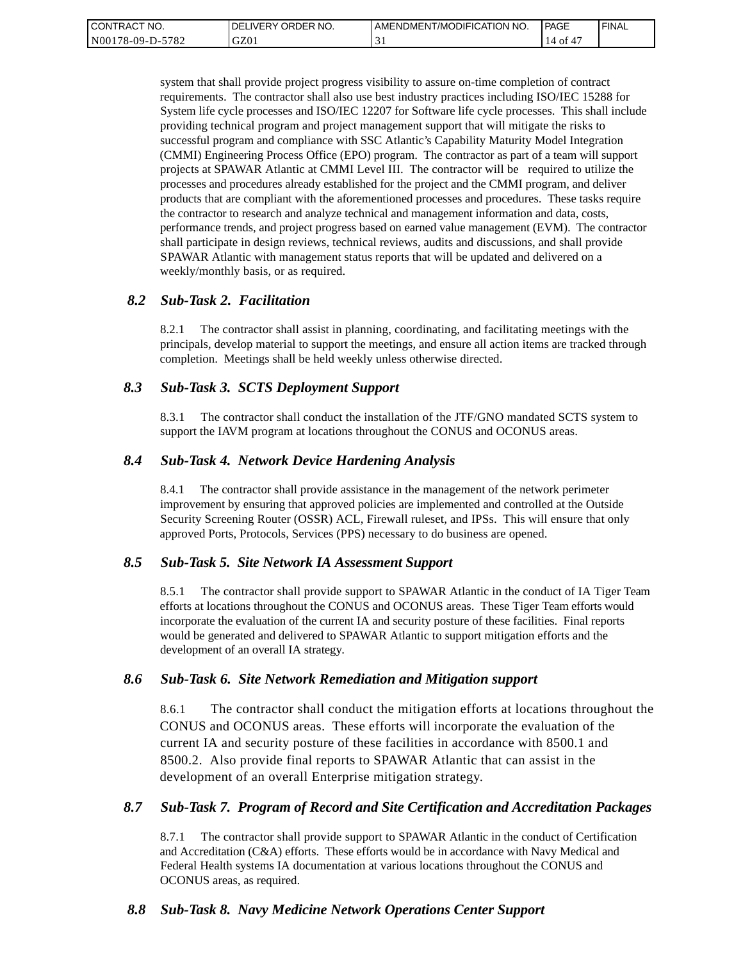| <b>CONTRACT</b><br>" NO. | ' ORDER NO.<br><b>DELIVERY</b> | I AMENDMENT/MODIFICATION NO. | PAGE     | ' FINAL |
|--------------------------|--------------------------------|------------------------------|----------|---------|
| N00178-09-D-5782         | GZ01                           | ◡                            | ΟĪ<br>14 |         |

system that shall provide project progress visibility to assure on-time completion of contract requirements. The contractor shall also use best industry practices including ISO/IEC 15288 for System life cycle processes and ISO/IEC 12207 for Software life cycle processes. This shall include providing technical program and project management support that will mitigate the risks to successful program and compliance with SSC Atlantic's Capability Maturity Model Integration (CMMI) Engineering Process Office (EPO) program. The contractor as part of a team will support projects at SPAWAR Atlantic at CMMI Level III. The contractor will be required to utilize the processes and procedures already established for the project and the CMMI program, and deliver products that are compliant with the aforementioned processes and procedures. These tasks require the contractor to research and analyze technical and management information and data, costs, performance trends, and project progress based on earned value management (EVM). The contractor shall participate in design reviews, technical reviews, audits and discussions, and shall provide SPAWAR Atlantic with management status reports that will be updated and delivered on a weekly/monthly basis, or as required.

#### *8.2 Sub-Task 2. Facilitation*

8.2.1 The contractor shall assist in planning, coordinating, and facilitating meetings with the principals, develop material to support the meetings, and ensure all action items are tracked through completion. Meetings shall be held weekly unless otherwise directed.

#### *8.3 Sub-Task 3. SCTS Deployment Support*

8.3.1 The contractor shall conduct the installation of the JTF/GNO mandated SCTS system to support the IAVM program at locations throughout the CONUS and OCONUS areas.

#### *8.4 Sub-Task 4. Network Device Hardening Analysis*

8.4.1 The contractor shall provide assistance in the management of the network perimeter improvement by ensuring that approved policies are implemented and controlled at the Outside Security Screening Router (OSSR) ACL, Firewall ruleset, and IPSs. This will ensure that only approved Ports, Protocols, Services (PPS) necessary to do business are opened.

#### *8.5 Sub-Task 5. Site Network IA Assessment Support*

8.5.1 The contractor shall provide support to SPAWAR Atlantic in the conduct of IA Tiger Team efforts at locations throughout the CONUS and OCONUS areas. These Tiger Team efforts would incorporate the evaluation of the current IA and security posture of these facilities. Final reports would be generated and delivered to SPAWAR Atlantic to support mitigation efforts and the development of an overall IA strategy.

#### *8.6 Sub-Task 6. Site Network Remediation and Mitigation support*

8.6.1 The contractor shall conduct the mitigation efforts at locations throughout the CONUS and OCONUS areas. These efforts will incorporate the evaluation of the current IA and security posture of these facilities in accordance with 8500.1 and 8500.2. Also provide final reports to SPAWAR Atlantic that can assist in the development of an overall Enterprise mitigation strategy.

#### *8.7 Sub-Task 7. Program of Record and Site Certification and Accreditation Packages*

8.7.1 The contractor shall provide support to SPAWAR Atlantic in the conduct of Certification and Accreditation (C&A) efforts. These efforts would be in accordance with Navy Medical and Federal Health systems IA documentation at various locations throughout the CONUS and OCONUS areas, as required.

#### *8.8 Sub-Task 8. Navy Medicine Network Operations Center Support*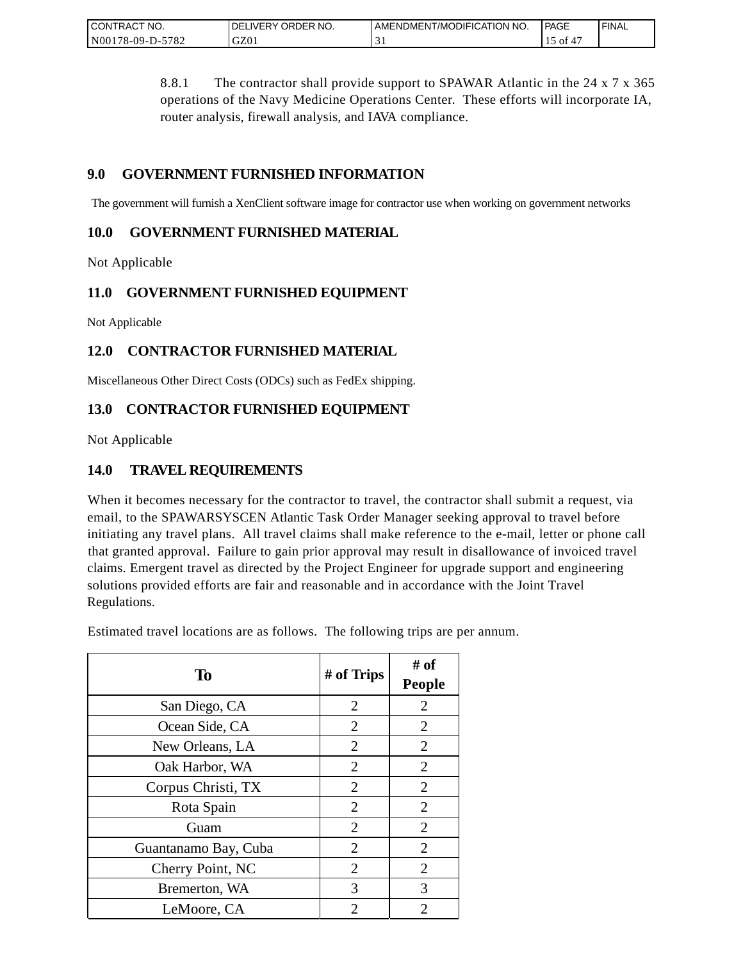| CONTRACT NO.                | ORDER NO.<br>DELIVERY | AMENDMENT/MODIFICATION NO. | PAGE | <b>FINAL</b> |
|-----------------------------|-----------------------|----------------------------|------|--------------|
| $-5782$<br>N00<br>78-09-D-5 | GZ0                   |                            | ΟĪ   |              |

8.8.1 The contractor shall provide support to SPAWAR Atlantic in the 24 x 7 x 365 operations of the Navy Medicine Operations Center. These efforts will incorporate IA, router analysis, firewall analysis, and IAVA compliance.

## **9.0 GOVERNMENT FURNISHED INFORMATION**

The government will furnish a XenClient software image for contractor use when working on government networks

### **10.0 GOVERNMENT FURNISHED MATERIAL**

Not Applicable

## **11.0 GOVERNMENT FURNISHED EQUIPMENT**

Not Applicable

# **12.0 CONTRACTOR FURNISHED MATERIAL**

Miscellaneous Other Direct Costs (ODCs) such as FedEx shipping.

## **13.0 CONTRACTOR FURNISHED EQUIPMENT**

Not Applicable

## **14.0 TRAVEL REQUIREMENTS**

When it becomes necessary for the contractor to travel, the contractor shall submit a request, via email, to the SPAWARSYSCEN Atlantic Task Order Manager seeking approval to travel before initiating any travel plans. All travel claims shall make reference to the e-mail, letter or phone call that granted approval. Failure to gain prior approval may result in disallowance of invoiced travel claims. Emergent travel as directed by the Project Engineer for upgrade support and engineering solutions provided efforts are fair and reasonable and in accordance with the Joint Travel Regulations.

Estimated travel locations are as follows. The following trips are per annum.

| To                   | # of Trips     | # of<br><b>People</b> |
|----------------------|----------------|-----------------------|
| San Diego, CA        | $\overline{2}$ | $\overline{2}$        |
| Ocean Side, CA       | $\overline{2}$ | $\overline{2}$        |
| New Orleans, LA      | 2              | 2                     |
| Oak Harbor, WA       | $\overline{2}$ | $\overline{2}$        |
| Corpus Christi, TX   | 2              | $\overline{2}$        |
| Rota Spain           | $\overline{2}$ | $\overline{2}$        |
| Guam                 | $\overline{2}$ | $\overline{2}$        |
| Guantanamo Bay, Cuba | 2              | $\overline{2}$        |
| Cherry Point, NC     | $\overline{2}$ | $\overline{2}$        |
| Bremerton, WA        | 3              | 3                     |
| LeMoore, CA          | 2              | 2                     |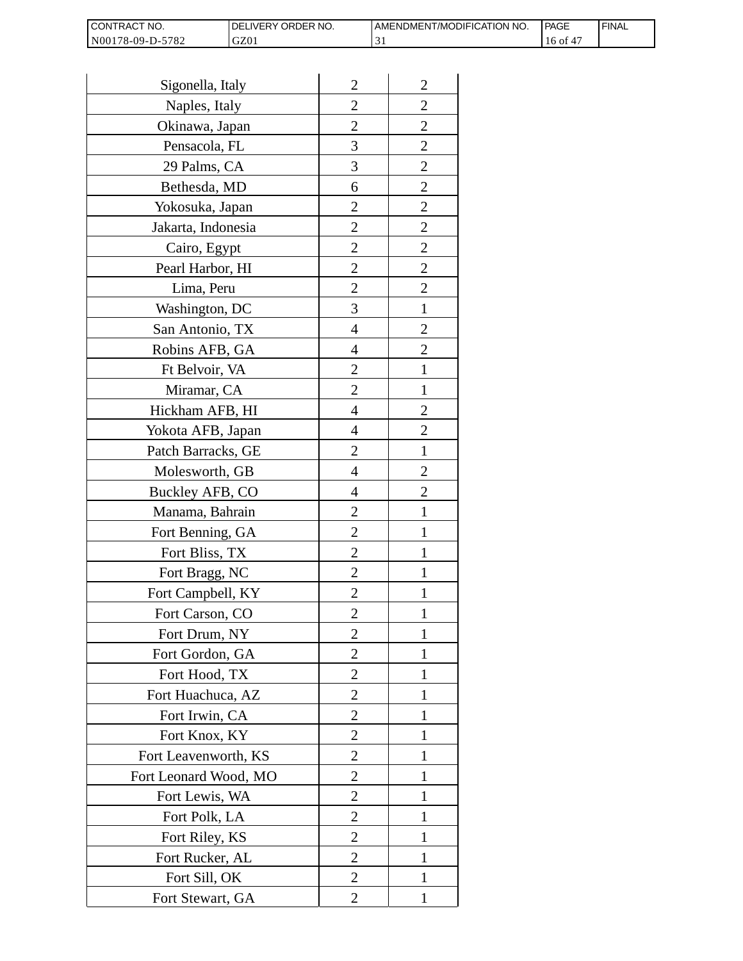| I CONTRACT NO.   | <b>IDELIVERY ORDER NO.</b> | AMENDMENT/MODIFICATION NO. | PAGE  | 'FINAL |
|------------------|----------------------------|----------------------------|-------|--------|
| N00178-09-D-5782 | GZ01                       |                            | 16 of |        |

| Sigonella, Italy      | $\overline{2}$ | $\overline{2}$ |
|-----------------------|----------------|----------------|
| Naples, Italy         | $\overline{c}$ | $\overline{c}$ |
| Okinawa, Japan        | $\overline{c}$ | $\overline{c}$ |
| Pensacola, FL         | 3              | $\overline{c}$ |
| 29 Palms, CA          | 3              | $\overline{2}$ |
| Bethesda, MD          | 6              | $\overline{2}$ |
| Yokosuka, Japan       | 2              | $\overline{c}$ |
| Jakarta, Indonesia    | $\overline{c}$ | $\overline{c}$ |
| Cairo, Egypt          | $\overline{c}$ | $\overline{c}$ |
| Pearl Harbor, HI      | $\overline{2}$ | $\overline{2}$ |
| Lima, Peru            | $\overline{c}$ | $\overline{2}$ |
| Washington, DC        | 3              | $\mathbf{1}$   |
| San Antonio, TX       | 4              | $\overline{c}$ |
| Robins AFB, GA        | 4              | $\overline{c}$ |
| Ft Belvoir, VA        | $\overline{c}$ | $\mathbf{1}$   |
| Miramar, CA           | $\overline{2}$ | 1              |
| Hickham AFB, HI       | 4              | $\overline{2}$ |
| Yokota AFB, Japan     | 4              | $\overline{c}$ |
| Patch Barracks, GE    | $\overline{2}$ | $\mathbf{1}$   |
| Molesworth, GB        | 4              | $\overline{2}$ |
| Buckley AFB, CO       | 4              | $\overline{c}$ |
| Manama, Bahrain       | $\overline{c}$ | $\mathbf{1}$   |
| Fort Benning, GA      | $\overline{c}$ | 1              |
| Fort Bliss, TX        | $\overline{c}$ | 1              |
| Fort Bragg, NC        | $\overline{2}$ | 1              |
| Fort Campbell, KY     | $\overline{c}$ |                |
| Fort Carson, CO       | $\overline{c}$ | 1              |
| Fort Drum, NY         | $\overline{2}$ | 1              |
| Fort Gordon, GA       | $\overline{2}$ | 1              |
| Fort Hood, TX         | $\overline{2}$ | I              |
| Fort Huachuca, AZ     | 2              | 1              |
| Fort Irwin, CA        | $\overline{c}$ | 1              |
| Fort Knox, KY         | $\overline{c}$ | 1              |
| Fort Leavenworth, KS  | $\overline{2}$ | $\mathbf{1}$   |
| Fort Leonard Wood, MO | $\overline{2}$ | 1              |
| Fort Lewis, WA        | 2              | 1              |
| Fort Polk, LA         | 2              | 1              |
| Fort Riley, KS        | $\overline{c}$ | 1              |
| Fort Rucker, AL       | $\overline{c}$ | 1              |
| Fort Sill, OK         | 2              | 1              |
| Fort Stewart, GA      | 2              | 1              |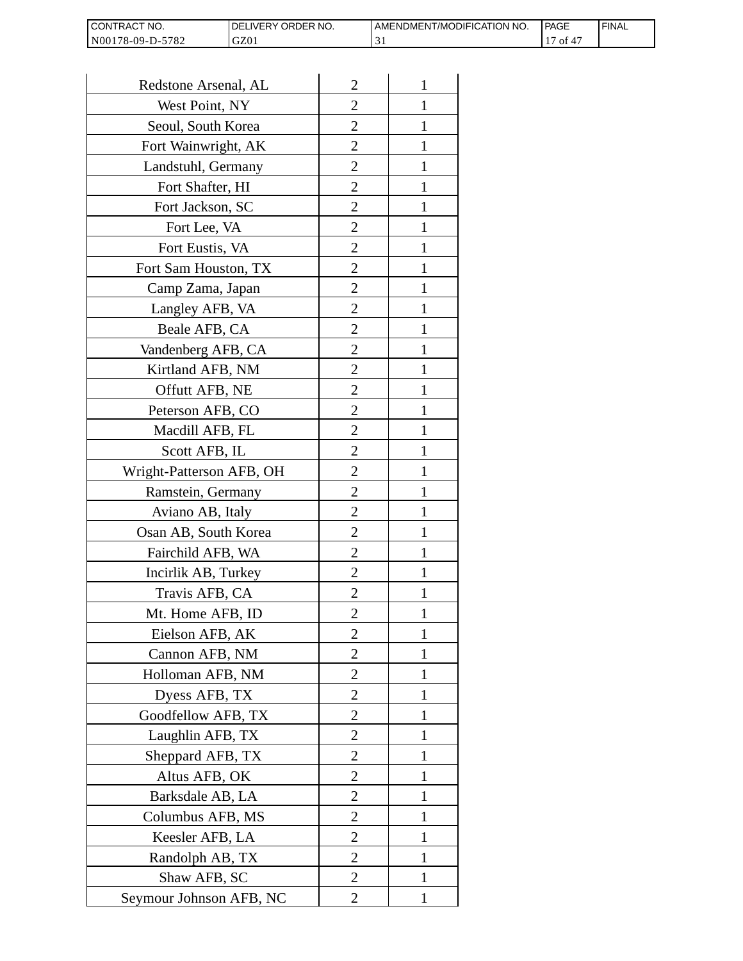| CONTRACT<br>`CT NO.      | NO.<br>' ORDER<br><b>DELIVERY</b> | AMENDMENT/MODIFICATION NO. | l PAGE | 'FINAL |
|--------------------------|-----------------------------------|----------------------------|--------|--------|
| N00178-09-D-5<br>$-5782$ | GZ01                              | . .                        | 0Ī     |        |

| Redstone Arsenal, AL     | $\overline{2}$ | 1            |
|--------------------------|----------------|--------------|
| West Point, NY           | $\overline{2}$ | 1            |
| Seoul, South Korea       | $\overline{2}$ | 1            |
| Fort Wainwright, AK      | $\overline{c}$ | 1            |
| Landstuhl, Germany       | $\overline{2}$ | 1            |
| Fort Shafter, HI         | $\overline{2}$ | 1            |
| Fort Jackson, SC         | 2              | 1            |
| Fort Lee, VA             | 2              | 1            |
| Fort Eustis, VA          | 2              | 1            |
| Fort Sam Houston, TX     | $\overline{c}$ | 1            |
| Camp Zama, Japan         | $\overline{2}$ | 1            |
| Langley AFB, VA          | $\overline{2}$ | 1            |
| Beale AFB, CA            | $\overline{c}$ | 1            |
| Vandenberg AFB, CA       | 2              | 1            |
| Kirtland AFB, NM         | $\overline{2}$ | 1            |
| Offutt AFB, NE           | $\overline{2}$ | 1            |
| Peterson AFB, CO         | 2              | 1            |
| Macdill AFB, FL          | $\overline{2}$ | 1            |
| Scott AFB, IL            | 2              | 1            |
| Wright-Patterson AFB, OH | $\overline{2}$ | 1            |
| Ramstein, Germany        | $\overline{2}$ | 1            |
| Aviano AB, Italy         | 2              |              |
| Osan AB, South Korea     | 2              | 1            |
| Fairchild AFB, WA        | $\overline{2}$ | 1            |
| Incirlik AB, Turkey      | 2              | 1            |
| Travis AFB, CA           | 2              |              |
| Mt. Home AFB, ID         | 2              |              |
| Eielson AFB, AK          | $\overline{2}$ | 1            |
| Cannon AFB, NM           | $\overline{2}$ | $\mathbf{1}$ |
| Holloman AFB, NM         | $\overline{2}$ | 1            |
| Dyess AFB, TX            | 2              | 1            |
| Goodfellow AFB, TX       | 2              | 1            |
| Laughlin AFB, TX         | 2              | 1            |
| Sheppard AFB, TX         | $\overline{c}$ | 1            |
| Altus AFB, OK            | $\overline{2}$ | 1            |
| Barksdale AB, LA         | $\overline{2}$ | 1            |
| Columbus AFB, MS         | $\overline{2}$ | 1            |
| Keesler AFB, LA          | 2              | 1            |
| Randolph AB, TX          | $\overline{2}$ | $\mathbf{1}$ |
| Shaw AFB, SC             | $\overline{2}$ | 1            |
| Seymour Johnson AFB, NC  | 2              | 1            |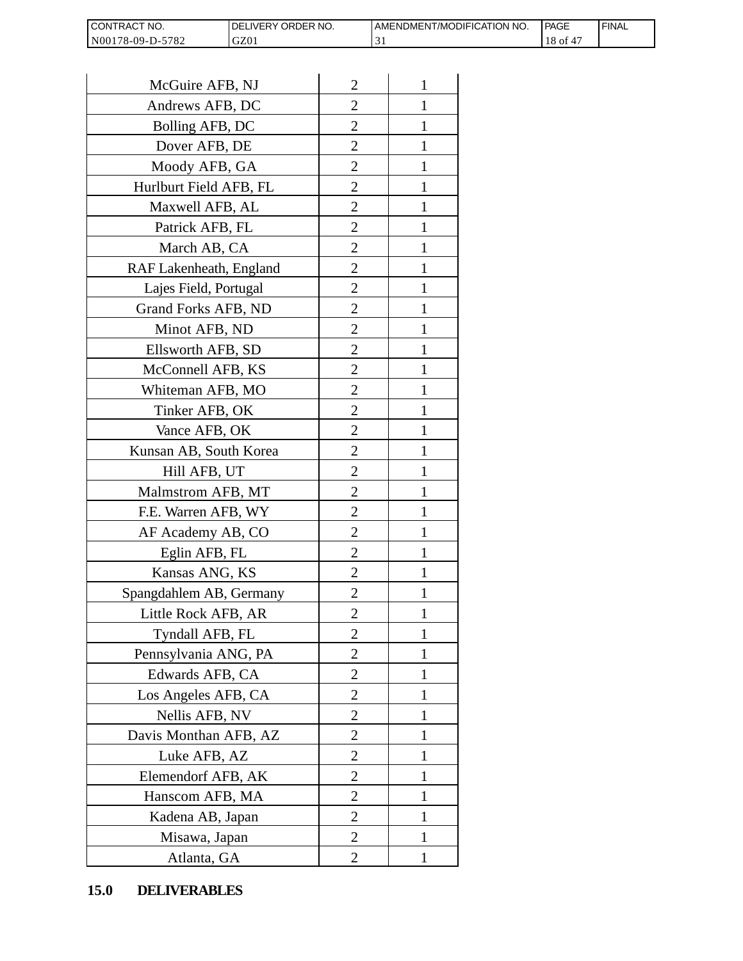| <b>CON</b><br>NO.<br>I RAC         | ORDER NO.<br><b>NERY</b> | T/MODIFICATION NO.<br>AMENDMEN1 | PAGE     | <b>FINAL</b> |
|------------------------------------|--------------------------|---------------------------------|----------|--------------|
| N0017<br>5782<br>78-09-L<br>.<br>໋ | GZ01                     | ຼ                               | 01<br>ιo |              |

| CONTRACT NO.<br>N00178-09-D-5782 | DELIVERY ORDER NO.<br>GZ01 |                | AMENDMENT/MOI<br>31 |
|----------------------------------|----------------------------|----------------|---------------------|
|                                  |                            |                |                     |
| McGuire AFB, NJ                  |                            | $\overline{2}$ | 1                   |
| Andrews AFB, DC                  |                            | 2              | 1                   |
| Bolling AFB, DC                  |                            | $\overline{c}$ | 1                   |
| Dover AFB, DE                    |                            | $\overline{2}$ | 1                   |
| Moody AFB, GA                    |                            | $\overline{2}$ | $\mathbf{1}$        |
| Hurlburt Field AFB, FL           |                            | 2              | 1                   |
| Maxwell AFB, AL                  |                            | $\overline{2}$ | 1                   |
| Patrick AFB, FL                  |                            | $\overline{c}$ | 1                   |
| March AB, CA                     |                            | $\overline{c}$ | 1                   |
| RAF Lakenheath, England          |                            | $\overline{2}$ | $\mathbf{1}$        |
| Lajes Field, Portugal            |                            | $\overline{2}$ | 1                   |
| Grand Forks AFB, ND              |                            | $\overline{2}$ | 1                   |
| Minot AFB, ND                    |                            | $\overline{2}$ | $\mathbf{1}$        |
| Ellsworth AFB, SD                |                            | $\overline{c}$ | 1                   |
| McConnell AFB, KS                |                            | $\overline{c}$ | 1                   |
| Whiteman AFB, MO                 |                            | $\overline{2}$ | 1                   |
| Tinker AFB, OK                   |                            | $\overline{2}$ | 1                   |
| Vance AFB, OK                    |                            | 2              | 1                   |
| Kunsan AB, South Korea           |                            | $\overline{2}$ | 1                   |
| Hill AFB, UT                     |                            | $\overline{c}$ | 1                   |
| Malmstrom AFB, MT                |                            | 2              | 1                   |
| F.E. Warren AFB, WY              |                            | $\overline{2}$ | $\mathbf{1}$        |
| AF Academy AB, CO                |                            | $\overline{2}$ | $\mathbf{1}$        |
| Eglin AFB, FL                    |                            | $\overline{2}$ | 1                   |
| Kansas ANG, KS                   |                            | $\overline{c}$ |                     |
| Spangdahlem AB, Germany          |                            | 2              | 1                   |
| Little Rock AFB, AR              |                            | $\overline{c}$ | 1                   |
| Tyndall AFB, FL                  |                            | $\overline{c}$ | $\mathbf{1}$        |
| Pennsylvania ANG, PA             |                            | $\overline{2}$ | 1                   |
| Edwards AFB, CA                  |                            | 2              | 1                   |
| Los Angeles AFB, CA              |                            | 2              | 1                   |
| Nellis AFB, NV                   |                            | $\overline{2}$ | 1                   |
| Davis Monthan AFB, AZ            |                            | $\overline{c}$ | 1                   |
| Luke AFB, AZ                     |                            | $\overline{2}$ | 1                   |
| Elemendorf AFB, AK               |                            | 2              | 1                   |
| Hanscom AFB, MA                  |                            | 2              | 1                   |
| Kadena AB, Japan                 |                            | 2              | 1                   |
| Misawa, Japan                    |                            | $\overline{c}$ | 1                   |
| Atlanta, GA                      |                            | $\overline{2}$ | 1                   |
| <b>DELIVERABLES</b><br>15.0      |                            |                |                     |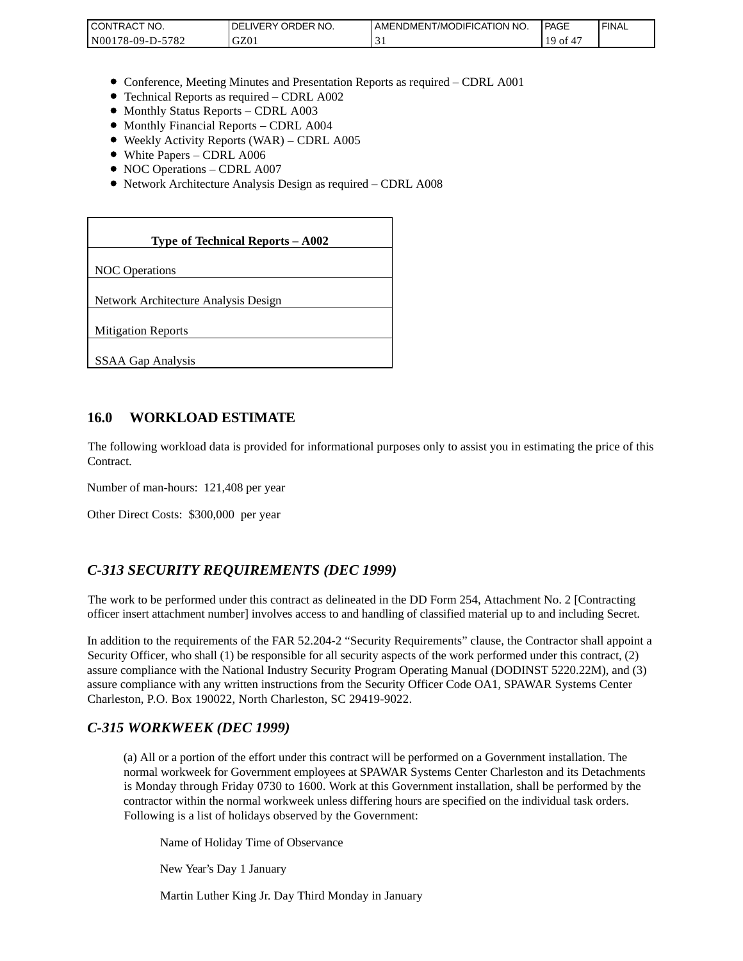| <b>CONTRACT NO.</b>       | ' ORDER NO.<br>DELIVERY | AMENDMENT/MODIFICATION NO. | <b>PAGE</b> | <b>FINAL</b> |
|---------------------------|-------------------------|----------------------------|-------------|--------------|
| 5782<br>N001<br>78-09-D-: | GZ01                    |                            | ' 01        |              |

- Conference, Meeting Minutes and Presentation Reports as required CDRL A001
- Technical Reports as required CDRL A002
- Monthly Status Reports CDRL A003
- $\bullet$  Monthly Financial Reports CDRL A004
- Weekly Activity Reports (WAR) CDRL A005
- White Papers CDRL A006
- NOC Operations CDRL A007
- Network Architecture Analysis Design as required CDRL A008

| CONTRACT NO.<br>N00178-09-D-5782                                                                                                                                                                                                                                                                                                                                 | DELIVERY ORDER NO.<br>GZ01                                                                                                                                                                                                                                                                                              | AMENDME<br>31 |
|------------------------------------------------------------------------------------------------------------------------------------------------------------------------------------------------------------------------------------------------------------------------------------------------------------------------------------------------------------------|-------------------------------------------------------------------------------------------------------------------------------------------------------------------------------------------------------------------------------------------------------------------------------------------------------------------------|---------------|
|                                                                                                                                                                                                                                                                                                                                                                  |                                                                                                                                                                                                                                                                                                                         |               |
| • Monthly Status Reports - CDRL A003<br>• Monthly Financial Reports - CDRL A004<br>• White Papers - CDRL A006<br>• NOC Operations - CDRL A007                                                                                                                                                                                                                    | • Conference, Meeting Minutes and Presentation Reports as rec<br>• Technical Reports as required - CDRL A002<br>• Weekly Activity Reports (WAR) - CDRL A005<br>• Network Architecture Analysis Design as required - CDRL A                                                                                              |               |
|                                                                                                                                                                                                                                                                                                                                                                  |                                                                                                                                                                                                                                                                                                                         |               |
|                                                                                                                                                                                                                                                                                                                                                                  | Type of Technical Reports - A002                                                                                                                                                                                                                                                                                        |               |
| <b>NOC</b> Operations                                                                                                                                                                                                                                                                                                                                            |                                                                                                                                                                                                                                                                                                                         |               |
| Network Architecture Analysis Design                                                                                                                                                                                                                                                                                                                             |                                                                                                                                                                                                                                                                                                                         |               |
| <b>Mitigation Reports</b>                                                                                                                                                                                                                                                                                                                                        |                                                                                                                                                                                                                                                                                                                         |               |
| <b>SSAA Gap Analysis</b>                                                                                                                                                                                                                                                                                                                                         |                                                                                                                                                                                                                                                                                                                         |               |
|                                                                                                                                                                                                                                                                                                                                                                  |                                                                                                                                                                                                                                                                                                                         |               |
| 16.0<br><b>WORKLOAD ESTIMATE</b>                                                                                                                                                                                                                                                                                                                                 |                                                                                                                                                                                                                                                                                                                         |               |
| The following workload data is provided for informational purposes<br>Contract.                                                                                                                                                                                                                                                                                  |                                                                                                                                                                                                                                                                                                                         |               |
| Number of man-hours: 121,408 per year                                                                                                                                                                                                                                                                                                                            |                                                                                                                                                                                                                                                                                                                         |               |
| Other Direct Costs: \$300,000 per year                                                                                                                                                                                                                                                                                                                           |                                                                                                                                                                                                                                                                                                                         |               |
| C-313 SECURITY REQUIREMENTS (DEC 1999)                                                                                                                                                                                                                                                                                                                           |                                                                                                                                                                                                                                                                                                                         |               |
| The work to be performed under this contract as delineated in the DI<br>officer insert attachment number] involves access to and handling of o                                                                                                                                                                                                                   |                                                                                                                                                                                                                                                                                                                         |               |
| In addition to the requirements of the FAR 52.204-2 "Security Requi<br>Security Officer, who shall (1) be responsible for all security aspects of<br>assure compliance with the National Industry Security Program Oper<br>assure compliance with any written instructions from the Security Of<br>Charleston, P.O. Box 190022, North Charleston, SC 29419-9022. |                                                                                                                                                                                                                                                                                                                         |               |
| C-315 WORKWEEK (DEC 1999)                                                                                                                                                                                                                                                                                                                                        |                                                                                                                                                                                                                                                                                                                         |               |
|                                                                                                                                                                                                                                                                                                                                                                  | (a) All or a portion of the effort under this contract will be per<br>normal workweek for Government employees at SPAWAR Sy<br>is Monday through Friday 0730 to 1600. Work at this Gover<br>contractor within the normal workweek unless differing hours<br>Following is a list of holidays observed by the Government: |               |
|                                                                                                                                                                                                                                                                                                                                                                  | Name of Holiday Time of Observance                                                                                                                                                                                                                                                                                      |               |
| New Year's Day 1 January                                                                                                                                                                                                                                                                                                                                         |                                                                                                                                                                                                                                                                                                                         |               |
|                                                                                                                                                                                                                                                                                                                                                                  | Martin Luther King Jr. Day Third Monday in January                                                                                                                                                                                                                                                                      |               |

#### **16.0 WORKLOAD ESTIMATE**

The following workload data is provided for informational purposes only to assist you in estimating the price of this Contract.

### *C-313 SECURITY REQUIREMENTS (DEC 1999)*

The work to be performed under this contract as delineated in the DD Form 254, Attachment No. 2 [Contracting officer insert attachment number] involves access to and handling of classified material up to and including Secret.

In addition to the requirements of the FAR 52.204-2 "Security Requirements" clause, the Contractor shall appoint a Security Officer, who shall (1) be responsible for all security aspects of the work performed under this contract, (2) assure compliance with the National Industry Security Program Operating Manual (DODINST 5220.22M), and (3) assure compliance with any written instructions from the Security Officer Code OA1, SPAWAR Systems Center Charleston, P.O. Box 190022, North Charleston, SC 29419-9022.

#### *C-315 WORKWEEK (DEC 1999)*

(a) All or a portion of the effort under this contract will be performed on a Government installation. The normal workweek for Government employees at SPAWAR Systems Center Charleston and its Detachments is Monday through Friday 0730 to 1600. Work at this Government installation, shall be performed by the contractor within the normal workweek unless differing hours are specified on the individual task orders. Following is a list of holidays observed by the Government: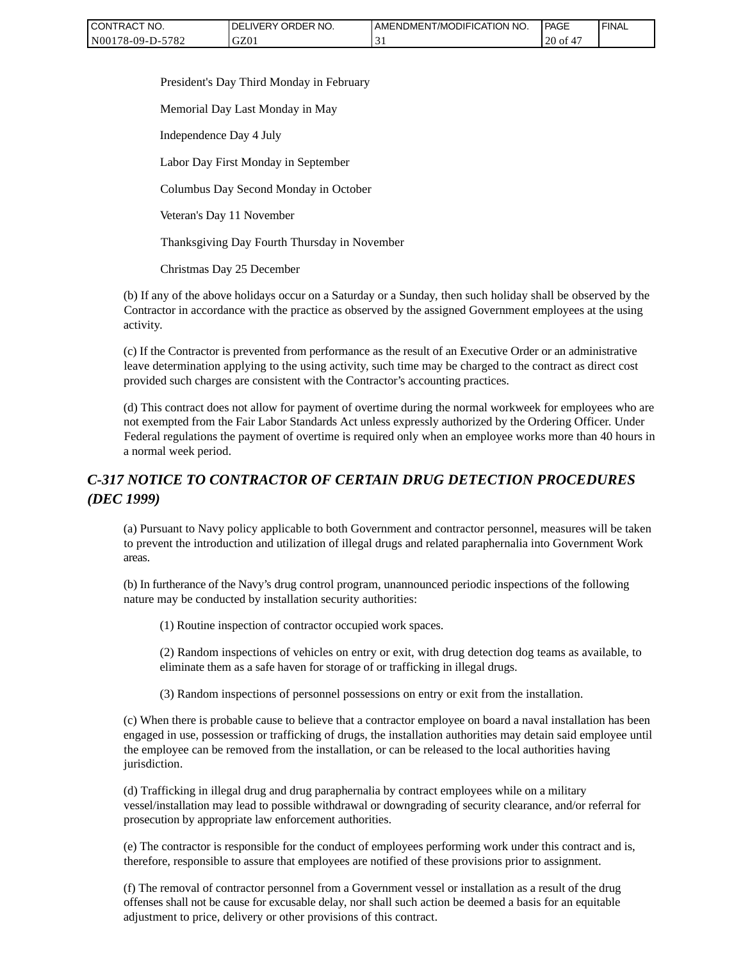| CONTRACT NO.     | ' ORDER NO.<br><b>DELIVERY</b> | AMENDMENT/MODIFICATION<br>'NO. | <b>PAGE</b>  | ' FINAL |
|------------------|--------------------------------|--------------------------------|--------------|---------|
| N00178-09-D-5782 | GZ01                           |                                | $20$ of<br>车 |         |

President's Day Third Monday in February

Memorial Day Last Monday in May

Independence Day 4 July

Labor Day First Monday in September

Columbus Day Second Monday in October

Veteran's Day 11 November

Thanksgiving Day Fourth Thursday in November

Christmas Day 25 December

(b) If any of the above holidays occur on a Saturday or a Sunday, then such holiday shall be observed by the Contractor in accordance with the practice as observed by the assigned Government employees at the using activity.

(c) If the Contractor is prevented from performance as the result of an Executive Order or an administrative leave determination applying to the using activity, such time may be charged to the contract as direct cost provided such charges are consistent with the Contractor's accounting practices.

(d) This contract does not allow for payment of overtime during the normal workweek for employees who are not exempted from the Fair Labor Standards Act unless expressly authorized by the Ordering Officer. Under Federal regulations the payment of overtime is required only when an employee works more than 40 hours in a normal week period.

# *C-317 NOTICE TO CONTRACTOR OF CERTAIN DRUG DETECTION PROCEDURES (DEC 1999)*

(a) Pursuant to Navy policy applicable to both Government and contractor personnel, measures will be taken to prevent the introduction and utilization of illegal drugs and related paraphernalia into Government Work areas.

(b) In furtherance of the Navy's drug control program, unannounced periodic inspections of the following nature may be conducted by installation security authorities:

(1) Routine inspection of contractor occupied work spaces.

(2) Random inspections of vehicles on entry or exit, with drug detection dog teams as available, to eliminate them as a safe haven for storage of or trafficking in illegal drugs.

(3) Random inspections of personnel possessions on entry or exit from the installation.

(c) When there is probable cause to believe that a contractor employee on board a naval installation has been engaged in use, possession or trafficking of drugs, the installation authorities may detain said employee until the employee can be removed from the installation, or can be released to the local authorities having jurisdiction.

(d) Trafficking in illegal drug and drug paraphernalia by contract employees while on a military vessel/installation may lead to possible withdrawal or downgrading of security clearance, and/or referral for prosecution by appropriate law enforcement authorities.

(e) The contractor is responsible for the conduct of employees performing work under this contract and is, therefore, responsible to assure that employees are notified of these provisions prior to assignment.

(f) The removal of contractor personnel from a Government vessel or installation as a result of the drug offenses shall not be cause for excusable delay, nor shall such action be deemed a basis for an equitable adjustment to price, delivery or other provisions of this contract.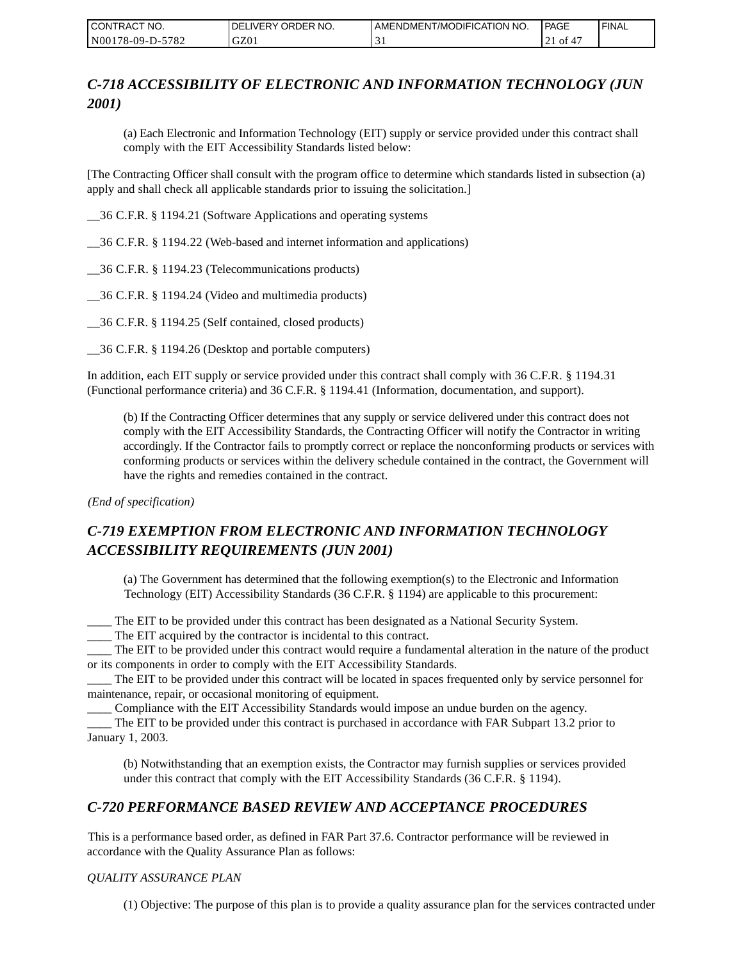| CONTRACT NO.     | <b>IDELIVERY ORDER NO.</b> | AMENDMENT/MODIFICATION NO. | <b>PAGE</b>         | ' FINAL |
|------------------|----------------------------|----------------------------|---------------------|---------|
| N00178-09-D-5782 | GZ01                       |                            | 0Ť<br>4<br>$\sim$ 1 |         |

# *C-718 ACCESSIBILITY OF ELECTRONIC AND INFORMATION TECHNOLOGY (JUN 2001)*

(a) Each Electronic and Information Technology (EIT) supply or service provided under this contract shall comply with the EIT Accessibility Standards listed below:

[The Contracting Officer shall consult with the program office to determine which standards listed in subsection (a) apply and shall check all applicable standards prior to issuing the solicitation.]

\_\_36 C.F.R. § 1194.21 (Software Applications and operating systems

\_\_36 C.F.R. § 1194.22 (Web-based and internet information and applications)

\_\_36 C.F.R. § 1194.23 (Telecommunications products)

\_\_36 C.F.R. § 1194.24 (Video and multimedia products)

\_\_36 C.F.R. § 1194.25 (Self contained, closed products)

\_\_36 C.F.R. § 1194.26 (Desktop and portable computers)

In addition, each EIT supply or service provided under this contract shall comply with 36 C.F.R. § 1194.31 (Functional performance criteria) and 36 C.F.R. § 1194.41 (Information, documentation, and support).

(b) If the Contracting Officer determines that any supply or service delivered under this contract does not comply with the EIT Accessibility Standards, the Contracting Officer will notify the Contractor in writing accordingly. If the Contractor fails to promptly correct or replace the nonconforming products or services with conforming products or services within the delivery schedule contained in the contract, the Government will have the rights and remedies contained in the contract.

*(End of specification)*

# *C-719 EXEMPTION FROM ELECTRONIC AND INFORMATION TECHNOLOGY ACCESSIBILITY REQUIREMENTS (JUN 2001)*

(a) The Government has determined that the following exemption(s) to the Electronic and Information Technology (EIT) Accessibility Standards (36 C.F.R. § 1194) are applicable to this procurement:

\_\_\_\_ The EIT to be provided under this contract has been designated as a National Security System.

\_\_\_\_ The EIT acquired by the contractor is incidental to this contract.

\_\_\_\_ The EIT to be provided under this contract would require a fundamental alteration in the nature of the product or its components in order to comply with the EIT Accessibility Standards.

\_\_\_\_ The EIT to be provided under this contract will be located in spaces frequented only by service personnel for maintenance, repair, or occasional monitoring of equipment.

\_\_\_\_ Compliance with the EIT Accessibility Standards would impose an undue burden on the agency.

\_\_\_\_ The EIT to be provided under this contract is purchased in accordance with FAR Subpart 13.2 prior to January 1, 2003.

(b) Notwithstanding that an exemption exists, the Contractor may furnish supplies or services provided under this contract that comply with the EIT Accessibility Standards (36 C.F.R. § 1194).

### *C-720 PERFORMANCE BASED REVIEW AND ACCEPTANCE PROCEDURES*

This is a performance based order, as defined in FAR Part 37.6. Contractor performance will be reviewed in accordance with the Quality Assurance Plan as follows:

#### *QUALITY ASSURANCE PLAN*

(1) Objective: The purpose of this plan is to provide a quality assurance plan for the services contracted under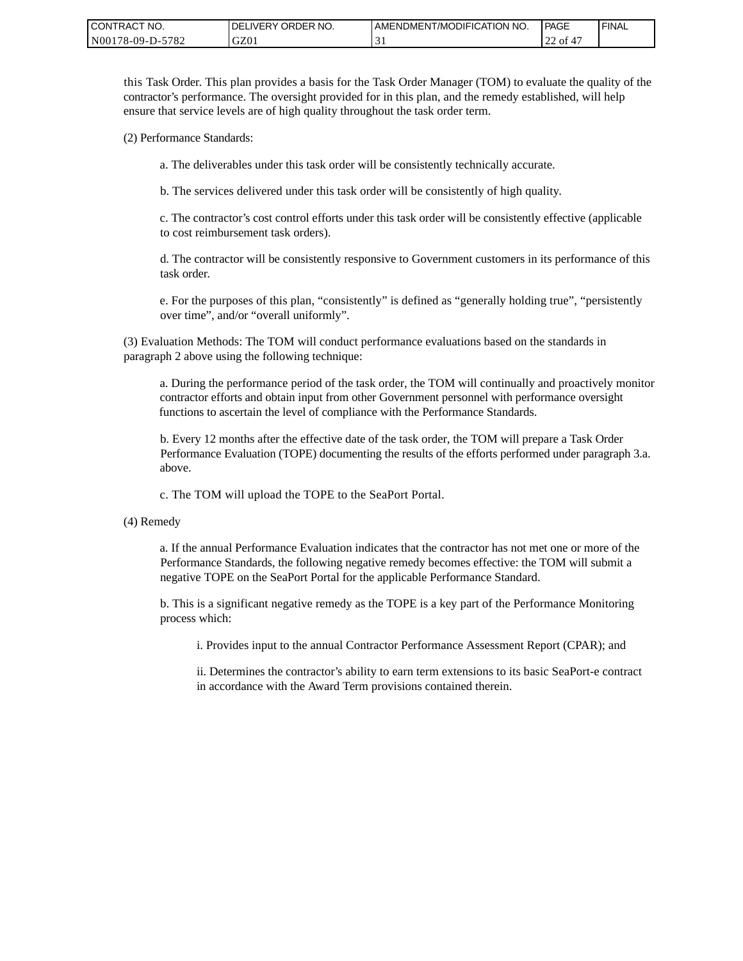| CONTRACT NO.     | ORDER NO.<br><b>DELIVERY</b> | <b>I AMENDMENT/MODIFICATION NO.</b> | PAGE                  | 'FINAL |
|------------------|------------------------------|-------------------------------------|-----------------------|--------|
| N00178-09-D-5782 | GZ01                         | ◡                                   | of 4 $\epsilon$<br>∠∠ |        |

this Task Order. This plan provides a basis for the Task Order Manager (TOM) to evaluate the quality of the contractor's performance. The oversight provided for in this plan, and the remedy established, will help ensure that service levels are of high quality throughout the task order term.

(2) Performance Standards:

a. The deliverables under this task order will be consistently technically accurate.

b. The services delivered under this task order will be consistently of high quality.

c. The contractor's cost control efforts under this task order will be consistently effective (applicable to cost reimbursement task orders).

d. The contractor will be consistently responsive to Government customers in its performance of this task order.

e. For the purposes of this plan, "consistently" is defined as "generally holding true", "persistently over time", and/or "overall uniformly".

(3) Evaluation Methods: The TOM will conduct performance evaluations based on the standards in paragraph 2 above using the following technique:

a. During the performance period of the task order, the TOM will continually and proactively monitor contractor efforts and obtain input from other Government personnel with performance oversight functions to ascertain the level of compliance with the Performance Standards.

b. Every 12 months after the effective date of the task order, the TOM will prepare a Task Order Performance Evaluation (TOPE) documenting the results of the efforts performed under paragraph 3.a. above.

c. The TOM will upload the TOPE to the SeaPort Portal.

(4) Remedy

a. If the annual Performance Evaluation indicates that the contractor has not met one or more of the Performance Standards, the following negative remedy becomes effective: the TOM will submit a negative TOPE on the SeaPort Portal for the applicable Performance Standard.

b. This is a significant negative remedy as the TOPE is a key part of the Performance Monitoring process which:

i. Provides input to the annual Contractor Performance Assessment Report (CPAR); and

ii. Determines the contractor's ability to earn term extensions to its basic SeaPort-e contract in accordance with the Award Term provisions contained therein.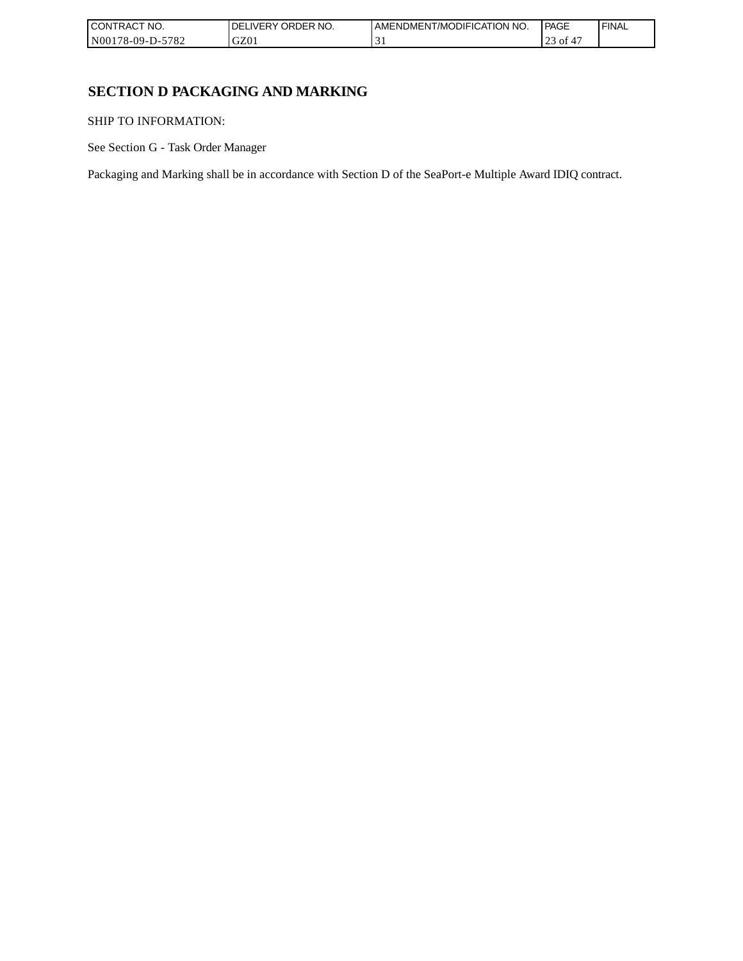| I CONTRACT NO.           | `NO.<br>ORDER<br>.IVERY<br>DELI | AMENDMENT/MODIFICATION NO. | <b>PAGE</b>        | 'FINAL |
|--------------------------|---------------------------------|----------------------------|--------------------|--------|
| -5782<br>  N00178-09-D-5 | GZ0 <sub>1</sub>                | . .                        | $\cap$<br>οt<br>رے |        |

# **SECTION D PACKAGING AND MARKING**

SHIP TO INFORMATION:

See Section G - Task Order Manager

Packaging and Marking shall be in accordance with Section D of the SeaPort-e Multiple Award IDIQ contract.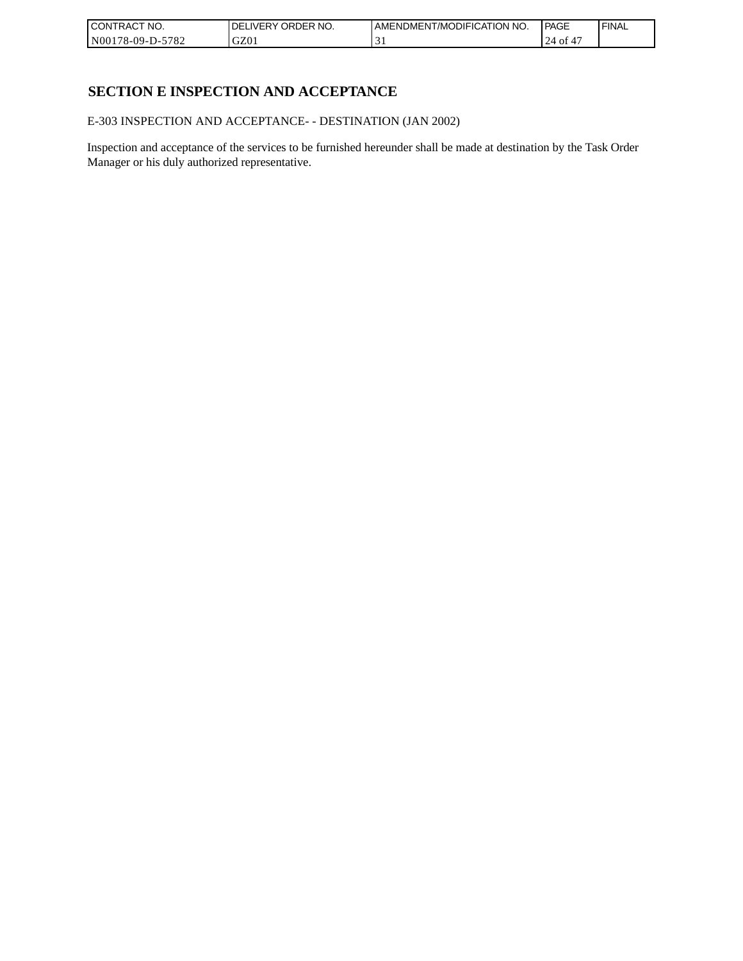| CONTRACT<br>`CT NO.      | NO.<br>' ORDER<br><b>DELIVERY</b> | I AMENDMENT/MODIFICATION NO. | l PAGE    | ' FINAL |
|--------------------------|-----------------------------------|------------------------------|-----------|---------|
| $-5782$<br>N00178-09-D-5 | GZ01                              | . .                          | 24<br>∙or |         |

# **SECTION E INSPECTION AND ACCEPTANCE**

E-303 INSPECTION AND ACCEPTANCE- - DESTINATION (JAN 2002)

Inspection and acceptance of the services to be furnished hereunder shall be made at destination by the Task Order Manager or his duly authorized representative.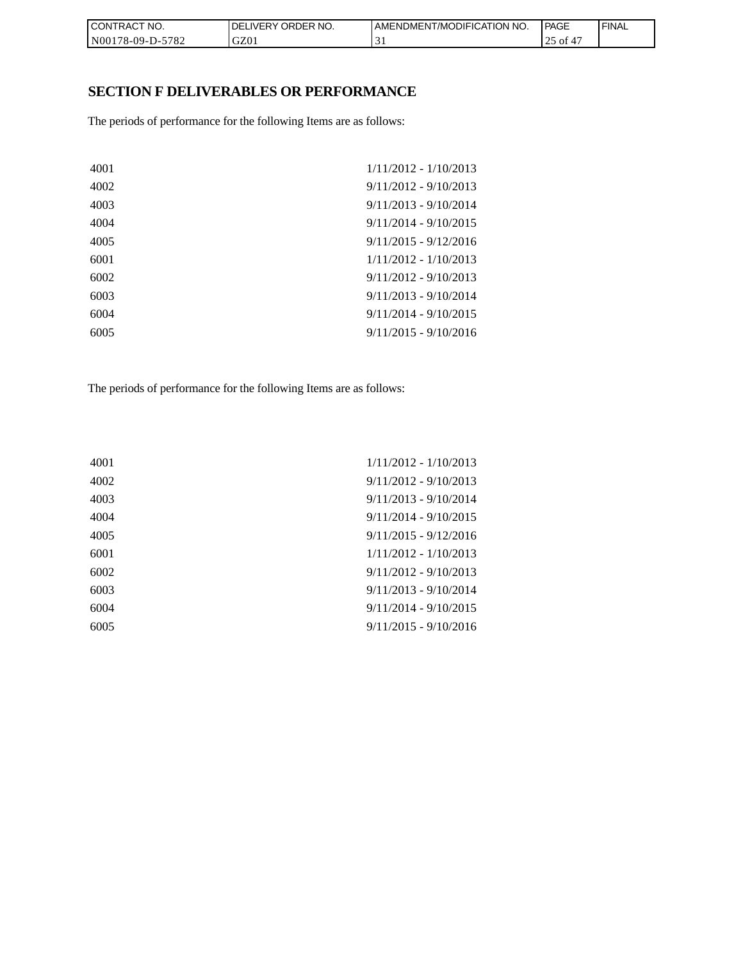| CON <sub>1</sub><br>TRACT NO. | NO.<br>' ORDER<br><b>DELIVERY</b> | I AMENDMENT/MODIFICATION NO. | <b>PAGE</b> | ' FINAL |
|-------------------------------|-----------------------------------|------------------------------|-------------|---------|
| N00178-09-D-5782              | GZ01                              |                              | οt<br>ت     |         |

# **SECTION F DELIVERABLES OR PERFORMANCE**

The periods of performance for the following Items are as follows:

| 4001 | $1/11/2012 - 1/10/2013$ |
|------|-------------------------|
| 4002 | $9/11/2012 - 9/10/2013$ |
| 4003 | $9/11/2013 - 9/10/2014$ |
| 4004 | $9/11/2014 - 9/10/2015$ |
| 4005 | $9/11/2015 - 9/12/2016$ |
| 6001 | $1/11/2012 - 1/10/2013$ |
| 6002 | $9/11/2012 - 9/10/2013$ |
| 6003 | $9/11/2013 - 9/10/2014$ |
| 6004 | $9/11/2014 - 9/10/2015$ |
| 6005 | $9/11/2015 - 9/10/2016$ |
|      |                         |

The periods of performance for the following Items are as follows:

| 4001 | $1/11/2012 - 1/10/2013$ |
|------|-------------------------|
| 4002 | $9/11/2012 - 9/10/2013$ |
| 4003 | $9/11/2013 - 9/10/2014$ |
| 4004 | $9/11/2014 - 9/10/2015$ |
| 4005 | $9/11/2015 - 9/12/2016$ |
| 6001 | $1/11/2012 - 1/10/2013$ |
| 6002 | $9/11/2012 - 9/10/2013$ |
| 6003 | $9/11/2013 - 9/10/2014$ |
| 6004 | $9/11/2014 - 9/10/2015$ |
| 6005 | $9/11/2015 - 9/10/2016$ |
|      |                         |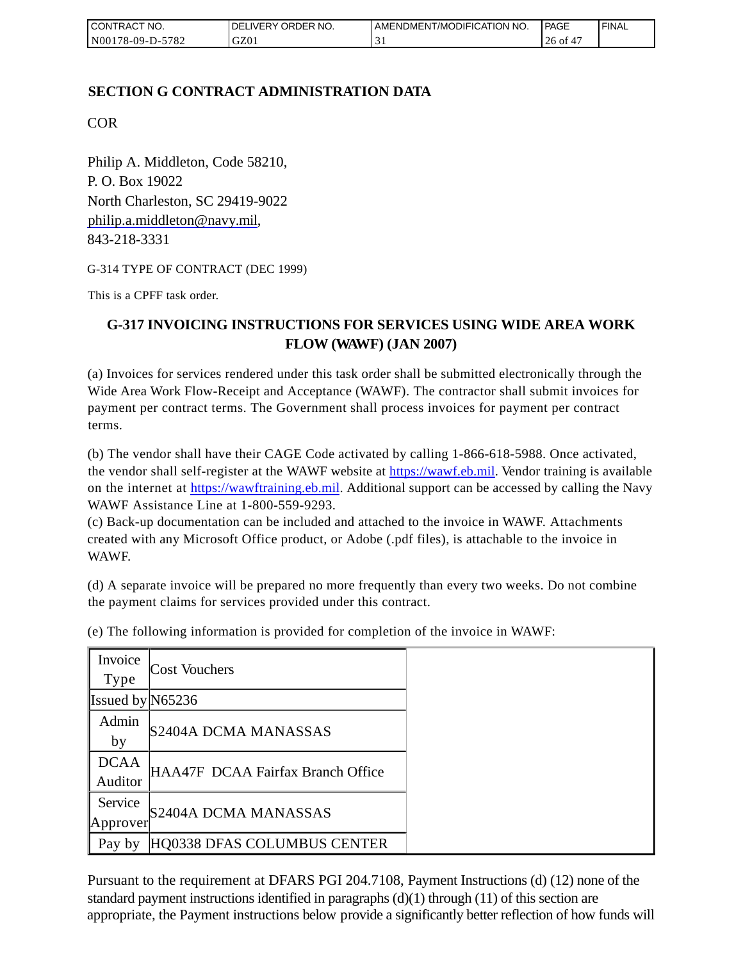| <b>I CONTRACT NO.</b> | DELIVERY ORDER NO. | I AMENDMENT/MODIFICATION NO. | <b>PAGE</b>   | ' FINAL |
|-----------------------|--------------------|------------------------------|---------------|---------|
| N00178-09-D-5782      | GZ01               |                              | 26<br>0Ī<br>4 |         |

## **SECTION G CONTRACT ADMINISTRATION DATA**

COR

Philip A. Middleton, Code 58210, P. O. Box 19022 North Charleston, SC 29419-9022 [philip.a.middleton@navy.mil,](mailto:cphilip.a.middleton@navy.mil) 843-218-3331

G-314 TYPE OF CONTRACT (DEC 1999)

This is a CPFF task order.

# **G-317 INVOICING INSTRUCTIONS FOR SERVICES USING WIDE AREA WORK FLOW (WAWF) (JAN 2007)**

(a) Invoices for services rendered under this task order shall be submitted electronically through the Wide Area Work Flow-Receipt and Acceptance (WAWF). The contractor shall submit invoices for payment per contract terms. The Government shall process invoices for payment per contract terms.

(b) The vendor shall have their CAGE Code activated by calling 1-866-618-5988. Once activated, the vendor shall self-register at the WAWF website at [https://wawf.eb.mil.](https://wawf.eb.mil/) Vendor training is available on the internet at [https://wawftraining.eb.mil.](https://wawftraining.eb.mil/) Additional support can be accessed by calling the Navy WAWF Assistance Line at 1-800-559-9293.

(c) Back-up documentation can be included and attached to the invoice in WAWF. Attachments created with any Microsoft Office product, or Adobe (.pdf files), is attachable to the invoice in WAWF.

(d) A separate invoice will be prepared no more frequently than every two weeks. Do not combine the payment claims for services provided under this contract.

| Invoice<br><b>Type</b> | <b>Cost Vouchers</b>              |
|------------------------|-----------------------------------|
| Issued by $N65236$     |                                   |
| Admin<br>by            | S2404A DCMA MANASSAS              |
| <b>DCAA</b><br>Auditor | HAA47F DCAA Fairfax Branch Office |
| Service<br>Approver    | S2404A DCMA MANASSAS              |
| Pay by                 | HQ0338 DFAS COLUMBUS CENTER       |

(e) The following information is provided for completion of the invoice in WAWF:

Pursuant to the requirement at DFARS PGI 204.7108, Payment Instructions (d) (12) none of the standard payment instructions identified in paragraphs  $(d)(1)$  through  $(11)$  of this section are appropriate, the Payment instructions below provide a significantly better reflection of how funds will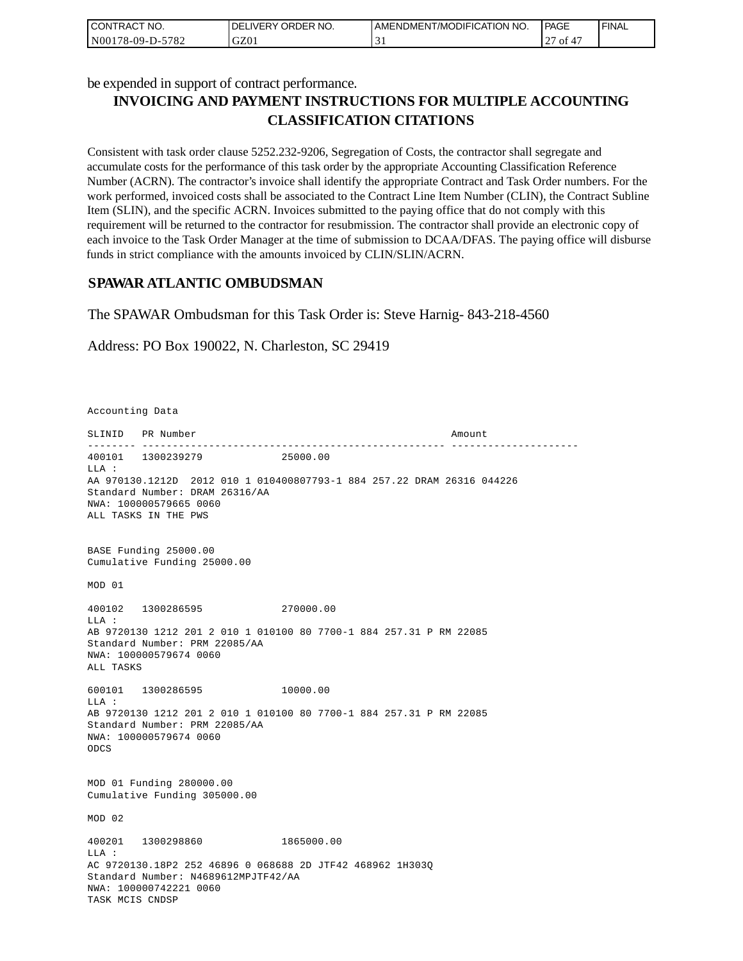| CONTRACT NO.     | I DELIVERY ORDER NO. | AMENDMENT/MODIFICATION NO.    | <b>PAGE</b> | 'FINAL |
|------------------|----------------------|-------------------------------|-------------|--------|
| N00178-09-D-5782 | GZ01                 | $\overline{\phantom{a}}$<br>◡ | ' ot        |        |

be expended in support of contract performance.

# **INVOICING AND PAYMENT INSTRUCTIONS FOR MULTIPLE ACCOUNTING CLASSIFICATION CITATIONS**

Consistent with task order clause 5252.232-9206, Segregation of Costs, the contractor shall segregate and accumulate costs for the performance of this task order by the appropriate Accounting Classification Reference Number (ACRN). The contractor's invoice shall identify the appropriate Contract and Task Order numbers. For the work performed, invoiced costs shall be associated to the Contract Line Item Number (CLIN), the Contract Subline Item (SLIN), and the specific ACRN. Invoices submitted to the paying office that do not comply with this requirement will be returned to the contractor for resubmission. The contractor shall provide an electronic copy of each invoice to the Task Order Manager at the time of submission to DCAA/DFAS. The paying office will disburse funds in strict compliance with the amounts invoiced by CLIN/SLIN/ACRN.

### **SPAWAR ATLANTIC OMBUDSMAN**

The SPAWAR Ombudsman for this Task Order is: Steve Harnig- 843-218-4560

Address: PO Box 190022, N. Charleston, SC 29419

Accounting Data

SLINID PR Number Amount -------- -------------------------------------------------- --------------------- 400101 1300239279 25000.00  $T.T.A$  : AA 970130.1212D 2012 010 1 010400807793-1 884 257.22 DRAM 26316 044226 Standard Number: DRAM 26316/AA NWA: 100000579665 0060 ALL TASKS IN THE PWS BASE Funding 25000.00 Cumulative Funding 25000.00 MOD 01 400102 1300286595 270000.00 LLA : AB 9720130 1212 201 2 010 1 010100 80 7700-1 884 257.31 P RM 22085 Standard Number: PRM 22085/AA NWA: 100000579674 0060 ALL TASKS 600101 1300286595 10000.00 LLA : AB 9720130 1212 201 2 010 1 010100 80 7700-1 884 257.31 P RM 22085 Standard Number: PRM 22085/AA NWA: 100000579674 0060 ODCS MOD 01 Funding 280000.00 Cumulative Funding 305000.00 MOD 02 400201 1300298860 1865000.00  $T.T.A$  : AC 9720130.18P2 252 46896 0 068688 2D JTF42 468962 1H303Q Standard Number: N4689612MPJTF42/AA NWA: 100000742221 0060 TASK MCIS CNDSP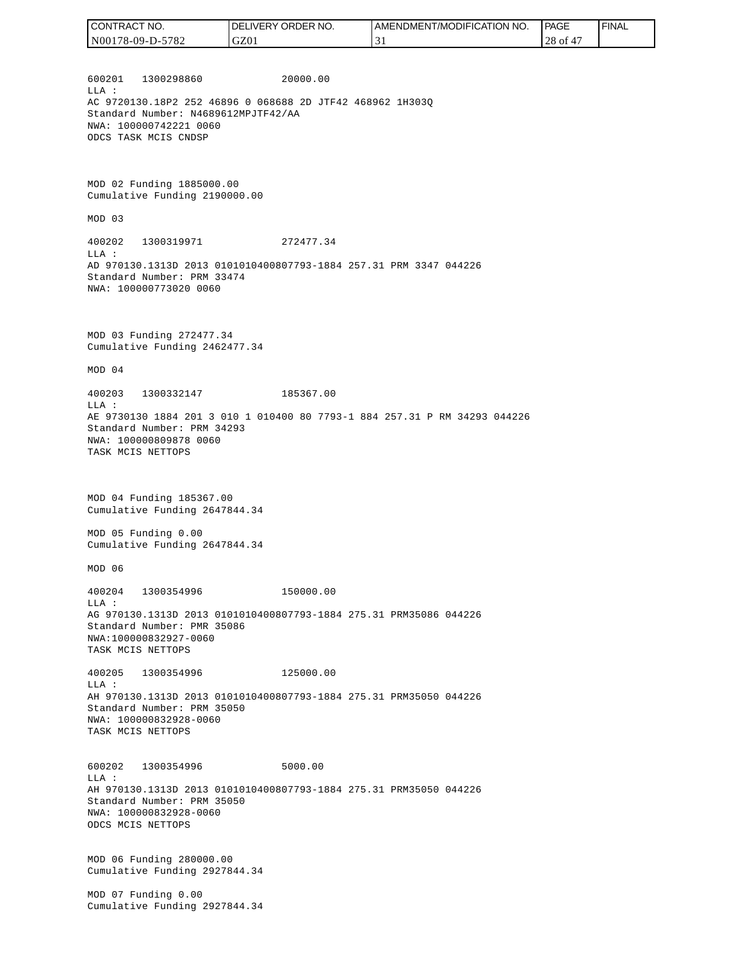| CONTRACT NO.     | `NO.<br>' ORDER<br><b>DELIVERY</b> | AMENDMENT/MODIFICATION NO. | PAGE         | ' FINAL |
|------------------|------------------------------------|----------------------------|--------------|---------|
| N00178-09-D-5782 | GZ01                               |                            | $28$ of $4'$ |         |

600201 1300298860 20000.00 LLA : AC 9720130.18P2 252 46896 0 068688 2D JTF42 468962 1H303Q Standard Number: N4689612MPJTF42/AA NWA: 100000742221 0060 ODCS TASK MCIS CNDSP

MOD 02 Funding 1885000.00 Cumulative Funding 2190000.00

MOD 03

400202 1300319971 272477.34 LLA : AD 970130.1313D 2013 0101010400807793-1884 257.31 PRM 3347 044226 Standard Number: PRM 33474 NWA: 100000773020 0060

MOD 03 Funding 272477.34 Cumulative Funding 2462477.34

MOD 04

400203 1300332147 185367.00 LLA : AE 9730130 1884 201 3 010 1 010400 80 7793-1 884 257.31 P RM 34293 044226 Standard Number: PRM 34293 NWA: 100000809878 0060 TASK MCIS NETTOPS

MOD 04 Funding 185367.00 Cumulative Funding 2647844.34

MOD 05 Funding 0.00 Cumulative Funding 2647844.34

MOD 06

400204 1300354996 150000.00 LLA : AG 970130.1313D 2013 0101010400807793-1884 275.31 PRM35086 044226 Standard Number: PMR 35086 NWA:100000832927-0060 TASK MCIS NETTOPS

400205 1300354996 125000.00 LLA : AH 970130.1313D 2013 0101010400807793-1884 275.31 PRM35050 044226 Standard Number: PRM 35050 NWA: 100000832928-0060 TASK MCIS NETTOPS

600202 1300354996 5000.00 LLA : AH 970130.1313D 2013 0101010400807793-1884 275.31 PRM35050 044226 Standard Number: PRM 35050 NWA: 100000832928-0060 ODCS MCIS NETTOPS

MOD 06 Funding 280000.00 Cumulative Funding 2927844.34

MOD 07 Funding 0.00 Cumulative Funding 2927844.34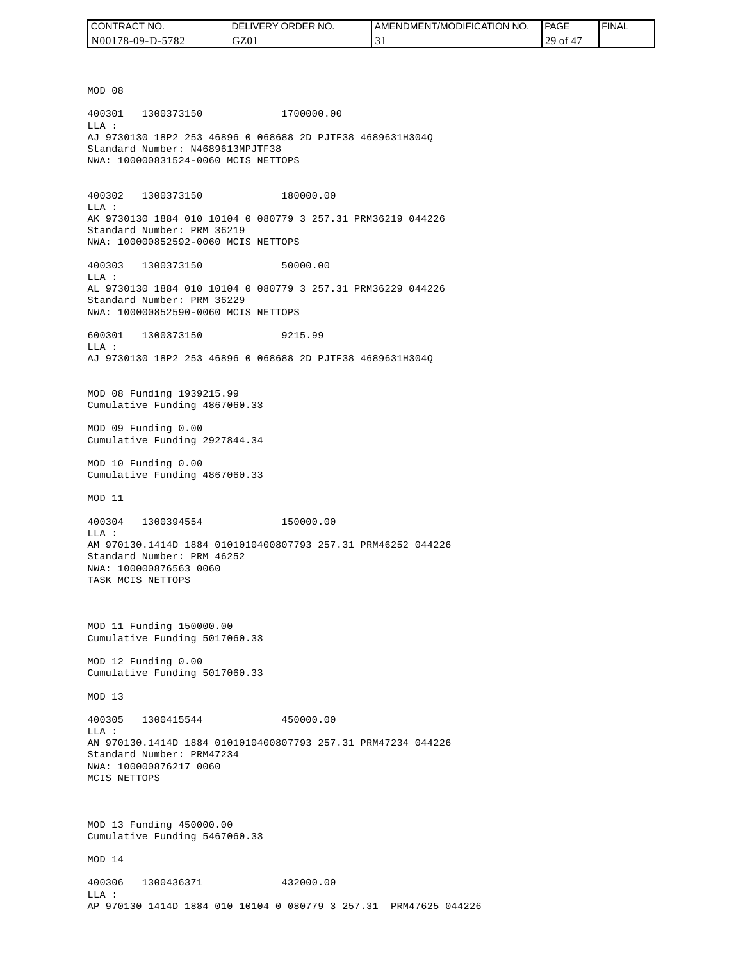| CONTRACT NO.     | <b>IDELIVERY ORDER NO.</b> | I AMENDMENT/MODIFICATION NO. | PAGE       | ' FINAL |
|------------------|----------------------------|------------------------------|------------|---------|
| N00178-09-D-5782 | GZ01                       |                              | $29$ of 4, |         |

MOD 08 400301 1300373150 1700000.00 LLA : AJ 9730130 18P2 253 46896 0 068688 2D PJTF38 4689631H304Q Standard Number: N4689613MPJTF38 NWA: 100000831524-0060 MCIS NETTOPS 400302 1300373150 180000.00 LLA : AK 9730130 1884 010 10104 0 080779 3 257.31 PRM36219 044226 Standard Number: PRM 36219 NWA: 100000852592-0060 MCIS NETTOPS 400303 1300373150 50000.00 LLA : AL 9730130 1884 010 10104 0 080779 3 257.31 PRM36229 044226 Standard Number: PRM 36229 NWA: 100000852590-0060 MCIS NETTOPS 600301 1300373150 9215.99  $T.T.A$  : AJ 9730130 18P2 253 46896 0 068688 2D PJTF38 4689631H304Q MOD 08 Funding 1939215.99 Cumulative Funding 4867060.33 MOD 09 Funding 0.00 Cumulative Funding 2927844.34 MOD 10 Funding 0.00 Cumulative Funding 4867060.33 MOD 11 400304 1300394554 150000.00 LLA : AM 970130.1414D 1884 0101010400807793 257.31 PRM46252 044226 Standard Number: PRM 46252 NWA: 100000876563 0060 TASK MCIS NETTOPS MOD 11 Funding 150000.00 Cumulative Funding 5017060.33 MOD 12 Funding 0.00 Cumulative Funding 5017060.33 MOD 13 400305 1300415544 450000.00  $L.L.A$  : AN 970130.1414D 1884 0101010400807793 257.31 PRM47234 044226 Standard Number: PRM47234 NWA: 100000876217 0060 MCIS NETTOPS MOD 13 Funding 450000.00 Cumulative Funding 5467060.33 MOD 14 400306 1300436371 432000.00 LLA : AP 970130 1414D 1884 010 10104 0 080779 3 257.31 PRM47625 044226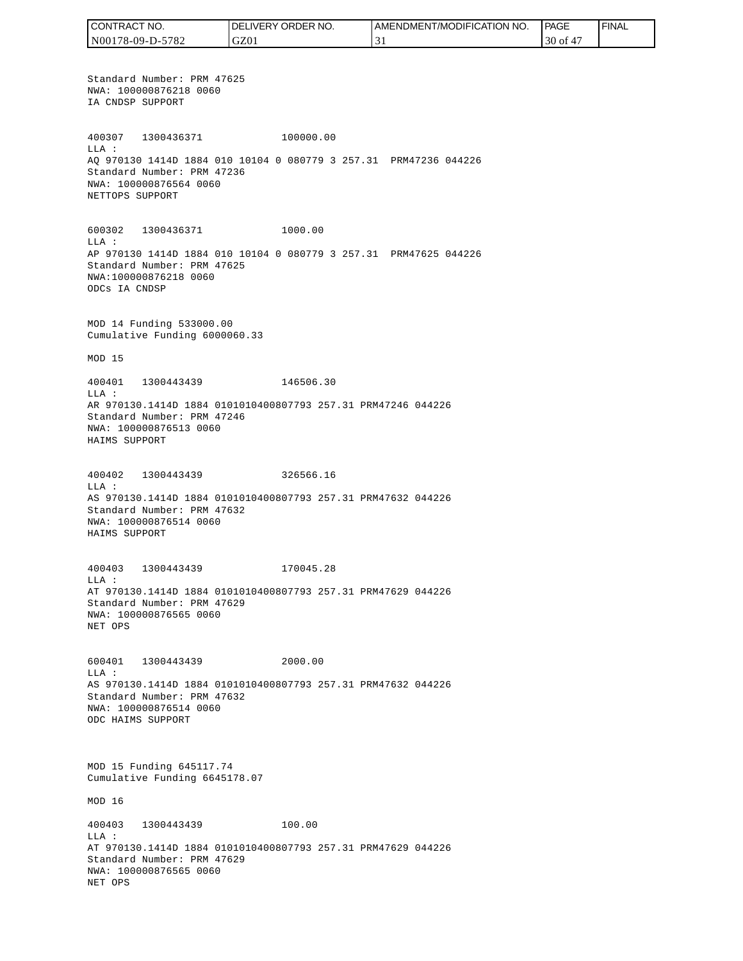CONTRACT NO. DELIVERY ORDER NO. AMENDMENT/MODIFICATION NO. PAGE FINALCONTRACT NO.<br>NO0178-09-D-5<br>Standard Numk<br>NWA: 1000087<br>IA CNDSP SUPP<br>400307 1300<br>400307 1300<br>400307 1300<br>MLA: 2000087<br>NET CNDSP SUPPC<br>600302 1300<br>NET TOPS SUPPC<br>600302 1300<br>LLA: AP 970130 141<br>Standard Numk<br>NWA: 10000087<br>MAD N00178-09-D-5782 GZ01 31 30 of 47 Standard Number: PRM 47625 NWA: 100000876218 0060 IA CNDSP SUPPORT 400307 1300436371 100000.00 LLA : AQ 970130 1414D 1884 010 10104 0 080779 3 257.31 PRM47236 044226 Standard Number: PRM 47236 NWA: 100000876564 0060 NETTOPS SUPPORT 600302 1300436371 1000.00 LLA : AP 970130 1414D 1884 010 10104 0 080779 3 257.31 PRM47625 044226 Standard Number: PRM 47625 NWA:100000876218 0060 ODCs IA CNDSP MOD 14 Funding 533000.00 Cumulative Funding 6000060.33 MOD 15 400401 1300443439 146506.30 LLA : AR 970130.1414D 1884 0101010400807793 257.31 PRM47246 044226 Standard Number: PRM 47246 NWA: 100000876513 0060 HAIMS SUPPORT 400402 1300443439 326566.16 LLA : AS 970130.1414D 1884 0101010400807793 257.31 PRM47632 044226 Standard Number: PRM 47632 NWA: 100000876514 0060 HAIMS SUPPORT 400403 1300443439 170045.28 LLA : AT 970130.1414D 1884 0101010400807793 257.31 PRM47629 044226 Standard Number: PRM 47629 NWA: 100000876565 0060 NET OPS 600401 1300443439 2000.00 LLA : AS 970130.1414D 1884 0101010400807793 257.31 PRM47632 044226 Standard Number: PRM 47632 NWA: 100000876514 0060 ODC HAIMS SUPPORT MOD 15 Funding 645117.74 Cumulative Funding 6645178.07 MOD 16 400403 1300443439 100.00 LLA : AT 970130.1414D 1884 0101010400807793 257.31 PRM47629 044226 Standard Number: PRM 47629 NWA: 100000876565 0060 NET OPS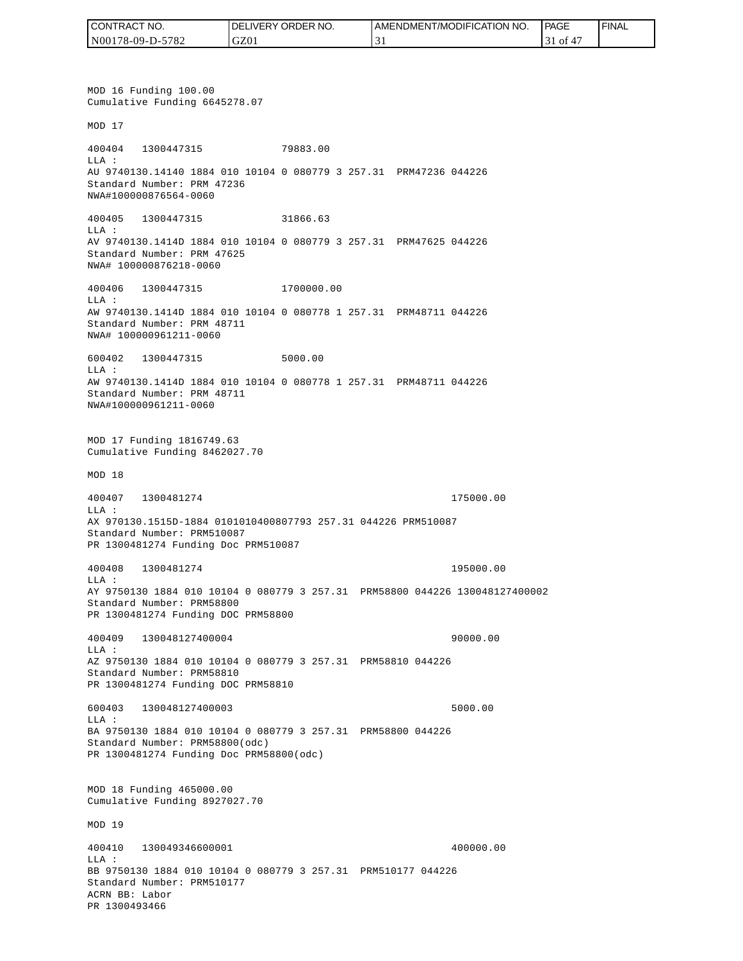| I CONTRACT NO.   | <b>IDELIVERY ORDER NO.</b> | AMENDMENT/MODIFICATION NO. | PAGE | 'FINAL |
|------------------|----------------------------|----------------------------|------|--------|
| N00178-09-D-5782 | GZ01                       |                            | οt   |        |

MOD 16 Funding 100.00 Cumulative Funding 6645278.07 MOD 17 400404 1300447315 79883.00 LLA : AU 9740130.14140 1884 010 10104 0 080779 3 257.31 PRM47236 044226 Standard Number: PRM 47236 NWA#100000876564-0060 400405 1300447315 31866.63 LLA : AV 9740130.1414D 1884 010 10104 0 080779 3 257.31 PRM47625 044226 Standard Number: PRM 47625 NWA# 100000876218-0060 400406 1300447315 1700000.00 LLA : AW 9740130.1414D 1884 010 10104 0 080778 1 257.31 PRM48711 044226 Standard Number: PRM 48711 NWA# 100000961211-0060 600402 1300447315 5000.00 LLA : AW 9740130.1414D 1884 010 10104 0 080778 1 257.31 PRM48711 044226 Standard Number: PRM 48711 NWA#100000961211-0060 MOD 17 Funding 1816749.63 Cumulative Funding 8462027.70 MOD 18 400407 1300481274 175000.00 LLA : AX 970130.1515D-1884 0101010400807793 257.31 044226 PRM510087 Standard Number: PRM510087 PR 1300481274 Funding Doc PRM510087 400408 1300481274 195000.00 LLA : AY 9750130 1884 010 10104 0 080779 3 257.31 PRM58800 044226 130048127400002 Standard Number: PRM58800 PR 1300481274 Funding DOC PRM58800 400409 130048127400004 90000.00 LLA : AZ 9750130 1884 010 10104 0 080779 3 257.31 PRM58810 044226 Standard Number: PRM58810 PR 1300481274 Funding DOC PRM58810 600403 130048127400003 5000.00 LLA : BA 9750130 1884 010 10104 0 080779 3 257.31 PRM58800 044226 Standard Number: PRM58800(odc) PR 1300481274 Funding Doc PRM58800(odc) MOD 18 Funding 465000.00 Cumulative Funding 8927027.70 MOD 19 400410 130049346600001 400000.00  $L.L.A$  : BB 9750130 1884 010 10104 0 080779 3 257.31 PRM510177 044226 Standard Number: PRM510177 ACRN BB: Labor PR 1300493466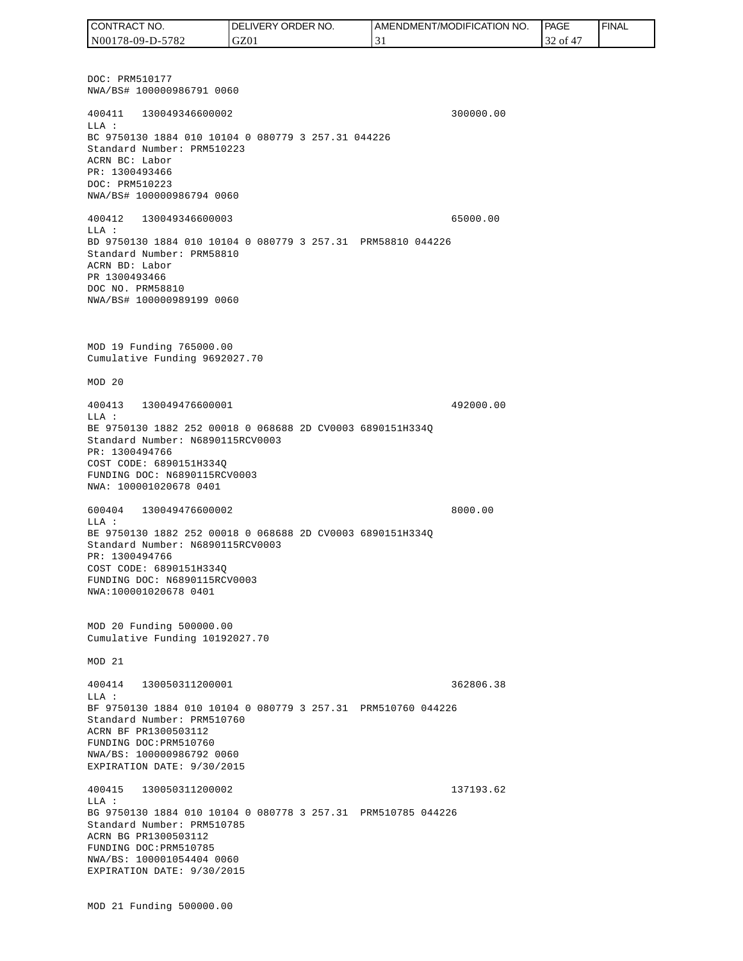DOC: PRM510177 NWA/BS# 100000986791 0060 400411 130049346600002 300000.00 LLA : BC 9750130 1884 010 10104 0 080779 3 257.31 044226 Standard Number: PRM510223 ACRN BC: Labor PR: 1300493466 DOC: PRM510223 NWA/BS# 100000986794 0060 400412 130049346600003 65000.00 LLA : BD 9750130 1884 010 10104 0 080779 3 257.31 PRM58810 044226 Standard Number: PRM58810 ACRN BD: Labor PR 1300493466 DOC NO. PRM58810 NWA/BS# 100000989199 0060 MOD 19 Funding 765000.00 Cumulative Funding 9692027.70 MOD 20 400413 130049476600001 492000.00 LLA : BE 9750130 1882 252 00018 0 068688 2D CV0003 6890151H334Q Standard Number: N6890115RCV0003 PR: 1300494766 COST CODE: 6890151H334Q FUNDING DOC: N6890115RCV0003 NWA: 100001020678 0401 600404 130049476600002 8000.00 LLA : BE 9750130 1882 252 00018 0 068688 2D CV0003 6890151H334Q Standard Number: N6890115RCV0003 PR: 1300494766 COST CODE: 6890151H334Q FUNDING DOC: N6890115RCV0003 NWA:100001020678 0401 MOD 20 Funding 500000.00 Cumulative Funding 10192027.70 MOD 21 400414 130050311200001 362806.38  $T.T.A$  : BF 9750130 1884 010 10104 0 080779 3 257.31 PRM510760 044226 Standard Number: PRM510760 ACRN BF PR1300503112 FUNDING DOC:PRM510760 NWA/BS: 100000986792 0060 EXPIRATION DATE: 9/30/2015 400415 130050311200002 137193.62 LLA : BG 9750130 1884 010 10104 0 080778 3 257.31 PRM510785 044226 Standard Number: PRM510785 ACRN BG PR1300503112 FUNDING DOC:PRM510785 NWA/BS: 100001054404 0060 EXPIRATION DATE: 9/30/2015 MOD 21 Funding 500000.00 CONTRACT NO. N00178-09-D-5782 DELIVERY ORDER NO. GZ01 AMENDMENT/MODIFICATION NO. 31 **PAGE**  32 of 47 FINAL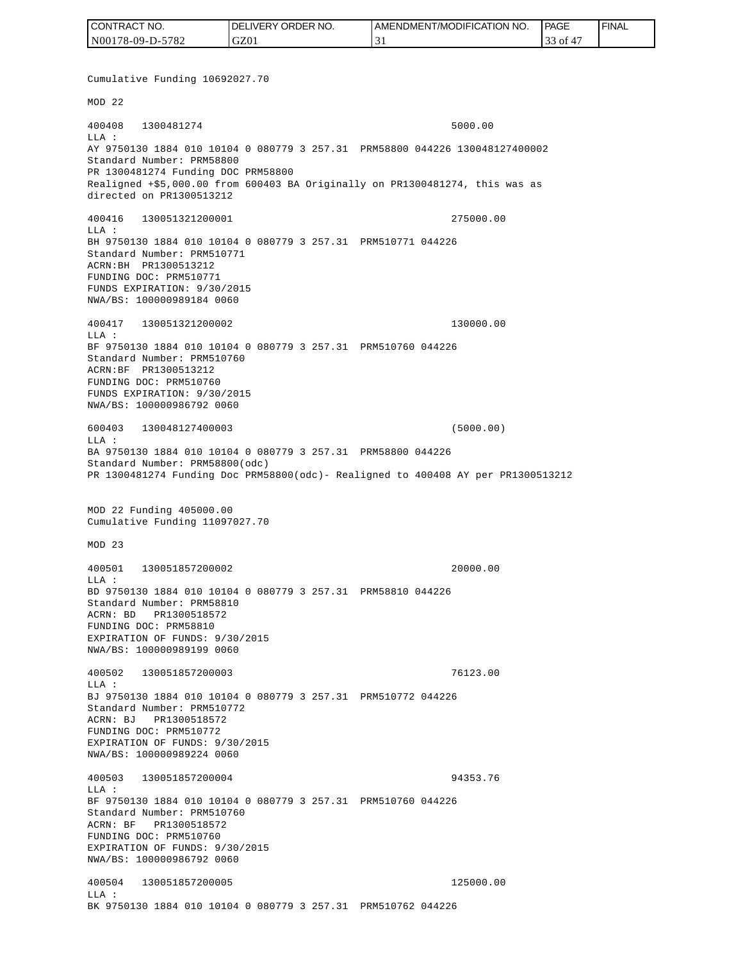| CONTRACT NO.     | <b>IDELIVERY ORDER NO.</b> | <b>I AMENDMENT/MODIFICATION NO.</b> | <b>PAGE</b> | ' FINAL |
|------------------|----------------------------|-------------------------------------|-------------|---------|
| N00178-09-D-5782 | GZ01                       |                                     | 33 of       |         |

Cumulative Funding 10692027.70 MOD 22 400408 1300481274 5000.00 LLA : AY 9750130 1884 010 10104 0 080779 3 257.31 PRM58800 044226 130048127400002 Standard Number: PRM58800 PR 1300481274 Funding DOC PRM58800 Realigned +\$5,000.00 from 600403 BA Originally on PR1300481274, this was as directed on PR1300513212 400416 130051321200001 275000.00 LLA : BH 9750130 1884 010 10104 0 080779 3 257.31 PRM510771 044226 Standard Number: PRM510771 ACRN:BH PR1300513212 FUNDING DOC: PRM510771 FUNDS EXPIRATION: 9/30/2015 NWA/BS: 100000989184 0060 400417 130051321200002 130000.00 LLA : BF 9750130 1884 010 10104 0 080779 3 257.31 PRM510760 044226 Standard Number: PRM510760 ACRN:BF PR1300513212 FUNDING DOC: PRM510760 FUNDS EXPIRATION: 9/30/2015 NWA/BS: 100000986792 0060 600403 130048127400003 (5000.00)  $L.L.A$  : BA 9750130 1884 010 10104 0 080779 3 257.31 PRM58800 044226 Standard Number: PRM58800(odc) PR 1300481274 Funding Doc PRM58800(odc)- Realigned to 400408 AY per PR1300513212 MOD 22 Funding 405000.00 Cumulative Funding 11097027.70 MOD 23 400501 130051857200002 20000.00  $L.L.A$  : BD 9750130 1884 010 10104 0 080779 3 257.31 PRM58810 044226 Standard Number: PRM58810 ACRN: BD PR1300518572 FUNDING DOC: PRM58810 EXPIRATION OF FUNDS: 9/30/2015 NWA/BS: 100000989199 0060 400502 130051857200003 76123.00 LLA : BJ 9750130 1884 010 10104 0 080779 3 257.31 PRM510772 044226 Standard Number: PRM510772 ACRN: BJ PR1300518572 FUNDING DOC: PRM510772 EXPIRATION OF FUNDS: 9/30/2015 NWA/BS: 100000989224 0060 400503 130051857200004 94353.76  $T.T.A$  : BF 9750130 1884 010 10104 0 080779 3 257.31 PRM510760 044226 Standard Number: PRM510760 ACRN: BF PR1300518572 FUNDING DOC: PRM510760 EXPIRATION OF FUNDS: 9/30/2015 NWA/BS: 100000986792 0060 400504 130051857200005 125000.00 LLA : BK 9750130 1884 010 10104 0 080779 3 257.31 PRM510762 044226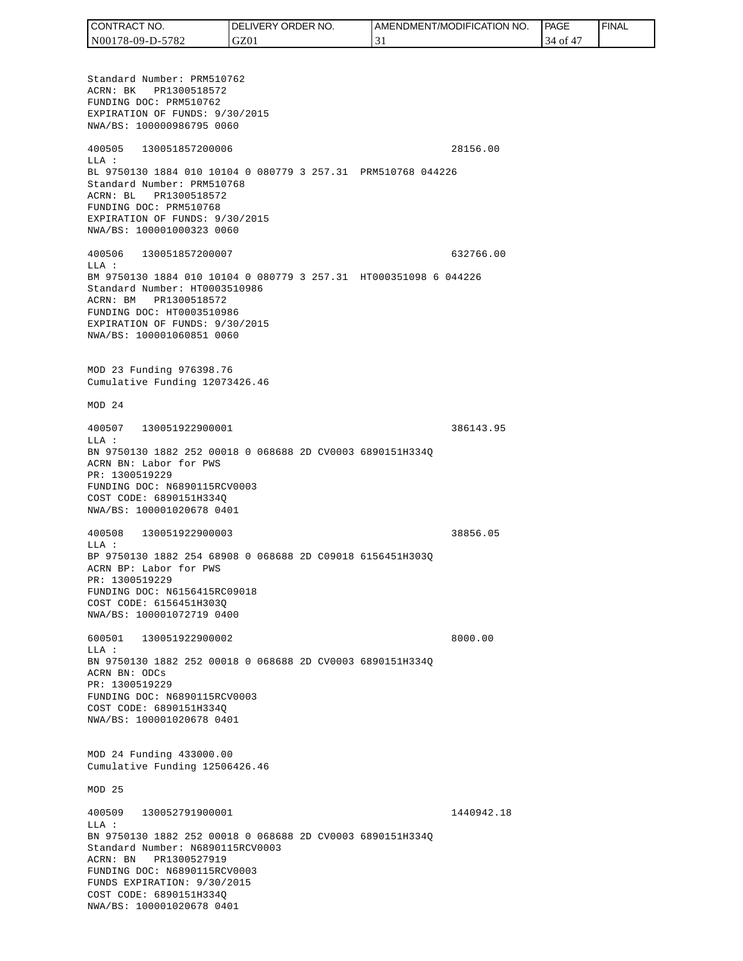| CONTRACT NO.     | $\%$ ORDER NO.<br><b>DELIVERY</b> | I AMENDMENT/MODIFICATION NO. | PAGE          | 'FINAL |
|------------------|-----------------------------------|------------------------------|---------------|--------|
| N00178-09-D-5782 | GZ01                              | . .                          | 34<br>0Ī<br>4 |        |

Standard Number: PRM510762 ACRN: BK PR1300518572 FUNDING DOC: PRM510762 EXPIRATION OF FUNDS: 9/30/2015 NWA/BS: 100000986795 0060 400505 130051857200006 28156.00 LLA : BL 9750130 1884 010 10104 0 080779 3 257.31 PRM510768 044226 Standard Number: PRM510768 ACRN: BL PR1300518572 FUNDING DOC: PRM510768 EXPIRATION OF FUNDS: 9/30/2015 NWA/BS: 100001000323 0060 400506 130051857200007 632766.00 LLA : BM 9750130 1884 010 10104 0 080779 3 257.31 HT000351098 6 044226 Standard Number: HT0003510986 ACRN: BM PR1300518572 FUNDING DOC: HT0003510986 EXPIRATION OF FUNDS: 9/30/2015 NWA/BS: 100001060851 0060 MOD 23 Funding 976398.76 Cumulative Funding 12073426.46 MOD 24 400507 130051922900001 386143.95  $T.T.A$  : BN 9750130 1882 252 00018 0 068688 2D CV0003 6890151H334Q ACRN BN: Labor for PWS PR: 1300519229 FUNDING DOC: N6890115RCV0003 COST CODE: 6890151H334Q NWA/BS: 100001020678 0401 400508 130051922900003 38856.05 LLA : BP 9750130 1882 254 68908 0 068688 2D C09018 6156451H303Q ACRN BP: Labor for PWS PR: 1300519229 FUNDING DOC: N6156415RC09018 COST CODE: 6156451H303Q NWA/BS: 100001072719 0400 600501 130051922900002 8000.00 LLA : BN 9750130 1882 252 00018 0 068688 2D CV0003 6890151H334Q ACRN BN: ODCs PR: 1300519229 FUNDING DOC: N6890115RCV0003 COST CODE: 6890151H334Q NWA/BS: 100001020678 0401 MOD 24 Funding 433000.00 Cumulative Funding 12506426.46 MOD 25 400509 130052791900001 1440942.18 LLA : BN 9750130 1882 252 00018 0 068688 2D CV0003 6890151H334Q Standard Number: N6890115RCV0003 ACRN: BN PR1300527919 FUNDING DOC: N6890115RCV0003 FUNDS EXPIRATION: 9/30/2015 COST CODE: 6890151H334Q NWA/BS: 100001020678 0401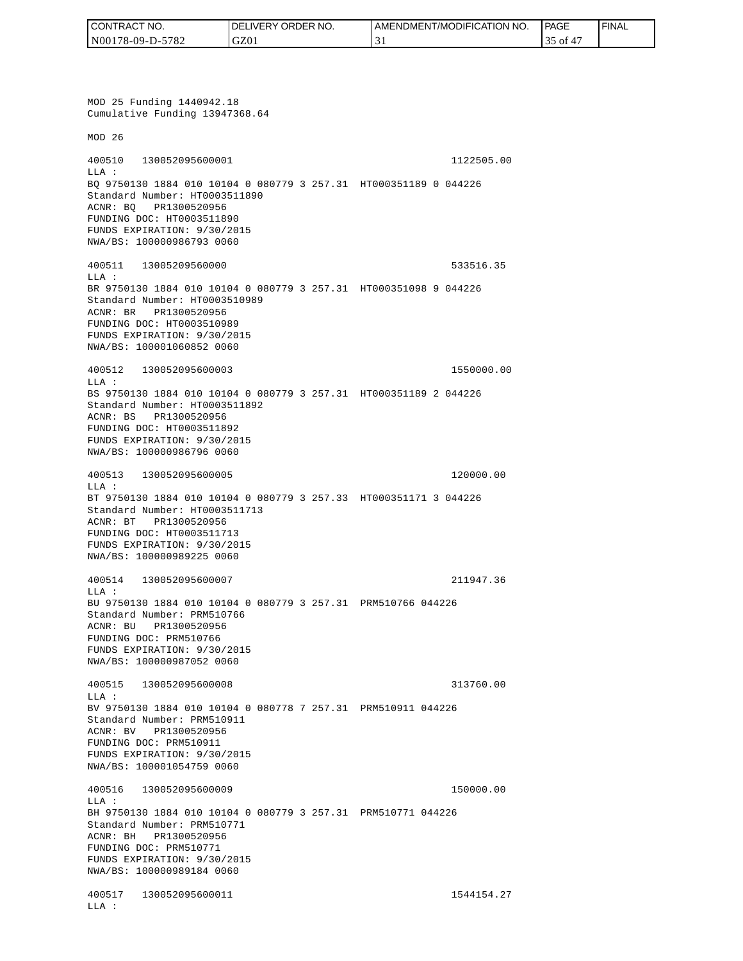| I CONTRACT NO.   | DELIVERY ORDER NO. | <b>I AMENDMENT/MODIFICATION NO.</b> | <b>PAGE</b> | <b>FINAL</b> |
|------------------|--------------------|-------------------------------------|-------------|--------------|
| N00178-09-D-5782 | GZ01               |                                     | of          |              |

MOD 25 Funding 1440942.18 Cumulative Funding 13947368.64 MOD 26 400510 130052095600001 1122505.00 LLA : BQ 9750130 1884 010 10104 0 080779 3 257.31 HT000351189 0 044226 Standard Number: HT0003511890 ACNR: BQ PR1300520956 FUNDING DOC: HT0003511890 FUNDS EXPIRATION: 9/30/2015 NWA/BS: 100000986793 0060 400511 13005209560000 533516.35 LLA : BR 9750130 1884 010 10104 0 080779 3 257.31 HT000351098 9 044226 Standard Number: HT0003510989 ACNR: BR PR1300520956 FUNDING DOC: HT0003510989 FUNDS EXPIRATION: 9/30/2015 NWA/BS: 100001060852 0060 400512 130052095600003 1550000.00 LLA : BS 9750130 1884 010 10104 0 080779 3 257.31 HT000351189 2 044226 Standard Number: HT0003511892 ACNR: BS PR1300520956 FUNDING DOC: HT0003511892 FUNDS EXPIRATION: 9/30/2015 NWA/BS: 100000986796 0060 400513 130052095600005 120000.00 LLA : BT 9750130 1884 010 10104 0 080779 3 257.33 HT000351171 3 044226 Standard Number: HT0003511713 ACNR: BT PR1300520956 FUNDING DOC: HT0003511713 FUNDS EXPIRATION: 9/30/2015 NWA/BS: 100000989225 0060 400514 130052095600007 211947.36 LLA : BU 9750130 1884 010 10104 0 080779 3 257.31 PRM510766 044226 Standard Number: PRM510766 ACNR: BU PR1300520956 FUNDING DOC: PRM510766 FUNDS EXPIRATION: 9/30/2015 NWA/BS: 100000987052 0060 400515 130052095600008 313760.00  $T.T.A$  : BV 9750130 1884 010 10104 0 080778 7 257.31 PRM510911 044226 Standard Number: PRM510911 ACNR: BV PR1300520956 FUNDING DOC: PRM510911 FUNDS EXPIRATION: 9/30/2015 NWA/BS: 100001054759 0060 400516 130052095600009 150000.00 LLA : BH 9750130 1884 010 10104 0 080779 3 257.31 PRM510771 044226 Standard Number: PRM510771 ACNR: BH PR1300520956 FUNDING DOC: PRM510771 FUNDS EXPIRATION: 9/30/2015 NWA/BS: 100000989184 0060 400517 130052095600011 1544154.27 LLA :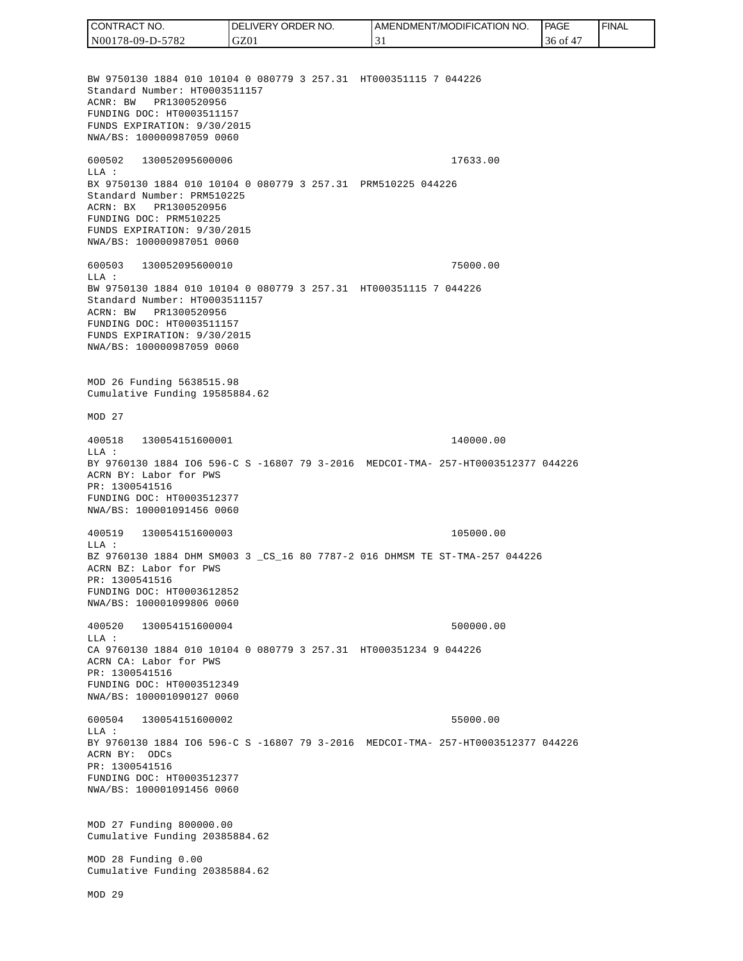CONTRACT NO. DELIVERY ORDER NO. AMENDMENT/MODIFICATION NO. **PAGE**  FINALCONTRACT NO.<br>
NO0178-09-D-5<br>
BW 9750130 18<br>
Standard Numb<br>
Standard Numb<br>
ACNR: BW PR<br>
FUNDING DOC:<br>
FUNDS EXPIRAT<br>
FUNDING DOC:<br>
TEUNDS EXPIRAT<br>
600502 1300<br>
600502 1300<br>
LLA: BX 9750130 18<br>
Standard Numb<br>
ACRN: BX PR<br>
FU N00178-09-D-5782 GZ01 31 36 of 47 BW 9750130 1884 010 10104 0 080779 3 257.31 HT000351115 7 044226 Standard Number: HT0003511157 ACNR: BW PR1300520956 FUNDING DOC: HT0003511157 FUNDS EXPIRATION: 9/30/2015 NWA/BS: 100000987059 0060 600502 130052095600006 17633.00 LLA : BX 9750130 1884 010 10104 0 080779 3 257.31 PRM510225 044226 Standard Number: PRM510225 ACRN: BX PR1300520956 FUNDING DOC: PRM510225 FUNDS EXPIRATION: 9/30/2015 NWA/BS: 100000987051 0060 600503 130052095600010 75000.00  $T.T.A$  : BW 9750130 1884 010 10104 0 080779 3 257.31 HT000351115 7 044226 Standard Number: HT0003511157 ACRN: BW PR1300520956 FUNDING DOC: HT0003511157 FUNDS EXPIRATION: 9/30/2015 NWA/BS: 100000987059 0060 MOD 26 Funding 5638515.98 Cumulative Funding 19585884.62 MOD 27 400518 130054151600001 140000.00 LLA : BY 9760130 1884 IO6 596-C S -16807 79 3-2016 MEDCOI-TMA- 257-HT0003512377 044226 ACRN BY: Labor for PWS PR: 1300541516 FUNDING DOC: HT0003512377 NWA/BS: 100001091456 0060 400519 130054151600003 105000.00 LLA : BZ 9760130 1884 DHM SM003 3 \_CS\_16 80 7787-2 016 DHMSM TE ST-TMA-257 044226 ACRN BZ: Labor for PWS PR: 1300541516 FUNDING DOC: HT0003612852 NWA/BS: 100001099806 0060 400520 130054151600004 500000.00  $L.L.A$  : CA 9760130 1884 010 10104 0 080779 3 257.31 HT000351234 9 044226 ACRN CA: Labor for PWS PR: 1300541516 FUNDING DOC: HT0003512349 NWA/BS: 100001090127 0060 600504 130054151600002 55000.00  $T.T.A$  : BY 9760130 1884 IO6 596-C S -16807 79 3-2016 MEDCOI-TMA- 257-HT0003512377 044226 ACRN BY: ODCs PR: 1300541516 FUNDING DOC: HT0003512377 NWA/BS: 100001091456 0060 MOD 27 Funding 800000.00 Cumulative Funding 20385884.62 MOD 28 Funding 0.00 Cumulative Funding 20385884.62 MOD 29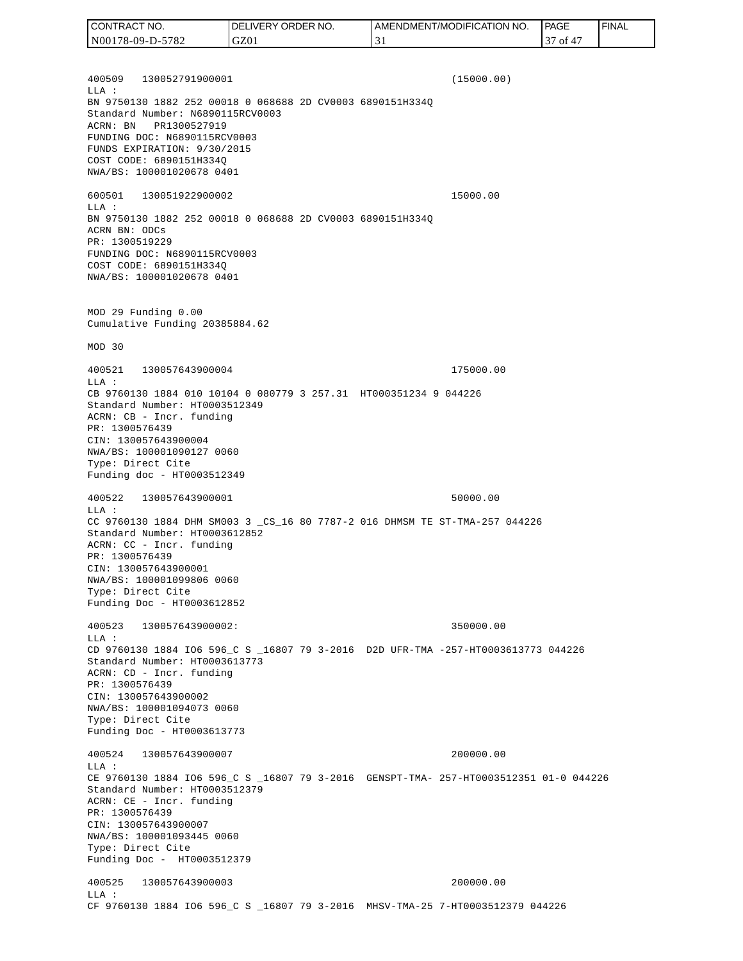400509 130052791900001 (15000.00) LLA : BN 9750130 1882 252 00018 0 068688 2D CV0003 6890151H334Q Standard Number: N6890115RCV0003 ACRN: BN PR1300527919 FUNDING DOC: N6890115RCV0003 FUNDS EXPIRATION: 9/30/2015 COST CODE: 6890151H334Q NWA/BS: 100001020678 0401 600501 130051922900002 15000.00 LLA : BN 9750130 1882 252 00018 0 068688 2D CV0003 6890151H334Q ACRN BN: ODCs PR: 1300519229 FUNDING DOC: N6890115RCV0003 COST CODE: 6890151H334Q NWA/BS: 100001020678 0401 MOD 29 Funding 0.00 Cumulative Funding 20385884.62 MOD 30 400521 130057643900004 175000.00 LLA : CB 9760130 1884 010 10104 0 080779 3 257.31 HT000351234 9 044226 Standard Number: HT0003512349 ACRN: CB - Incr. funding PR: 1300576439 CIN: 130057643900004 NWA/BS: 100001090127 0060 Type: Direct Cite Funding doc - HT0003512349 400522 130057643900001 50000.00 LLA : CC 9760130 1884 DHM SM003 3 \_CS\_16 80 7787-2 016 DHMSM TE ST-TMA-257 044226 Standard Number: HT0003612852 ACRN: CC - Incr. funding PR: 1300576439 CIN: 130057643900001 NWA/BS: 100001099806 0060 Type: Direct Cite Funding Doc - HT0003612852 400523 130057643900002: 350000.00  $L.L.A$  : CD 9760130 1884 IO6 596\_C S \_16807 79 3-2016 D2D UFR-TMA -257-HT0003613773 044226 Standard Number: HT0003613773 ACRN: CD - Incr. funding PR: 1300576439 CIN: 130057643900002 NWA/BS: 100001094073 0060 Type: Direct Cite Funding Doc - HT0003613773 400524 130057643900007 200000.00 LLA : CE 9760130 1884 IO6 596\_C S \_16807 79 3-2016 GENSPT-TMA- 257-HT0003512351 01-0 044226 Standard Number: HT0003512379 ACRN: CE - Incr. funding PR: 1300576439 CIN: 130057643900007 NWA/BS: 100001093445 0060 Type: Direct Cite Funding Doc - HT0003512379 400525 130057643900003 200000.00 LLA : CF 9760130 1884 IO6 596\_C S \_16807 79 3-2016 MHSV-TMA-25 7-HT0003512379 044226 CONTRACT NO. N00178-09-D-5782 DELIVERY ORDER NO. GZ01 AMENDMENT/MODIFICATION NO. 31 **PAGE**  37 of 47 FINAL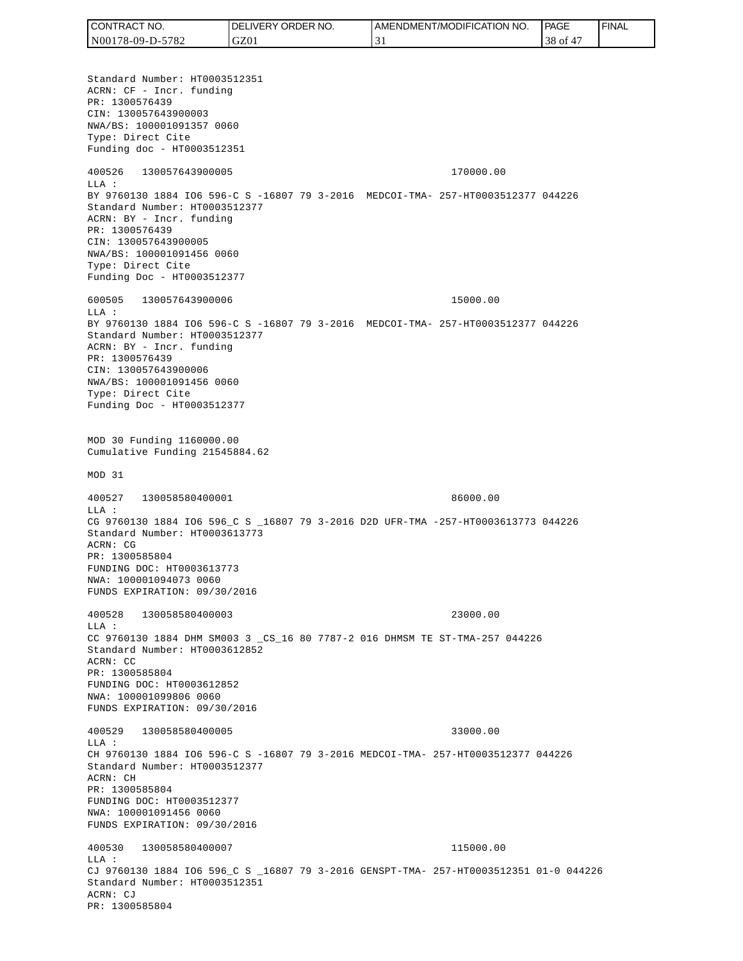Standard Number: HT0003512351 ACRN: CF - Incr. funding PR: 1300576439 CIN: 130057643900003 NWA/BS: 100001091357 0060 Type: Direct Cite Funding doc - HT0003512351 400526 130057643900005 170000.00 LLA : BY 9760130 1884 IO6 596-C S -16807 79 3-2016 MEDCOI-TMA- 257-HT0003512377 044226 Standard Number: HT0003512377 ACRN: BY - Incr. funding PR: 1300576439 CIN: 130057643900005 NWA/BS: 100001091456 0060 Type: Direct Cite Funding Doc - HT0003512377 600505 130057643900006 15000.00  $T.T.A$  : BY 9760130 1884 IO6 596-C S -16807 79 3-2016 MEDCOI-TMA- 257-HT0003512377 044226 Standard Number: HT0003512377 ACRN: BY - Incr. funding PR: 1300576439 CIN: 130057643900006 NWA/BS: 100001091456 0060 Type: Direct Cite Funding Doc - HT0003512377 MOD 30 Funding 1160000.00 Cumulative Funding 21545884.62 MOD 31 400527 130058580400001 86000.00 LLA : CG 9760130 1884 IO6 596\_C S \_16807 79 3-2016 D2D UFR-TMA -257-HT0003613773 044226 Standard Number: HT0003613773 ACRN: CG PR: 1300585804 FUNDING DOC: HT0003613773 NWA: 100001094073 0060 FUNDS EXPIRATION: 09/30/2016 400528 130058580400003 23000.00 LLA : CC 9760130 1884 DHM SM003 3 \_CS\_16 80 7787-2 016 DHMSM TE ST-TMA-257 044226 Standard Number: HT0003612852 ACRN: CC PR: 1300585804 FUNDING DOC: HT0003612852 NWA: 100001099806 0060 FUNDS EXPIRATION: 09/30/2016 400529 130058580400005 33000.00 LLA : CH 9760130 1884 IO6 596-C S -16807 79 3-2016 MEDCOI-TMA- 257-HT0003512377 044226 Standard Number: HT0003512377 ACRN: CH PR: 1300585804 FUNDING DOC: HT0003512377 NWA: 100001091456 0060 FUNDS EXPIRATION: 09/30/2016 400530 130058580400007 115000.00  $T.T.A$  : CJ 9760130 1884 IO6 596\_C S \_16807 79 3-2016 GENSPT-TMA- 257-HT0003512351 01-0 044226 Standard Number: HT0003512351 ACRN: CJ PR: 1300585804 CONTRACT NO. N00178-09-D-5782 DELIVERY ORDER NO. GZ01 AMENDMENT/MODIFICATION NO. 31 **PAGE**  38 of 47 FINAL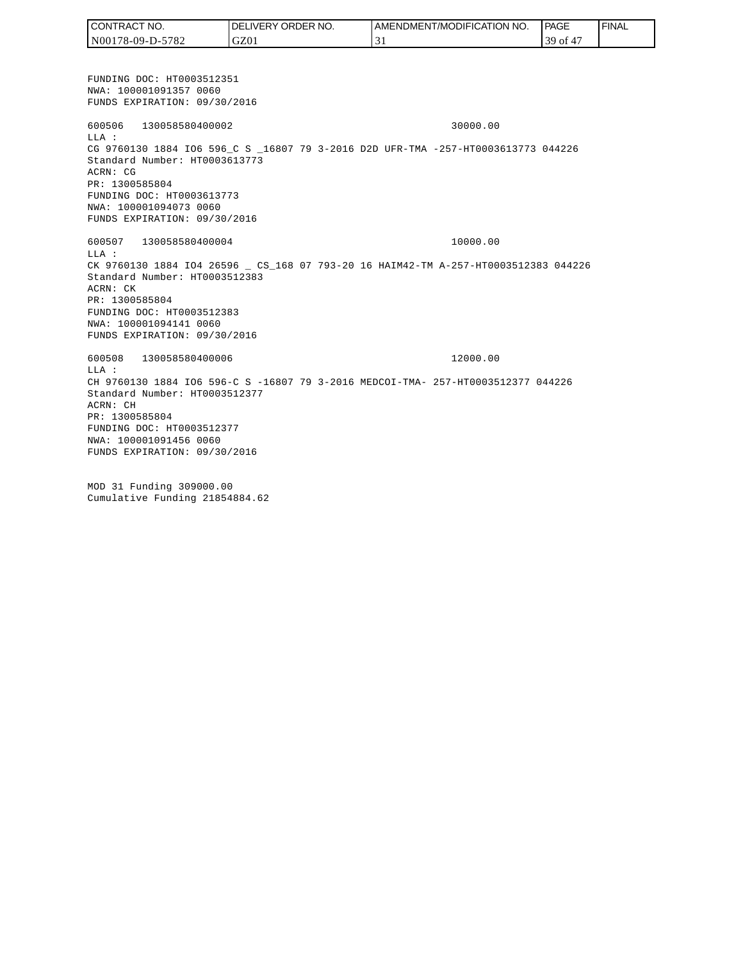FUNDING DOC: HT0003512351 NWA: 100001091357 0060 FUNDS EXPIRATION: 09/30/2016 600506 130058580400002 30000.00 LLA : CG 9760130 1884 IO6 596\_C S \_16807 79 3-2016 D2D UFR-TMA -257-HT0003613773 044226 Standard Number: HT0003613773 ACRN: CG PR: 1300585804 FUNDING DOC: HT0003613773 NWA: 100001094073 0060 FUNDS EXPIRATION: 09/30/2016 600507 130058580400004 10000.00 LLA : CK 9760130 1884 IO4 26596 \_ CS\_168 07 793-20 16 HAIM42-TM A-257-HT0003512383 044226 Standard Number: HT0003512383 ACRN: CK PR: 1300585804 FUNDING DOC: HT0003512383 NWA: 100001094141 0060 FUNDS EXPIRATION: 09/30/2016 600508 130058580400006 12000.00 LLA : CH 9760130 1884 IO6 596-C S -16807 79 3-2016 MEDCOI-TMA- 257-HT0003512377 044226 Standard Number: HT0003512377 ACRN: CH PR: 1300585804 FUNDING DOC: HT0003512377 NWA: 100001091456 0060 FUNDS EXPIRATION: 09/30/2016 MOD 31 Funding 309000.00 Cumulative Funding 21854884.62 CONTRACT NO. N00178-09-D-5782 DELIVERY ORDER NO. GZ01 AMENDMENT/MODIFICATION NO. 31 **PAGE**  39 of 47 **FINAL**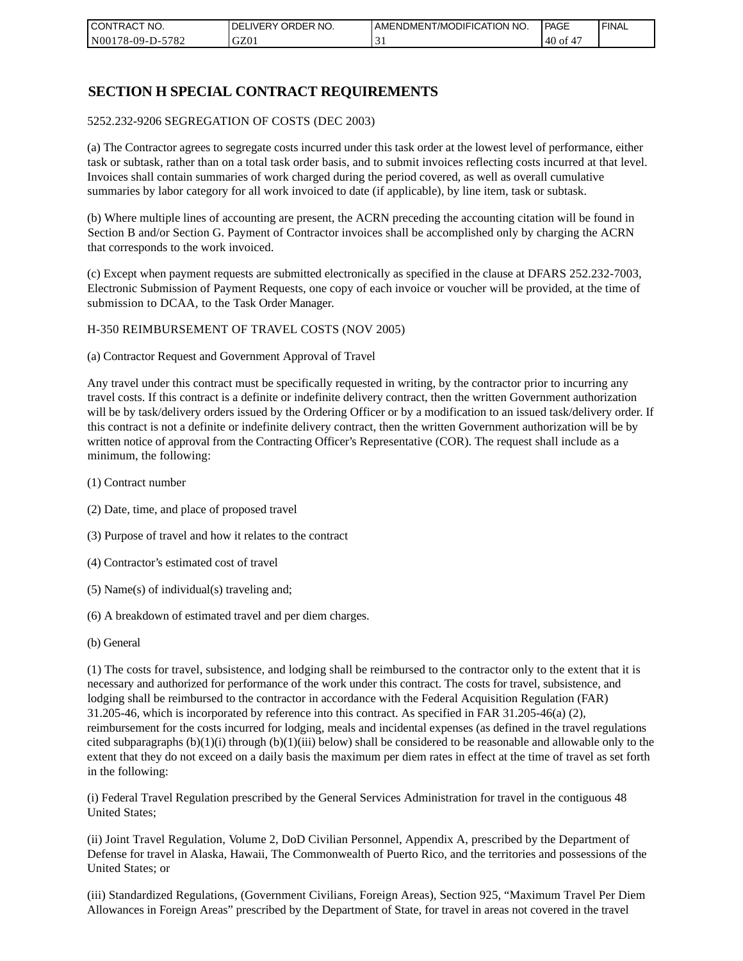| I CONTRACT NO.   | NO.<br>DELIVERY ORDER | AMENDMENT/MODIFICATION NO. | PAGE  | ' FINAL |
|------------------|-----------------------|----------------------------|-------|---------|
| N00178-09-D-5782 | GZ01                  |                            | 40 of |         |

### **SECTION H SPECIAL CONTRACT REQUIREMENTS**

#### 5252.232-9206 SEGREGATION OF COSTS (DEC 2003)

(a) The Contractor agrees to segregate costs incurred under this task order at the lowest level of performance, either task or subtask, rather than on a total task order basis, and to submit invoices reflecting costs incurred at that level. Invoices shall contain summaries of work charged during the period covered, as well as overall cumulative summaries by labor category for all work invoiced to date (if applicable), by line item, task or subtask.

(b) Where multiple lines of accounting are present, the ACRN preceding the accounting citation will be found in Section B and/or Section G. Payment of Contractor invoices shall be accomplished only by charging the ACRN that corresponds to the work invoiced.

(c) Except when payment requests are submitted electronically as specified in the clause at DFARS 252.232-7003, Electronic Submission of Payment Requests, one copy of each invoice or voucher will be provided, at the time of submission to DCAA, to the Task Order Manager.

#### H-350 REIMBURSEMENT OF TRAVEL COSTS (NOV 2005)

(a) Contractor Request and Government Approval of Travel

Any travel under this contract must be specifically requested in writing, by the contractor prior to incurring any travel costs. If this contract is a definite or indefinite delivery contract, then the written Government authorization will be by task/delivery orders issued by the Ordering Officer or by a modification to an issued task/delivery order. If this contract is not a definite or indefinite delivery contract, then the written Government authorization will be by written notice of approval from the Contracting Officer's Representative (COR). The request shall include as a minimum, the following:

- (1) Contract number
- (2) Date, time, and place of proposed travel
- (3) Purpose of travel and how it relates to the contract
- (4) Contractor's estimated cost of travel
- (5) Name(s) of individual(s) traveling and;
- (6) A breakdown of estimated travel and per diem charges.
- (b) General

(1) The costs for travel, subsistence, and lodging shall be reimbursed to the contractor only to the extent that it is necessary and authorized for performance of the work under this contract. The costs for travel, subsistence, and lodging shall be reimbursed to the contractor in accordance with the Federal Acquisition Regulation (FAR) 31.205-46, which is incorporated by reference into this contract. As specified in FAR 31.205-46(a) (2), reimbursement for the costs incurred for lodging, meals and incidental expenses (as defined in the travel regulations cited subparagraphs  $(b)(1)(i)$  through  $(b)(1)(iii)$  below) shall be considered to be reasonable and allowable only to the extent that they do not exceed on a daily basis the maximum per diem rates in effect at the time of travel as set forth in the following:

(i) Federal Travel Regulation prescribed by the General Services Administration for travel in the contiguous 48 United States;

(ii) Joint Travel Regulation, Volume 2, DoD Civilian Personnel, Appendix A, prescribed by the Department of Defense for travel in Alaska, Hawaii, The Commonwealth of Puerto Rico, and the territories and possessions of the United States; or

(iii) Standardized Regulations, (Government Civilians, Foreign Areas), Section 925, "Maximum Travel Per Diem Allowances in Foreign Areas" prescribed by the Department of State, for travel in areas not covered in the travel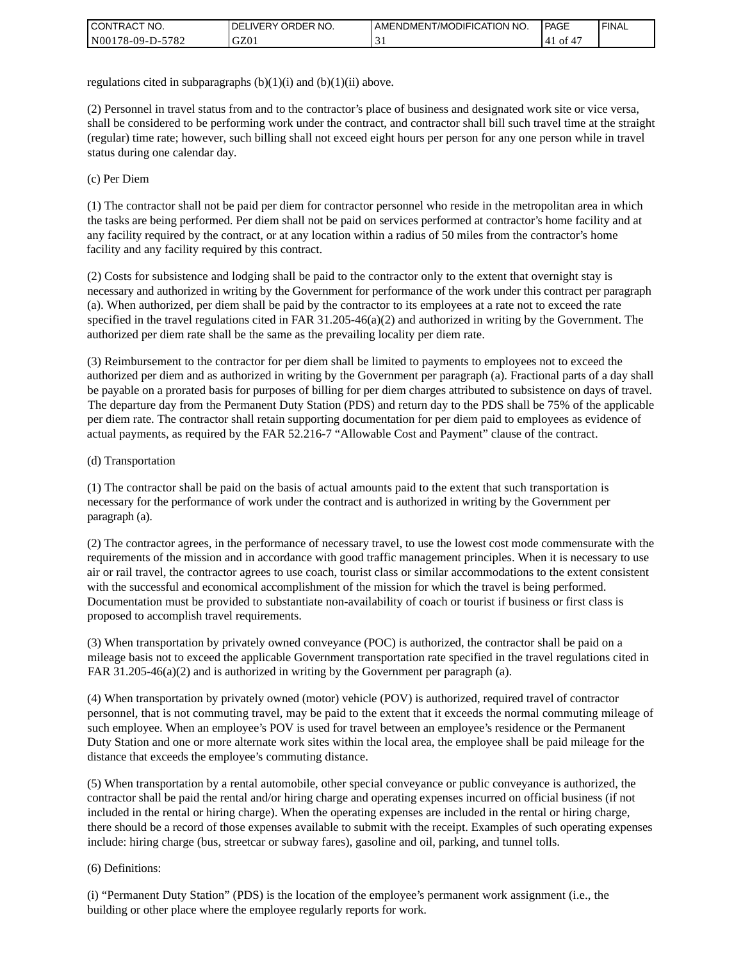| I CONTRACT NO.   | ' ORDER NO.<br><b>DELIVERY</b> | I AMENDMENT/MODIFICATION NO. | <b>PAGE</b> | <b>I FINAL</b> |
|------------------|--------------------------------|------------------------------|-------------|----------------|
| N00178-09-D-5782 | GZ0.                           |                              | 0Ť<br>4 I   |                |

regulations cited in subparagraphs  $(b)(1)(i)$  and  $(b)(1)(ii)$  above.

(2) Personnel in travel status from and to the contractor's place of business and designated work site or vice versa, shall be considered to be performing work under the contract, and contractor shall bill such travel time at the straight (regular) time rate; however, such billing shall not exceed eight hours per person for any one person while in travel status during one calendar day.

(c) Per Diem

(1) The contractor shall not be paid per diem for contractor personnel who reside in the metropolitan area in which the tasks are being performed. Per diem shall not be paid on services performed at contractor's home facility and at any facility required by the contract, or at any location within a radius of 50 miles from the contractor's home facility and any facility required by this contract.

(2) Costs for subsistence and lodging shall be paid to the contractor only to the extent that overnight stay is necessary and authorized in writing by the Government for performance of the work under this contract per paragraph (a). When authorized, per diem shall be paid by the contractor to its employees at a rate not to exceed the rate specified in the travel regulations cited in FAR 31.205-46(a)(2) and authorized in writing by the Government. The authorized per diem rate shall be the same as the prevailing locality per diem rate.

(3) Reimbursement to the contractor for per diem shall be limited to payments to employees not to exceed the authorized per diem and as authorized in writing by the Government per paragraph (a). Fractional parts of a day shall be payable on a prorated basis for purposes of billing for per diem charges attributed to subsistence on days of travel. The departure day from the Permanent Duty Station (PDS) and return day to the PDS shall be 75% of the applicable per diem rate. The contractor shall retain supporting documentation for per diem paid to employees as evidence of actual payments, as required by the FAR 52.216-7 "Allowable Cost and Payment" clause of the contract.

#### (d) Transportation

(1) The contractor shall be paid on the basis of actual amounts paid to the extent that such transportation is necessary for the performance of work under the contract and is authorized in writing by the Government per paragraph (a).

(2) The contractor agrees, in the performance of necessary travel, to use the lowest cost mode commensurate with the requirements of the mission and in accordance with good traffic management principles. When it is necessary to use air or rail travel, the contractor agrees to use coach, tourist class or similar accommodations to the extent consistent with the successful and economical accomplishment of the mission for which the travel is being performed. Documentation must be provided to substantiate non-availability of coach or tourist if business or first class is proposed to accomplish travel requirements.

(3) When transportation by privately owned conveyance (POC) is authorized, the contractor shall be paid on a mileage basis not to exceed the applicable Government transportation rate specified in the travel regulations cited in FAR 31.205-46(a)(2) and is authorized in writing by the Government per paragraph (a).

(4) When transportation by privately owned (motor) vehicle (POV) is authorized, required travel of contractor personnel, that is not commuting travel, may be paid to the extent that it exceeds the normal commuting mileage of such employee. When an employee's POV is used for travel between an employee's residence or the Permanent Duty Station and one or more alternate work sites within the local area, the employee shall be paid mileage for the distance that exceeds the employee's commuting distance.

(5) When transportation by a rental automobile, other special conveyance or public conveyance is authorized, the contractor shall be paid the rental and/or hiring charge and operating expenses incurred on official business (if not included in the rental or hiring charge). When the operating expenses are included in the rental or hiring charge, there should be a record of those expenses available to submit with the receipt. Examples of such operating expenses include: hiring charge (bus, streetcar or subway fares), gasoline and oil, parking, and tunnel tolls.

#### (6) Definitions:

(i) "Permanent Duty Station" (PDS) is the location of the employee's permanent work assignment (i.e., the building or other place where the employee regularly reports for work.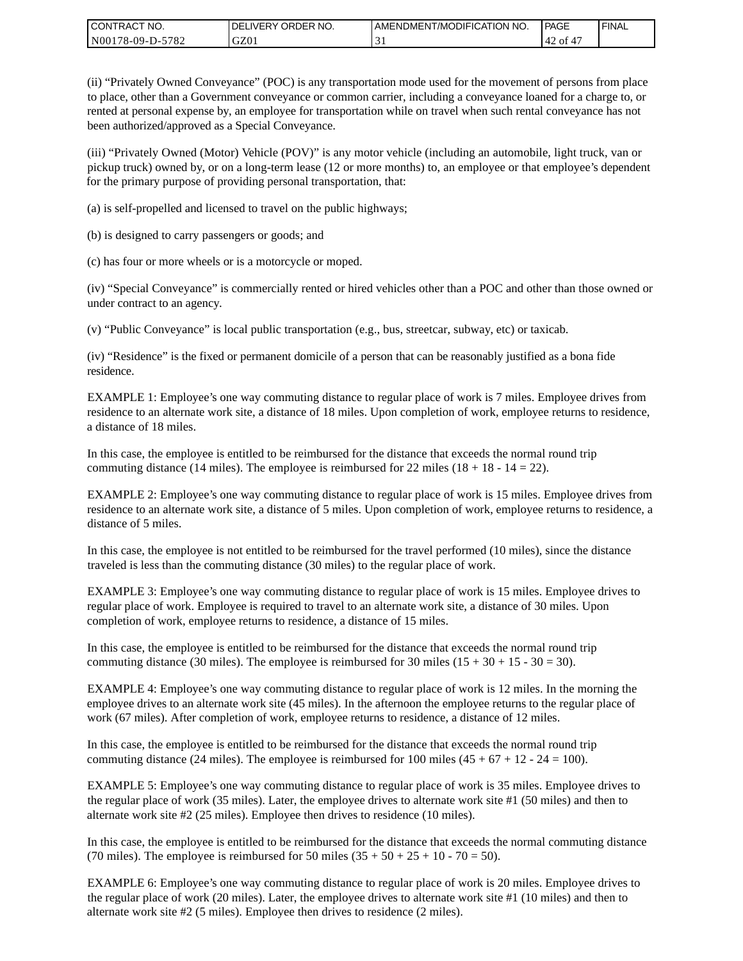| CONTRACT<br>CT NO.                                    | NO.<br>' ORDER<br><b>DELIVERY</b> | I AMENDMENT/MODIFICATION NO. | l PAGE | ' FINAL |
|-------------------------------------------------------|-----------------------------------|------------------------------|--------|---------|
| N <sub>001</sub><br>$-5782$<br>'78-09-D- <sub>~</sub> | GZ0                               | . .                          | '42 of |         |

(ii) "Privately Owned Conveyance" (POC) is any transportation mode used for the movement of persons from place to place, other than a Government conveyance or common carrier, including a conveyance loaned for a charge to, or rented at personal expense by, an employee for transportation while on travel when such rental conveyance has not been authorized/approved as a Special Conveyance.

(iii) "Privately Owned (Motor) Vehicle (POV)" is any motor vehicle (including an automobile, light truck, van or pickup truck) owned by, or on a long-term lease (12 or more months) to, an employee or that employee's dependent for the primary purpose of providing personal transportation, that:

(a) is self-propelled and licensed to travel on the public highways;

(b) is designed to carry passengers or goods; and

(c) has four or more wheels or is a motorcycle or moped.

(iv) "Special Conveyance" is commercially rented or hired vehicles other than a POC and other than those owned or under contract to an agency.

(v) "Public Conveyance" is local public transportation (e.g., bus, streetcar, subway, etc) or taxicab.

(iv) "Residence" is the fixed or permanent domicile of a person that can be reasonably justified as a bona fide residence.

EXAMPLE 1: Employee's one way commuting distance to regular place of work is 7 miles. Employee drives from residence to an alternate work site, a distance of 18 miles. Upon completion of work, employee returns to residence, a distance of 18 miles.

In this case, the employee is entitled to be reimbursed for the distance that exceeds the normal round trip commuting distance (14 miles). The employee is reimbursed for 22 miles (18 + 18 - 14 = 22).

EXAMPLE 2: Employee's one way commuting distance to regular place of work is 15 miles. Employee drives from residence to an alternate work site, a distance of 5 miles. Upon completion of work, employee returns to residence, a distance of 5 miles.

In this case, the employee is not entitled to be reimbursed for the travel performed (10 miles), since the distance traveled is less than the commuting distance (30 miles) to the regular place of work.

EXAMPLE 3: Employee's one way commuting distance to regular place of work is 15 miles. Employee drives to regular place of work. Employee is required to travel to an alternate work site, a distance of 30 miles. Upon completion of work, employee returns to residence, a distance of 15 miles.

In this case, the employee is entitled to be reimbursed for the distance that exceeds the normal round trip commuting distance (30 miles). The employee is reimbursed for 30 miles  $(15 + 30 + 15 - 30 = 30)$ .

EXAMPLE 4: Employee's one way commuting distance to regular place of work is 12 miles. In the morning the employee drives to an alternate work site (45 miles). In the afternoon the employee returns to the regular place of work (67 miles). After completion of work, employee returns to residence, a distance of 12 miles.

In this case, the employee is entitled to be reimbursed for the distance that exceeds the normal round trip commuting distance (24 miles). The employee is reimbursed for 100 miles  $(45 + 67 + 12 - 24 = 100)$ .

EXAMPLE 5: Employee's one way commuting distance to regular place of work is 35 miles. Employee drives to the regular place of work (35 miles). Later, the employee drives to alternate work site #1 (50 miles) and then to alternate work site #2 (25 miles). Employee then drives to residence (10 miles).

In this case, the employee is entitled to be reimbursed for the distance that exceeds the normal commuting distance (70 miles). The employee is reimbursed for 50 miles  $(35 + 50 + 25 + 10 - 70 = 50)$ .

EXAMPLE 6: Employee's one way commuting distance to regular place of work is 20 miles. Employee drives to the regular place of work (20 miles). Later, the employee drives to alternate work site #1 (10 miles) and then to alternate work site #2 (5 miles). Employee then drives to residence (2 miles).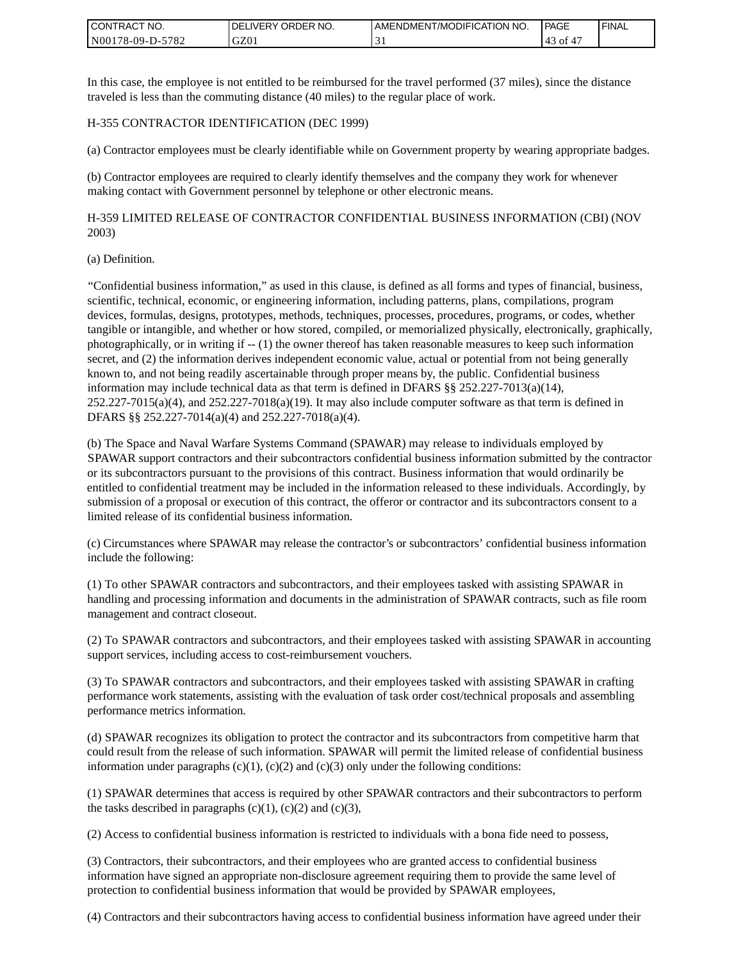| <b>I CONTRACT NO.</b>                 | NO.<br>DELIVERY ORDER | AMENDMENT/MODIFICATION NO. | PAGE | <b>I FINAL</b> |
|---------------------------------------|-----------------------|----------------------------|------|----------------|
| 5782<br>N001<br>$78-09-I$<br>$D^{-r}$ | GZ01                  | . .                        | Οİ   |                |

In this case, the employee is not entitled to be reimbursed for the travel performed (37 miles), since the distance traveled is less than the commuting distance (40 miles) to the regular place of work.

#### H-355 CONTRACTOR IDENTIFICATION (DEC 1999)

(a) Contractor employees must be clearly identifiable while on Government property by wearing appropriate badges.

(b) Contractor employees are required to clearly identify themselves and the company they work for whenever making contact with Government personnel by telephone or other electronic means.

H-359 LIMITED RELEASE OF CONTRACTOR CONFIDENTIAL BUSINESS INFORMATION (CBI) (NOV 2003)

#### (a) Definition.

"Confidential business information," as used in this clause, is defined as all forms and types of financial, business, scientific, technical, economic, or engineering information, including patterns, plans, compilations, program devices, formulas, designs, prototypes, methods, techniques, processes, procedures, programs, or codes, whether tangible or intangible, and whether or how stored, compiled, or memorialized physically, electronically, graphically, photographically, or in writing if -- (1) the owner thereof has taken reasonable measures to keep such information secret, and (2) the information derives independent economic value, actual or potential from not being generally known to, and not being readily ascertainable through proper means by, the public. Confidential business information may include technical data as that term is defined in DFARS  $\S$ § 252.227-7013(a)(14),  $252.227-7015(a)(4)$ , and  $252.227-7018(a)(19)$ . It may also include computer software as that term is defined in DFARS §§ 252.227-7014(a)(4) and 252.227-7018(a)(4).

(b) The Space and Naval Warfare Systems Command (SPAWAR) may release to individuals employed by SPAWAR support contractors and their subcontractors confidential business information submitted by the contractor or its subcontractors pursuant to the provisions of this contract. Business information that would ordinarily be entitled to confidential treatment may be included in the information released to these individuals. Accordingly, by submission of a proposal or execution of this contract, the offeror or contractor and its subcontractors consent to a limited release of its confidential business information.

(c) Circumstances where SPAWAR may release the contractor's or subcontractors' confidential business information include the following:

(1) To other SPAWAR contractors and subcontractors, and their employees tasked with assisting SPAWAR in handling and processing information and documents in the administration of SPAWAR contracts, such as file room management and contract closeout.

(2) To SPAWAR contractors and subcontractors, and their employees tasked with assisting SPAWAR in accounting support services, including access to cost-reimbursement vouchers.

(3) To SPAWAR contractors and subcontractors, and their employees tasked with assisting SPAWAR in crafting performance work statements, assisting with the evaluation of task order cost/technical proposals and assembling performance metrics information.

(d) SPAWAR recognizes its obligation to protect the contractor and its subcontractors from competitive harm that could result from the release of such information. SPAWAR will permit the limited release of confidential business information under paragraphs  $(c)(1)$ ,  $(c)(2)$  and  $(c)(3)$  only under the following conditions:

(1) SPAWAR determines that access is required by other SPAWAR contractors and their subcontractors to perform the tasks described in paragraphs  $(c)(1)$ ,  $(c)(2)$  and  $(c)(3)$ ,

(2) Access to confidential business information is restricted to individuals with a bona fide need to possess,

(3) Contractors, their subcontractors, and their employees who are granted access to confidential business information have signed an appropriate non-disclosure agreement requiring them to provide the same level of protection to confidential business information that would be provided by SPAWAR employees,

(4) Contractors and their subcontractors having access to confidential business information have agreed under their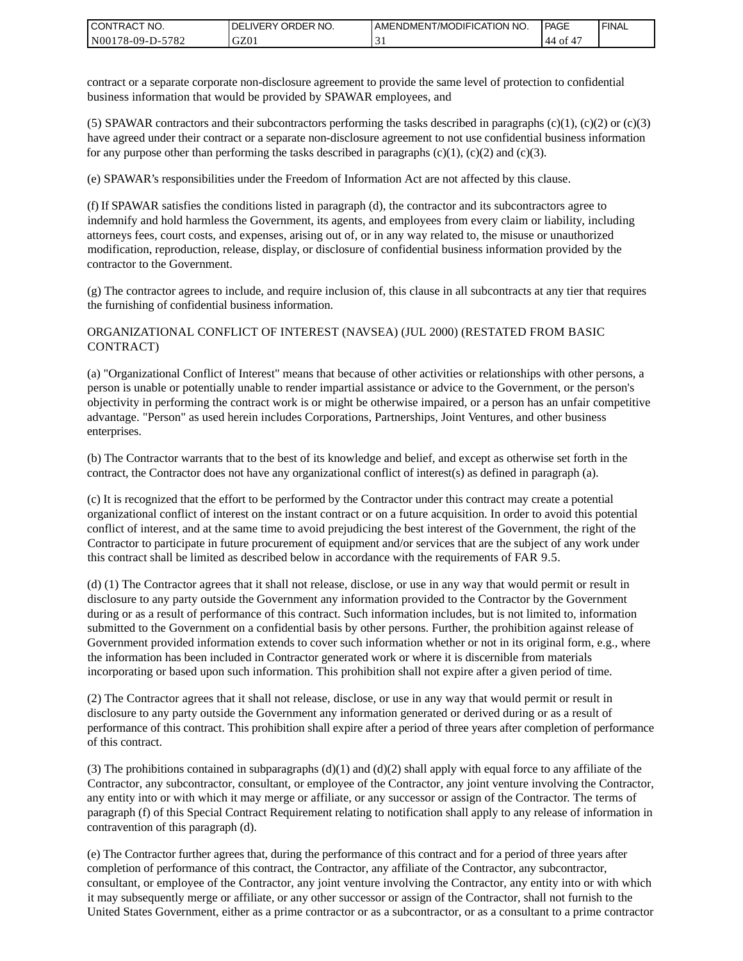| I CONTRACT NO.   | DELIVERY ORDER NO. | AMENDMENT/MODIFICATION NO. | PAGE      | ' FINAL |
|------------------|--------------------|----------------------------|-----------|---------|
| N00178-09-D-5782 | GZ01               |                            | '44<br>0Ī |         |

contract or a separate corporate non-disclosure agreement to provide the same level of protection to confidential business information that would be provided by SPAWAR employees, and

(5) SPAWAR contractors and their subcontractors performing the tasks described in paragraphs  $(c)(1)$ ,  $(c)(2)$  or  $(c)(3)$ have agreed under their contract or a separate non-disclosure agreement to not use confidential business information for any purpose other than performing the tasks described in paragraphs  $(c)(1)$ ,  $(c)(2)$  and  $(c)(3)$ .

(e) SPAWAR's responsibilities under the Freedom of Information Act are not affected by this clause.

(f) If SPAWAR satisfies the conditions listed in paragraph (d), the contractor and its subcontractors agree to indemnify and hold harmless the Government, its agents, and employees from every claim or liability, including attorneys fees, court costs, and expenses, arising out of, or in any way related to, the misuse or unauthorized modification, reproduction, release, display, or disclosure of confidential business information provided by the contractor to the Government.

(g) The contractor agrees to include, and require inclusion of, this clause in all subcontracts at any tier that requires the furnishing of confidential business information.

#### ORGANIZATIONAL CONFLICT OF INTEREST (NAVSEA) (JUL 2000) (RESTATED FROM BASIC CONTRACT)

(a) "Organizational Conflict of Interest" means that because of other activities or relationships with other persons, a person is unable or potentially unable to render impartial assistance or advice to the Government, or the person's objectivity in performing the contract work is or might be otherwise impaired, or a person has an unfair competitive advantage. "Person" as used herein includes Corporations, Partnerships, Joint Ventures, and other business enterprises.

(b) The Contractor warrants that to the best of its knowledge and belief, and except as otherwise set forth in the contract, the Contractor does not have any organizational conflict of interest(s) as defined in paragraph (a).

(c) It is recognized that the effort to be performed by the Contractor under this contract may create a potential organizational conflict of interest on the instant contract or on a future acquisition. In order to avoid this potential conflict of interest, and at the same time to avoid prejudicing the best interest of the Government, the right of the Contractor to participate in future procurement of equipment and/or services that are the subject of any work under this contract shall be limited as described below in accordance with the requirements of FAR 9.5.

(d) (1) The Contractor agrees that it shall not release, disclose, or use in any way that would permit or result in disclosure to any party outside the Government any information provided to the Contractor by the Government during or as a result of performance of this contract. Such information includes, but is not limited to, information submitted to the Government on a confidential basis by other persons. Further, the prohibition against release of Government provided information extends to cover such information whether or not in its original form, e.g., where the information has been included in Contractor generated work or where it is discernible from materials incorporating or based upon such information. This prohibition shall not expire after a given period of time.

(2) The Contractor agrees that it shall not release, disclose, or use in any way that would permit or result in disclosure to any party outside the Government any information generated or derived during or as a result of performance of this contract. This prohibition shall expire after a period of three years after completion of performance of this contract.

(3) The prohibitions contained in subparagraphs  $(d)(1)$  and  $(d)(2)$  shall apply with equal force to any affiliate of the Contractor, any subcontractor, consultant, or employee of the Contractor, any joint venture involving the Contractor, any entity into or with which it may merge or affiliate, or any successor or assign of the Contractor. The terms of paragraph (f) of this Special Contract Requirement relating to notification shall apply to any release of information in contravention of this paragraph (d).

(e) The Contractor further agrees that, during the performance of this contract and for a period of three years after completion of performance of this contract, the Contractor, any affiliate of the Contractor, any subcontractor, consultant, or employee of the Contractor, any joint venture involving the Contractor, any entity into or with which it may subsequently merge or affiliate, or any other successor or assign of the Contractor, shall not furnish to the United States Government, either as a prime contractor or as a subcontractor, or as a consultant to a prime contractor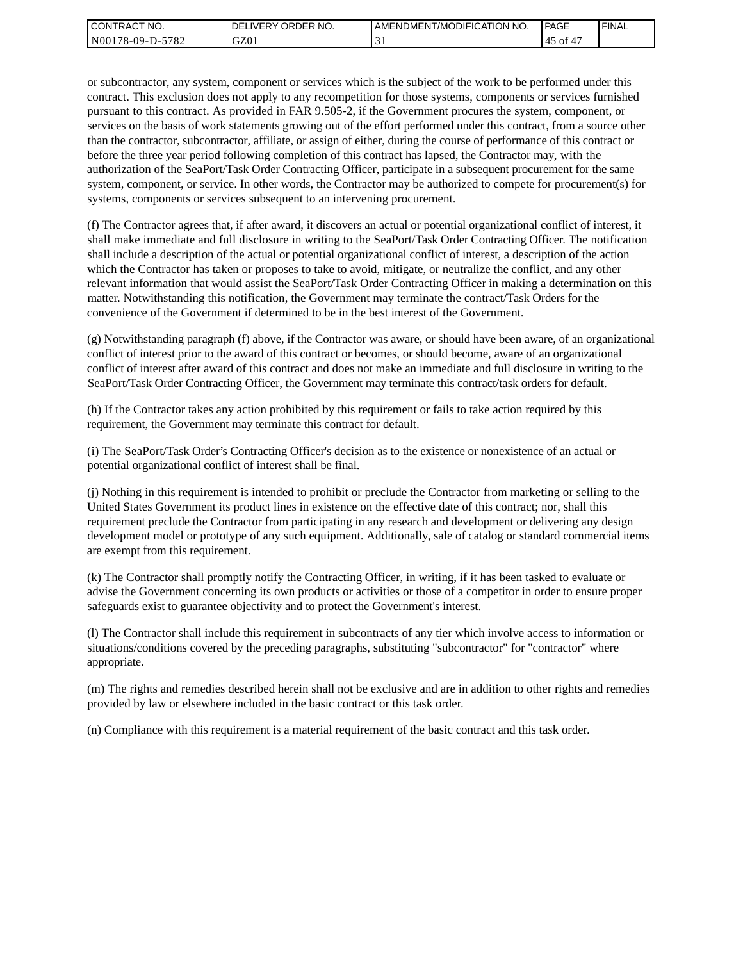| I CONTRACT NO.           | NO.<br>' ORDER<br><b>DELIVERY</b> | AMENDMENT/MODIFICATION NO. | PAGE     | ' FINAL |
|--------------------------|-----------------------------------|----------------------------|----------|---------|
| N00178-09-D-5<br>$-5782$ | GZ01                              |                            | 45<br>ΟĪ |         |

or subcontractor, any system, component or services which is the subject of the work to be performed under this contract. This exclusion does not apply to any recompetition for those systems, components or services furnished pursuant to this contract. As provided in FAR 9.505-2, if the Government procures the system, component, or services on the basis of work statements growing out of the effort performed under this contract, from a source other than the contractor, subcontractor, affiliate, or assign of either, during the course of performance of this contract or before the three year period following completion of this contract has lapsed, the Contractor may, with the authorization of the SeaPort/Task Order Contracting Officer, participate in a subsequent procurement for the same system, component, or service. In other words, the Contractor may be authorized to compete for procurement(s) for systems, components or services subsequent to an intervening procurement.

(f) The Contractor agrees that, if after award, it discovers an actual or potential organizational conflict of interest, it shall make immediate and full disclosure in writing to the SeaPort/Task Order Contracting Officer. The notification shall include a description of the actual or potential organizational conflict of interest, a description of the action which the Contractor has taken or proposes to take to avoid, mitigate, or neutralize the conflict, and any other relevant information that would assist the SeaPort/Task Order Contracting Officer in making a determination on this matter. Notwithstanding this notification, the Government may terminate the contract/Task Orders for the convenience of the Government if determined to be in the best interest of the Government.

(g) Notwithstanding paragraph (f) above, if the Contractor was aware, or should have been aware, of an organizational conflict of interest prior to the award of this contract or becomes, or should become, aware of an organizational conflict of interest after award of this contract and does not make an immediate and full disclosure in writing to the SeaPort/Task Order Contracting Officer, the Government may terminate this contract/task orders for default.

(h) If the Contractor takes any action prohibited by this requirement or fails to take action required by this requirement, the Government may terminate this contract for default.

(i) The SeaPort/Task Order's Contracting Officer's decision as to the existence or nonexistence of an actual or potential organizational conflict of interest shall be final.

(j) Nothing in this requirement is intended to prohibit or preclude the Contractor from marketing or selling to the United States Government its product lines in existence on the effective date of this contract; nor, shall this requirement preclude the Contractor from participating in any research and development or delivering any design development model or prototype of any such equipment. Additionally, sale of catalog or standard commercial items are exempt from this requirement.

(k) The Contractor shall promptly notify the Contracting Officer, in writing, if it has been tasked to evaluate or advise the Government concerning its own products or activities or those of a competitor in order to ensure proper safeguards exist to guarantee objectivity and to protect the Government's interest.

(l) The Contractor shall include this requirement in subcontracts of any tier which involve access to information or situations/conditions covered by the preceding paragraphs, substituting "subcontractor" for "contractor" where appropriate.

(m) The rights and remedies described herein shall not be exclusive and are in addition to other rights and remedies provided by law or elsewhere included in the basic contract or this task order.

(n) Compliance with this requirement is a material requirement of the basic contract and this task order.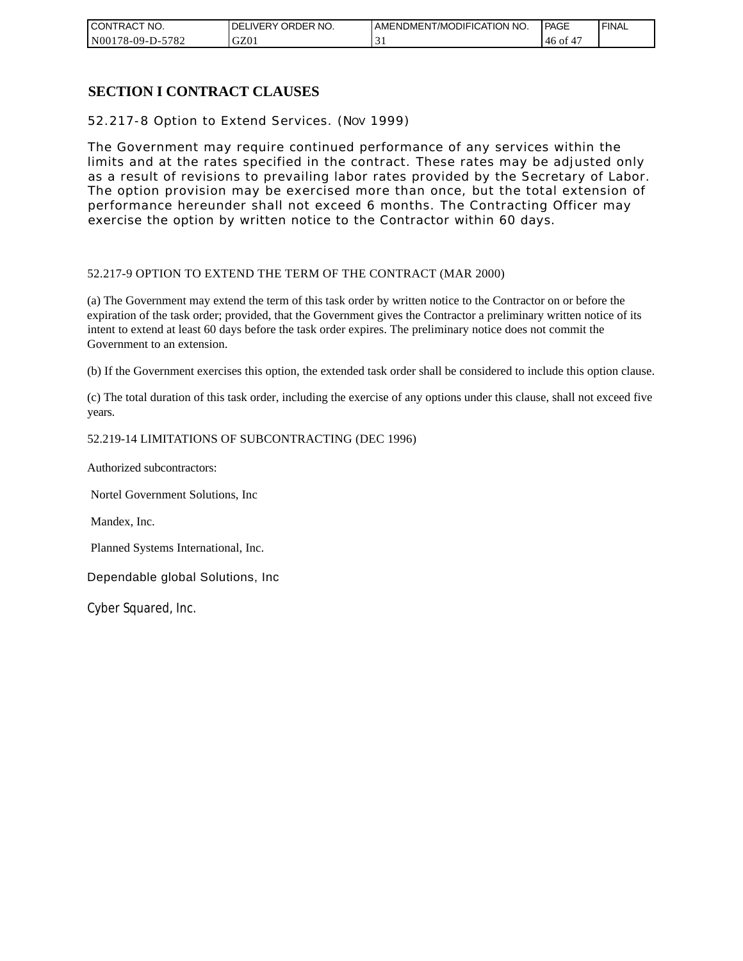| CONTRACT NO.          | NO.<br>ORDER<br><b>DELIVERY</b> | AMENDMENT/MODIFICATION NO. | PAGE  | ' FINAL |
|-----------------------|---------------------------------|----------------------------|-------|---------|
| N00178-09-D-5<br>5782 | GZ0                             | . .                        | 46 of |         |

### **SECTION I CONTRACT CLAUSES**

52.217-8 Option to Extend Services. (NOV 1999)

The Government may require continued performance of any services within the limits and at the rates specified in the contract. These rates may be adjusted only as a result of revisions to prevailing labor rates provided by the Secretary of Labor. The option provision may be exercised more than once, but the total extension of performance hereunder shall not exceed 6 months. The Contracting Officer may exercise the option by written notice to the Contractor within 60 days.

#### 52.217-9 OPTION TO EXTEND THE TERM OF THE CONTRACT (MAR 2000)

(a) The Government may extend the term of this task order by written notice to the Contractor on or before the expiration of the task order; provided, that the Government gives the Contractor a preliminary written notice of its intent to extend at least 60 days before the task order expires. The preliminary notice does not commit the Government to an extension.

(b) If the Government exercises this option, the extended task order shall be considered to include this option clause.

(c) The total duration of this task order, including the exercise of any options under this clause, shall not exceed five years.

#### 52.219-14 LIMITATIONS OF SUBCONTRACTING (DEC 1996)

Authorized subcontractors:

Nortel Government Solutions, Inc

Mandex, Inc.

Planned Systems International, Inc.

Dependable global Solutions, Inc

Cyber Squared, Inc.